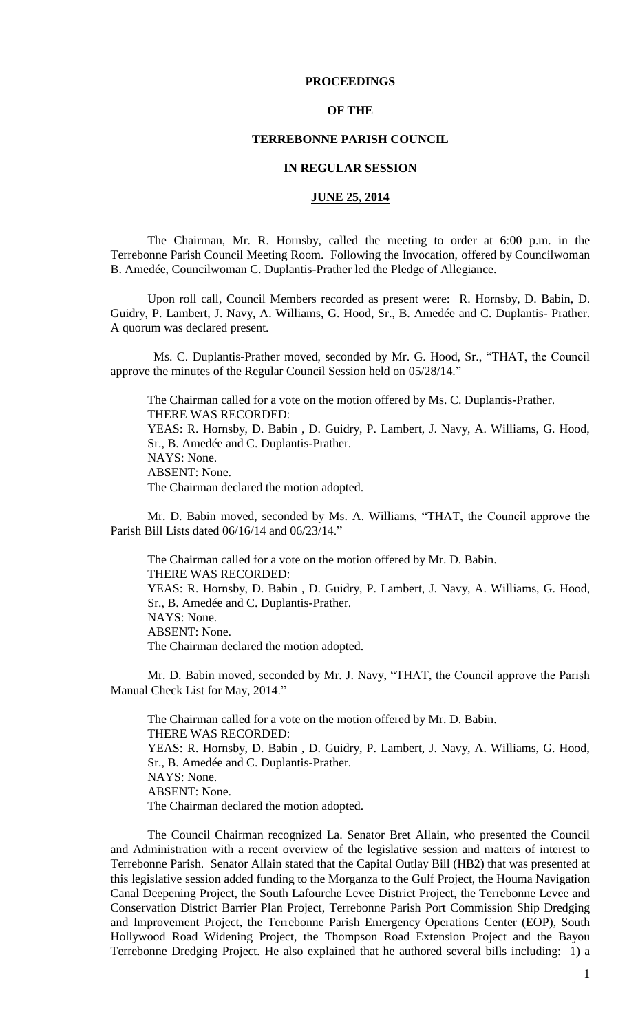### **PROCEEDINGS**

### **OF THE**

## **TERREBONNE PARISH COUNCIL**

### **IN REGULAR SESSION**

### **JUNE 25, 2014**

The Chairman, Mr. R. Hornsby, called the meeting to order at 6:00 p.m. in the Terrebonne Parish Council Meeting Room. Following the Invocation, offered by Councilwoman B. Amedée, Councilwoman C. Duplantis-Prather led the Pledge of Allegiance.

Upon roll call, Council Members recorded as present were: R. Hornsby, D. Babin, D. Guidry, P. Lambert, J. Navy, A. Williams, G. Hood, Sr., B. Amedée and C. Duplantis- Prather. A quorum was declared present.

 Ms. C. Duplantis-Prather moved, seconded by Mr. G. Hood, Sr., "THAT, the Council approve the minutes of the Regular Council Session held on 05/28/14."

The Chairman called for a vote on the motion offered by Ms. C. Duplantis-Prather. THERE WAS RECORDED: YEAS: R. Hornsby, D. Babin , D. Guidry, P. Lambert, J. Navy, A. Williams, G. Hood,

Sr., B. Amedée and C. Duplantis-Prather. NAYS: None.

ABSENT: None.

The Chairman declared the motion adopted.

Mr. D. Babin moved, seconded by Ms. A. Williams, "THAT, the Council approve the Parish Bill Lists dated 06/16/14 and 06/23/14."

The Chairman called for a vote on the motion offered by Mr. D. Babin. THERE WAS RECORDED: YEAS: R. Hornsby, D. Babin , D. Guidry, P. Lambert, J. Navy, A. Williams, G. Hood, Sr., B. Amedée and C. Duplantis-Prather. NAYS: None. ABSENT: None. The Chairman declared the motion adopted.

Mr. D. Babin moved, seconded by Mr. J. Navy, "THAT, the Council approve the Parish Manual Check List for May, 2014."

The Chairman called for a vote on the motion offered by Mr. D. Babin. THERE WAS RECORDED: YEAS: R. Hornsby, D. Babin , D. Guidry, P. Lambert, J. Navy, A. Williams, G. Hood, Sr., B. Amedée and C. Duplantis-Prather. NAYS: None. ABSENT: None. The Chairman declared the motion adopted.

The Council Chairman recognized La. Senator Bret Allain, who presented the Council and Administration with a recent overview of the legislative session and matters of interest to Terrebonne Parish. Senator Allain stated that the Capital Outlay Bill (HB2) that was presented at this legislative session added funding to the Morganza to the Gulf Project, the Houma Navigation Canal Deepening Project, the South Lafourche Levee District Project, the Terrebonne Levee and Conservation District Barrier Plan Project, Terrebonne Parish Port Commission Ship Dredging and Improvement Project, the Terrebonne Parish Emergency Operations Center (EOP), South Hollywood Road Widening Project, the Thompson Road Extension Project and the Bayou Terrebonne Dredging Project. He also explained that he authored several bills including: 1) a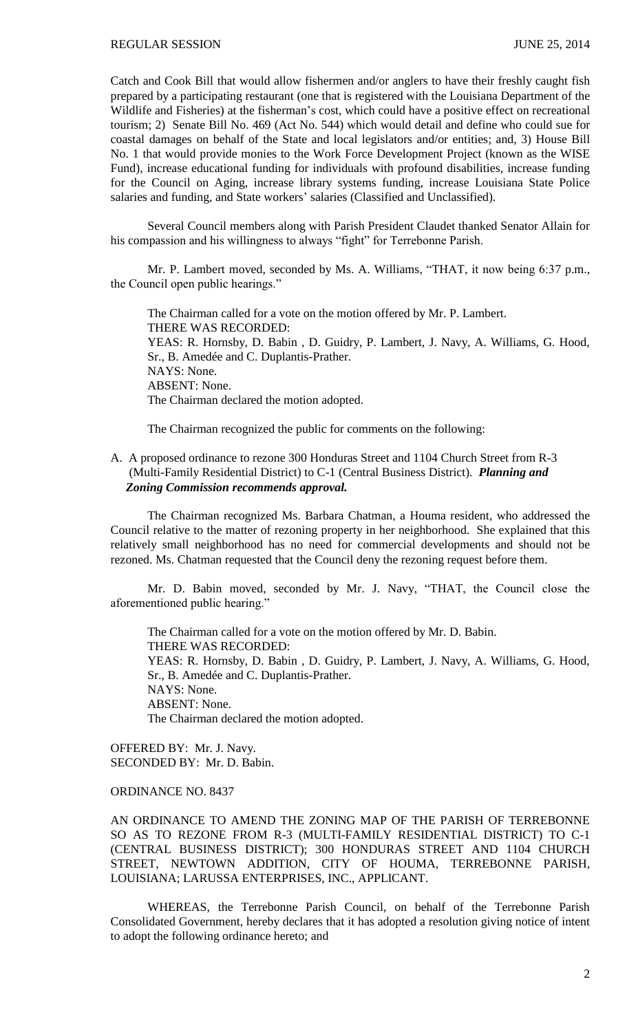Catch and Cook Bill that would allow fishermen and/or anglers to have their freshly caught fish prepared by a participating restaurant (one that is registered with the Louisiana Department of the Wildlife and Fisheries) at the fisherman's cost, which could have a positive effect on recreational tourism; 2) Senate Bill No. 469 (Act No. 544) which would detail and define who could sue for coastal damages on behalf of the State and local legislators and/or entities; and, 3) House Bill No. 1 that would provide monies to the Work Force Development Project (known as the WISE Fund), increase educational funding for individuals with profound disabilities, increase funding for the Council on Aging, increase library systems funding, increase Louisiana State Police salaries and funding, and State workers' salaries (Classified and Unclassified).

Several Council members along with Parish President Claudet thanked Senator Allain for his compassion and his willingness to always "fight" for Terrebonne Parish.

Mr. P. Lambert moved, seconded by Ms. A. Williams, "THAT, it now being 6:37 p.m., the Council open public hearings."

The Chairman called for a vote on the motion offered by Mr. P. Lambert. THERE WAS RECORDED: YEAS: R. Hornsby, D. Babin , D. Guidry, P. Lambert, J. Navy, A. Williams, G. Hood, Sr., B. Amedée and C. Duplantis-Prather. NAYS: None. ABSENT: None. The Chairman declared the motion adopted.

The Chairman recognized the public for comments on the following:

## A. A proposed ordinance to rezone 300 Honduras Street and 1104 Church Street from R-3 (Multi-Family Residential District) to C-1 (Central Business District). *Planning and Zoning Commission recommends approval.*

The Chairman recognized Ms. Barbara Chatman, a Houma resident, who addressed the Council relative to the matter of rezoning property in her neighborhood. She explained that this relatively small neighborhood has no need for commercial developments and should not be rezoned. Ms. Chatman requested that the Council deny the rezoning request before them.

Mr. D. Babin moved, seconded by Mr. J. Navy, "THAT, the Council close the aforementioned public hearing."

The Chairman called for a vote on the motion offered by Mr. D. Babin. THERE WAS RECORDED: YEAS: R. Hornsby, D. Babin , D. Guidry, P. Lambert, J. Navy, A. Williams, G. Hood, Sr., B. Amedée and C. Duplantis-Prather. NAYS: None. ABSENT: None. The Chairman declared the motion adopted.

OFFERED BY: Mr. J. Navy. SECONDED BY: Mr. D. Babin.

#### ORDINANCE NO. 8437

AN ORDINANCE TO AMEND THE ZONING MAP OF THE PARISH OF TERREBONNE SO AS TO REZONE FROM R-3 (MULTI-FAMILY RESIDENTIAL DISTRICT) TO C-1 (CENTRAL BUSINESS DISTRICT); 300 HONDURAS STREET AND 1104 CHURCH STREET, NEWTOWN ADDITION, CITY OF HOUMA, TERREBONNE PARISH, LOUISIANA; LARUSSA ENTERPRISES, INC., APPLICANT.

WHEREAS, the Terrebonne Parish Council, on behalf of the Terrebonne Parish Consolidated Government, hereby declares that it has adopted a resolution giving notice of intent to adopt the following ordinance hereto; and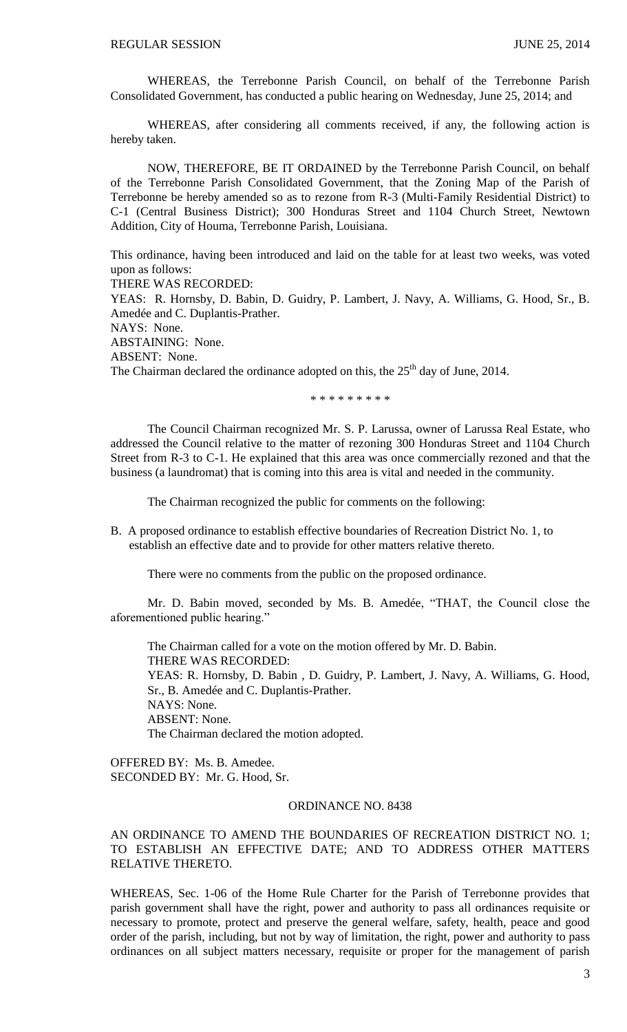WHEREAS, the Terrebonne Parish Council, on behalf of the Terrebonne Parish Consolidated Government, has conducted a public hearing on Wednesday, June 25, 2014; and

WHEREAS, after considering all comments received, if any, the following action is hereby taken.

NOW, THEREFORE, BE IT ORDAINED by the Terrebonne Parish Council, on behalf of the Terrebonne Parish Consolidated Government, that the Zoning Map of the Parish of Terrebonne be hereby amended so as to rezone from R-3 (Multi-Family Residential District) to C-1 (Central Business District); 300 Honduras Street and 1104 Church Street, Newtown Addition, City of Houma, Terrebonne Parish, Louisiana.

This ordinance, having been introduced and laid on the table for at least two weeks, was voted upon as follows:

THERE WAS RECORDED:

YEAS: R. Hornsby, D. Babin, D. Guidry, P. Lambert, J. Navy, A. Williams, G. Hood, Sr., B. Amedée and C. Duplantis-Prather. NAYS: None.

ABSTAINING: None.

ABSENT: None.

The Chairman declared the ordinance adopted on this, the  $25<sup>th</sup>$  day of June, 2014.

\* \* \* \* \* \* \* \* \*

The Council Chairman recognized Mr. S. P. Larussa, owner of Larussa Real Estate, who addressed the Council relative to the matter of rezoning 300 Honduras Street and 1104 Church Street from R-3 to C-1. He explained that this area was once commercially rezoned and that the business (a laundromat) that is coming into this area is vital and needed in the community.

The Chairman recognized the public for comments on the following:

B. A proposed ordinance to establish effective boundaries of Recreation District No. 1, to establish an effective date and to provide for other matters relative thereto.

There were no comments from the public on the proposed ordinance.

Mr. D. Babin moved, seconded by Ms. B. Amedée, "THAT, the Council close the aforementioned public hearing."

The Chairman called for a vote on the motion offered by Mr. D. Babin. THERE WAS RECORDED: YEAS: R. Hornsby, D. Babin , D. Guidry, P. Lambert, J. Navy, A. Williams, G. Hood, Sr., B. Amedée and C. Duplantis-Prather. NAYS: None. ABSENT: None. The Chairman declared the motion adopted.

OFFERED BY: Ms. B. Amedee. SECONDED BY: Mr. G. Hood, Sr.

### ORDINANCE NO. 8438

AN ORDINANCE TO AMEND THE BOUNDARIES OF RECREATION DISTRICT NO. 1; TO ESTABLISH AN EFFECTIVE DATE; AND TO ADDRESS OTHER MATTERS RELATIVE THERETO.

WHEREAS, Sec. 1-06 of the Home Rule Charter for the Parish of Terrebonne provides that parish government shall have the right, power and authority to pass all ordinances requisite or necessary to promote, protect and preserve the general welfare, safety, health, peace and good order of the parish, including, but not by way of limitation, the right, power and authority to pass ordinances on all subject matters necessary, requisite or proper for the management of parish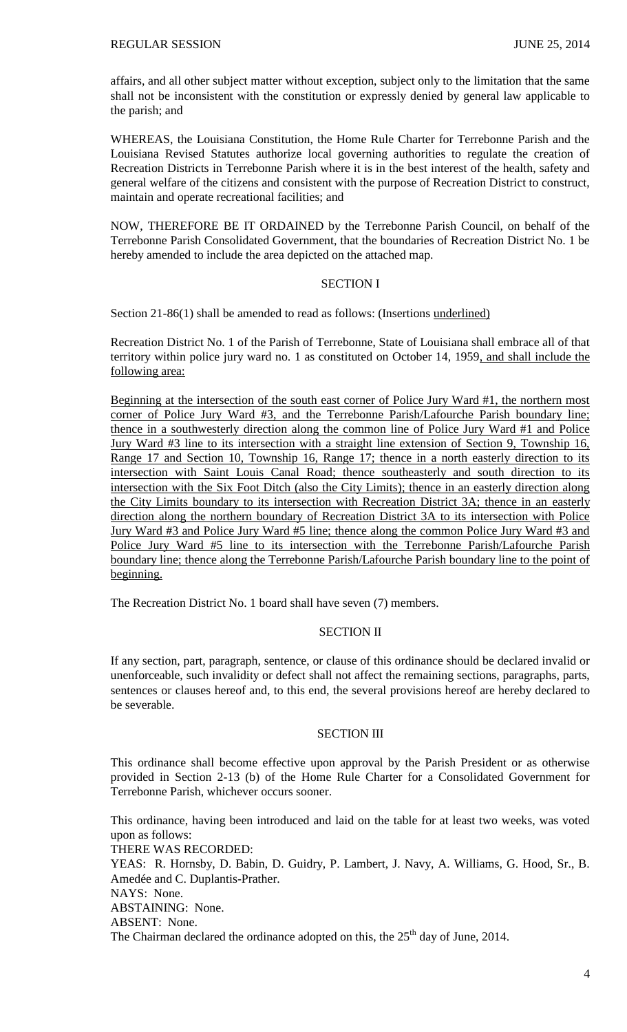affairs, and all other subject matter without exception, subject only to the limitation that the same shall not be inconsistent with the constitution or expressly denied by general law applicable to the parish; and

WHEREAS, the Louisiana Constitution, the Home Rule Charter for Terrebonne Parish and the Louisiana Revised Statutes authorize local governing authorities to regulate the creation of Recreation Districts in Terrebonne Parish where it is in the best interest of the health, safety and general welfare of the citizens and consistent with the purpose of Recreation District to construct, maintain and operate recreational facilities; and

NOW, THEREFORE BE IT ORDAINED by the Terrebonne Parish Council, on behalf of the Terrebonne Parish Consolidated Government, that the boundaries of Recreation District No. 1 be hereby amended to include the area depicted on the attached map.

### SECTION I

Section 21-86(1) shall be amended to read as follows: (Insertions underlined)

Recreation District No. 1 of the Parish of Terrebonne, State of Louisiana shall embrace all of that territory within police jury ward no. 1 as constituted on October 14, 1959, and shall include the following area:

Beginning at the intersection of the south east corner of Police Jury Ward #1, the northern most corner of Police Jury Ward #3, and the Terrebonne Parish/Lafourche Parish boundary line; thence in a southwesterly direction along the common line of Police Jury Ward #1 and Police Jury Ward #3 line to its intersection with a straight line extension of Section 9, Township 16, Range 17 and Section 10, Township 16, Range 17; thence in a north easterly direction to its intersection with Saint Louis Canal Road; thence southeasterly and south direction to its intersection with the Six Foot Ditch (also the City Limits); thence in an easterly direction along the City Limits boundary to its intersection with Recreation District 3A; thence in an easterly direction along the northern boundary of Recreation District 3A to its intersection with Police Jury Ward #3 and Police Jury Ward #5 line; thence along the common Police Jury Ward #3 and Police Jury Ward #5 line to its intersection with the Terrebonne Parish/Lafourche Parish boundary line; thence along the Terrebonne Parish/Lafourche Parish boundary line to the point of beginning.

The Recreation District No. 1 board shall have seven (7) members.

## SECTION II

If any section, part, paragraph, sentence, or clause of this ordinance should be declared invalid or unenforceable, such invalidity or defect shall not affect the remaining sections, paragraphs, parts, sentences or clauses hereof and, to this end, the several provisions hereof are hereby declared to be severable.

#### SECTION III

This ordinance shall become effective upon approval by the Parish President or as otherwise provided in Section 2-13 (b) of the Home Rule Charter for a Consolidated Government for Terrebonne Parish, whichever occurs sooner.

This ordinance, having been introduced and laid on the table for at least two weeks, was voted upon as follows: THERE WAS RECORDED: YEAS: R. Hornsby, D. Babin, D. Guidry, P. Lambert, J. Navy, A. Williams, G. Hood, Sr., B. Amedée and C. Duplantis-Prather. NAYS: None. ABSTAINING: None. ABSENT: None. The Chairman declared the ordinance adopted on this, the  $25<sup>th</sup>$  day of June, 2014.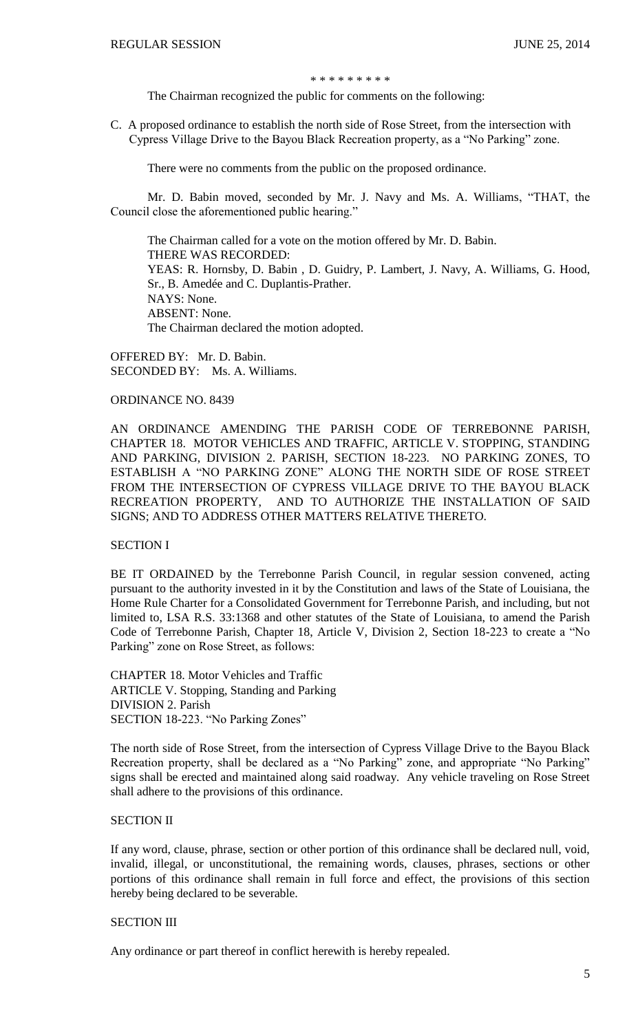#### \* \* \* \* \* \* \* \* \*

The Chairman recognized the public for comments on the following:

C. A proposed ordinance to establish the north side of Rose Street, from the intersection with Cypress Village Drive to the Bayou Black Recreation property, as a "No Parking" zone.

There were no comments from the public on the proposed ordinance.

Mr. D. Babin moved, seconded by Mr. J. Navy and Ms. A. Williams, "THAT, the Council close the aforementioned public hearing."

The Chairman called for a vote on the motion offered by Mr. D. Babin. THERE WAS RECORDED: YEAS: R. Hornsby, D. Babin , D. Guidry, P. Lambert, J. Navy, A. Williams, G. Hood, Sr., B. Amedée and C. Duplantis-Prather. NAYS: None. ABSENT: None. The Chairman declared the motion adopted.

OFFERED BY: Mr. D. Babin. SECONDED BY: Ms. A. Williams.

## ORDINANCE NO. 8439

AN ORDINANCE AMENDING THE PARISH CODE OF TERREBONNE PARISH, CHAPTER 18. MOTOR VEHICLES AND TRAFFIC, ARTICLE V. STOPPING, STANDING AND PARKING, DIVISION 2. PARISH, SECTION 18-223. NO PARKING ZONES, TO ESTABLISH A "NO PARKING ZONE" ALONG THE NORTH SIDE OF ROSE STREET FROM THE INTERSECTION OF CYPRESS VILLAGE DRIVE TO THE BAYOU BLACK RECREATION PROPERTY, AND TO AUTHORIZE THE INSTALLATION OF SAID SIGNS; AND TO ADDRESS OTHER MATTERS RELATIVE THERETO.

### SECTION I

BE IT ORDAINED by the Terrebonne Parish Council, in regular session convened, acting pursuant to the authority invested in it by the Constitution and laws of the State of Louisiana, the Home Rule Charter for a Consolidated Government for Terrebonne Parish, and including, but not limited to, LSA R.S. 33:1368 and other statutes of the State of Louisiana, to amend the Parish Code of Terrebonne Parish, Chapter 18, Article V, Division 2, Section 18-223 to create a "No Parking" zone on Rose Street, as follows:

CHAPTER 18. Motor Vehicles and Traffic ARTICLE V. Stopping, Standing and Parking DIVISION 2. Parish SECTION 18-223. "No Parking Zones"

The north side of Rose Street, from the intersection of Cypress Village Drive to the Bayou Black Recreation property, shall be declared as a "No Parking" zone, and appropriate "No Parking" signs shall be erected and maintained along said roadway. Any vehicle traveling on Rose Street shall adhere to the provisions of this ordinance.

### SECTION II

If any word, clause, phrase, section or other portion of this ordinance shall be declared null, void, invalid, illegal, or unconstitutional, the remaining words, clauses, phrases, sections or other portions of this ordinance shall remain in full force and effect, the provisions of this section hereby being declared to be severable.

#### SECTION III

Any ordinance or part thereof in conflict herewith is hereby repealed.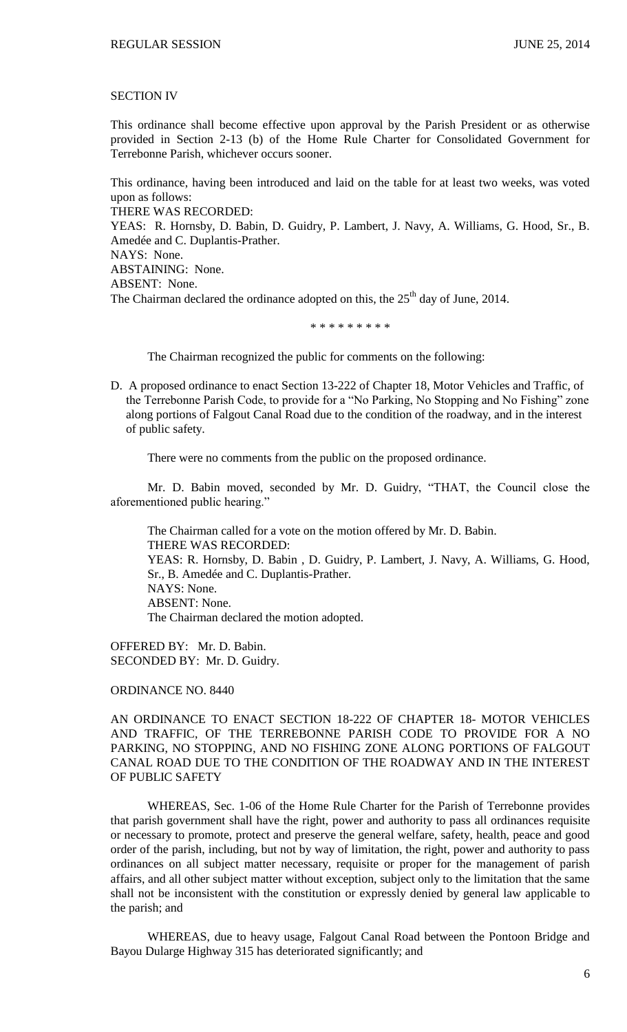### SECTION IV

This ordinance shall become effective upon approval by the Parish President or as otherwise provided in Section 2-13 (b) of the Home Rule Charter for Consolidated Government for Terrebonne Parish, whichever occurs sooner.

This ordinance, having been introduced and laid on the table for at least two weeks, was voted upon as follows: THERE WAS RECORDED: YEAS: R. Hornsby, D. Babin, D. Guidry, P. Lambert, J. Navy, A. Williams, G. Hood, Sr., B. Amedée and C. Duplantis-Prather. NAYS: None. ABSTAINING: None. ABSENT: None. The Chairman declared the ordinance adopted on this, the  $25<sup>th</sup>$  day of June, 2014.

### \* \* \* \* \* \* \* \* \*

The Chairman recognized the public for comments on the following:

D. A proposed ordinance to enact Section 13-222 of Chapter 18, Motor Vehicles and Traffic, of the Terrebonne Parish Code, to provide for a "No Parking, No Stopping and No Fishing" zone along portions of Falgout Canal Road due to the condition of the roadway, and in the interest of public safety.

There were no comments from the public on the proposed ordinance.

Mr. D. Babin moved, seconded by Mr. D. Guidry, "THAT, the Council close the aforementioned public hearing."

The Chairman called for a vote on the motion offered by Mr. D. Babin. THERE WAS RECORDED: YEAS: R. Hornsby, D. Babin , D. Guidry, P. Lambert, J. Navy, A. Williams, G. Hood, Sr., B. Amedée and C. Duplantis-Prather. NAYS: None. ABSENT: None. The Chairman declared the motion adopted.

OFFERED BY: Mr. D. Babin. SECONDED BY: Mr. D. Guidry.

ORDINANCE NO. 8440

AN ORDINANCE TO ENACT SECTION 18-222 OF CHAPTER 18- MOTOR VEHICLES AND TRAFFIC, OF THE TERREBONNE PARISH CODE TO PROVIDE FOR A NO PARKING, NO STOPPING, AND NO FISHING ZONE ALONG PORTIONS OF FALGOUT CANAL ROAD DUE TO THE CONDITION OF THE ROADWAY AND IN THE INTEREST OF PUBLIC SAFETY

WHEREAS, Sec. 1-06 of the Home Rule Charter for the Parish of Terrebonne provides that parish government shall have the right, power and authority to pass all ordinances requisite or necessary to promote, protect and preserve the general welfare, safety, health, peace and good order of the parish, including, but not by way of limitation, the right, power and authority to pass ordinances on all subject matter necessary, requisite or proper for the management of parish affairs, and all other subject matter without exception, subject only to the limitation that the same shall not be inconsistent with the constitution or expressly denied by general law applicable to the parish; and

WHEREAS, due to heavy usage, Falgout Canal Road between the Pontoon Bridge and Bayou Dularge Highway 315 has deteriorated significantly; and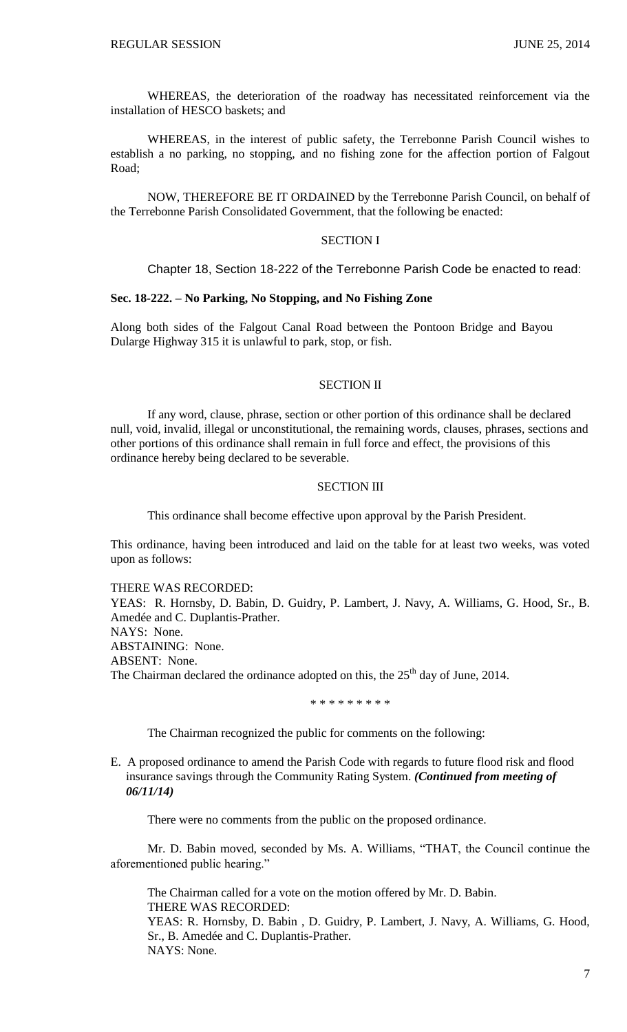WHEREAS, the deterioration of the roadway has necessitated reinforcement via the installation of HESCO baskets; and

WHEREAS, in the interest of public safety, the Terrebonne Parish Council wishes to establish a no parking, no stopping, and no fishing zone for the affection portion of Falgout Road;

NOW, THEREFORE BE IT ORDAINED by the Terrebonne Parish Council, on behalf of the Terrebonne Parish Consolidated Government, that the following be enacted:

### SECTION I

Chapter 18, Section 18-222 of the Terrebonne Parish Code be enacted to read:

#### **Sec. 18-222. – No Parking, No Stopping, and No Fishing Zone**

Along both sides of the Falgout Canal Road between the Pontoon Bridge and Bayou Dularge Highway 315 it is unlawful to park, stop, or fish.

### SECTION II

If any word, clause, phrase, section or other portion of this ordinance shall be declared null, void, invalid, illegal or unconstitutional, the remaining words, clauses, phrases, sections and other portions of this ordinance shall remain in full force and effect, the provisions of this ordinance hereby being declared to be severable.

### SECTION III

This ordinance shall become effective upon approval by the Parish President.

This ordinance, having been introduced and laid on the table for at least two weeks, was voted upon as follows:

THERE WAS RECORDED:

YEAS: R. Hornsby, D. Babin, D. Guidry, P. Lambert, J. Navy, A. Williams, G. Hood, Sr., B. Amedée and C. Duplantis-Prather. NAYS: None. ABSTAINING: None. ABSENT: None. The Chairman declared the ordinance adopted on this, the  $25<sup>th</sup>$  day of June, 2014.

\* \* \* \* \* \* \* \* \*

The Chairman recognized the public for comments on the following:

E. A proposed ordinance to amend the Parish Code with regards to future flood risk and flood insurance savings through the Community Rating System. *(Continued from meeting of 06/11/14)*

There were no comments from the public on the proposed ordinance.

Mr. D. Babin moved, seconded by Ms. A. Williams, "THAT, the Council continue the aforementioned public hearing."

The Chairman called for a vote on the motion offered by Mr. D. Babin. THERE WAS RECORDED:

YEAS: R. Hornsby, D. Babin , D. Guidry, P. Lambert, J. Navy, A. Williams, G. Hood, Sr., B. Amedée and C. Duplantis-Prather. NAYS: None.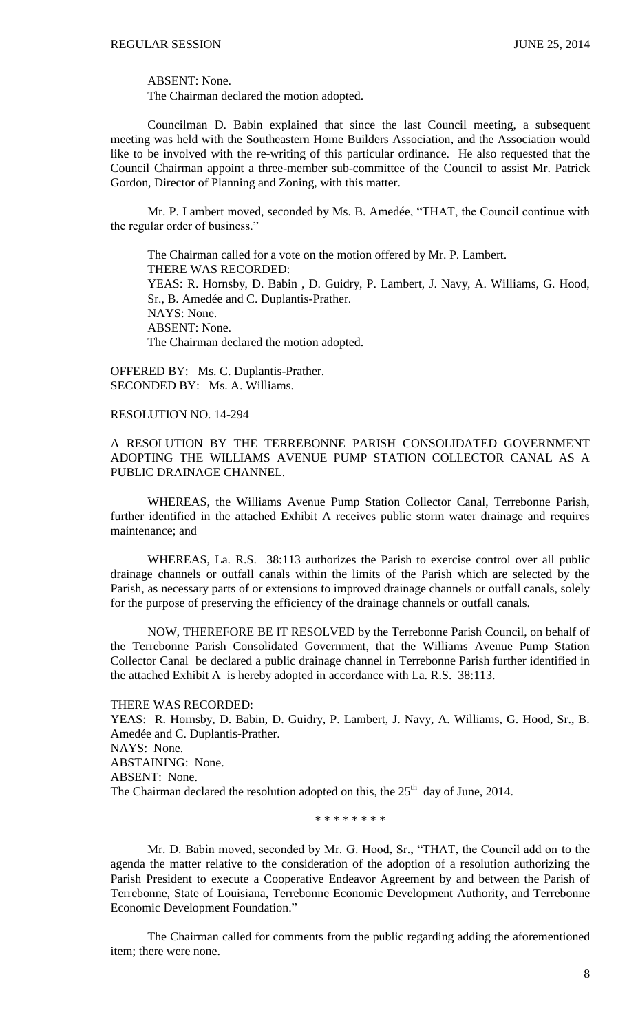ABSENT: None.

The Chairman declared the motion adopted.

Councilman D. Babin explained that since the last Council meeting, a subsequent meeting was held with the Southeastern Home Builders Association, and the Association would like to be involved with the re-writing of this particular ordinance. He also requested that the Council Chairman appoint a three-member sub-committee of the Council to assist Mr. Patrick Gordon, Director of Planning and Zoning, with this matter.

Mr. P. Lambert moved, seconded by Ms. B. Amedée, "THAT, the Council continue with the regular order of business."

The Chairman called for a vote on the motion offered by Mr. P. Lambert. THERE WAS RECORDED: YEAS: R. Hornsby, D. Babin , D. Guidry, P. Lambert, J. Navy, A. Williams, G. Hood, Sr., B. Amedée and C. Duplantis-Prather. NAYS: None. ABSENT: None. The Chairman declared the motion adopted.

OFFERED BY: Ms. C. Duplantis-Prather. SECONDED BY: Ms. A. Williams.

### RESOLUTION NO. 14-294

A RESOLUTION BY THE TERREBONNE PARISH CONSOLIDATED GOVERNMENT ADOPTING THE WILLIAMS AVENUE PUMP STATION COLLECTOR CANAL AS A PUBLIC DRAINAGE CHANNEL.

WHEREAS, the Williams Avenue Pump Station Collector Canal, Terrebonne Parish, further identified in the attached Exhibit A receives public storm water drainage and requires maintenance; and

WHEREAS, La. R.S. 38:113 authorizes the Parish to exercise control over all public drainage channels or outfall canals within the limits of the Parish which are selected by the Parish, as necessary parts of or extensions to improved drainage channels or outfall canals, solely for the purpose of preserving the efficiency of the drainage channels or outfall canals.

NOW, THEREFORE BE IT RESOLVED by the Terrebonne Parish Council, on behalf of the Terrebonne Parish Consolidated Government, that the Williams Avenue Pump Station Collector Canal be declared a public drainage channel in Terrebonne Parish further identified in the attached Exhibit A is hereby adopted in accordance with La. R.S. 38:113.

THERE WAS RECORDED: YEAS: R. Hornsby, D. Babin, D. Guidry, P. Lambert, J. Navy, A. Williams, G. Hood, Sr., B. Amedée and C. Duplantis-Prather. NAYS: None. ABSTAINING: None. ABSENT: None. The Chairman declared the resolution adopted on this, the  $25<sup>th</sup>$  day of June, 2014.

\* \* \* \* \* \* \* \*

Mr. D. Babin moved, seconded by Mr. G. Hood, Sr., "THAT, the Council add on to the agenda the matter relative to the consideration of the adoption of a resolution authorizing the Parish President to execute a Cooperative Endeavor Agreement by and between the Parish of Terrebonne, State of Louisiana, Terrebonne Economic Development Authority, and Terrebonne Economic Development Foundation."

The Chairman called for comments from the public regarding adding the aforementioned item; there were none.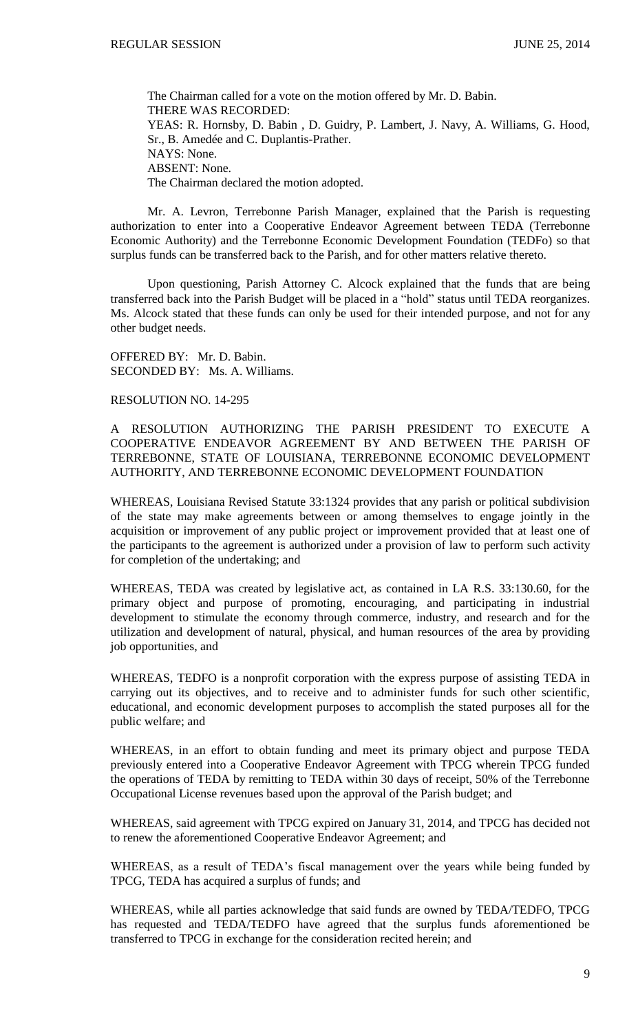The Chairman called for a vote on the motion offered by Mr. D. Babin. THERE WAS RECORDED: YEAS: R. Hornsby, D. Babin , D. Guidry, P. Lambert, J. Navy, A. Williams, G. Hood, Sr., B. Amedée and C. Duplantis-Prather. NAYS: None. ABSENT: None. The Chairman declared the motion adopted.

Mr. A. Levron, Terrebonne Parish Manager, explained that the Parish is requesting authorization to enter into a Cooperative Endeavor Agreement between TEDA (Terrebonne Economic Authority) and the Terrebonne Economic Development Foundation (TEDFo) so that surplus funds can be transferred back to the Parish, and for other matters relative thereto.

Upon questioning, Parish Attorney C. Alcock explained that the funds that are being transferred back into the Parish Budget will be placed in a "hold" status until TEDA reorganizes. Ms. Alcock stated that these funds can only be used for their intended purpose, and not for any other budget needs.

OFFERED BY: Mr. D. Babin. SECONDED BY: Ms. A. Williams.

### RESOLUTION NO. 14-295

A RESOLUTION AUTHORIZING THE PARISH PRESIDENT TO EXECUTE A COOPERATIVE ENDEAVOR AGREEMENT BY AND BETWEEN THE PARISH OF TERREBONNE, STATE OF LOUISIANA, TERREBONNE ECONOMIC DEVELOPMENT AUTHORITY, AND TERREBONNE ECONOMIC DEVELOPMENT FOUNDATION

WHEREAS, Louisiana Revised Statute 33:1324 provides that any parish or political subdivision of the state may make agreements between or among themselves to engage jointly in the acquisition or improvement of any public project or improvement provided that at least one of the participants to the agreement is authorized under a provision of law to perform such activity for completion of the undertaking; and

WHEREAS, TEDA was created by legislative act, as contained in LA R.S. 33:130.60, for the primary object and purpose of promoting, encouraging, and participating in industrial development to stimulate the economy through commerce, industry, and research and for the utilization and development of natural, physical, and human resources of the area by providing job opportunities, and

WHEREAS, TEDFO is a nonprofit corporation with the express purpose of assisting TEDA in carrying out its objectives, and to receive and to administer funds for such other scientific, educational, and economic development purposes to accomplish the stated purposes all for the public welfare; and

WHEREAS, in an effort to obtain funding and meet its primary object and purpose TEDA previously entered into a Cooperative Endeavor Agreement with TPCG wherein TPCG funded the operations of TEDA by remitting to TEDA within 30 days of receipt, 50% of the Terrebonne Occupational License revenues based upon the approval of the Parish budget; and

WHEREAS, said agreement with TPCG expired on January 31, 2014, and TPCG has decided not to renew the aforementioned Cooperative Endeavor Agreement; and

WHEREAS, as a result of TEDA's fiscal management over the years while being funded by TPCG, TEDA has acquired a surplus of funds; and

WHEREAS, while all parties acknowledge that said funds are owned by TEDA/TEDFO, TPCG has requested and TEDA/TEDFO have agreed that the surplus funds aforementioned be transferred to TPCG in exchange for the consideration recited herein; and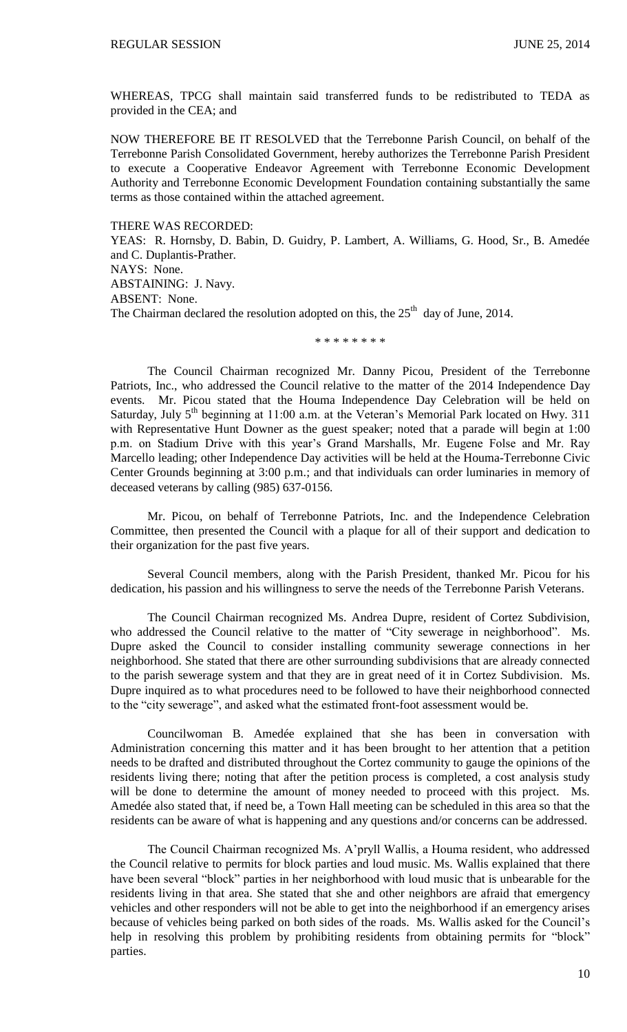WHEREAS, TPCG shall maintain said transferred funds to be redistributed to TEDA as provided in the CEA; and

NOW THEREFORE BE IT RESOLVED that the Terrebonne Parish Council, on behalf of the Terrebonne Parish Consolidated Government, hereby authorizes the Terrebonne Parish President to execute a Cooperative Endeavor Agreement with Terrebonne Economic Development Authority and Terrebonne Economic Development Foundation containing substantially the same terms as those contained within the attached agreement.

THERE WAS RECORDED:

YEAS: R. Hornsby, D. Babin, D. Guidry, P. Lambert, A. Williams, G. Hood, Sr., B. Amedée and C. Duplantis-Prather. NAYS: None. ABSTAINING: J. Navy. ABSENT: None. The Chairman declared the resolution adopted on this, the  $25<sup>th</sup>$  day of June, 2014.

\* \* \* \* \* \* \* \*

The Council Chairman recognized Mr. Danny Picou, President of the Terrebonne Patriots, Inc., who addressed the Council relative to the matter of the 2014 Independence Day events. Mr. Picou stated that the Houma Independence Day Celebration will be held on Saturday, July  $5<sup>th</sup>$  beginning at 11:00 a.m. at the Veteran's Memorial Park located on Hwy. 311 with Representative Hunt Downer as the guest speaker; noted that a parade will begin at 1:00 p.m. on Stadium Drive with this year's Grand Marshalls, Mr. Eugene Folse and Mr. Ray Marcello leading; other Independence Day activities will be held at the Houma-Terrebonne Civic Center Grounds beginning at 3:00 p.m.; and that individuals can order luminaries in memory of deceased veterans by calling (985) 637-0156.

Mr. Picou, on behalf of Terrebonne Patriots, Inc. and the Independence Celebration Committee, then presented the Council with a plaque for all of their support and dedication to their organization for the past five years.

Several Council members, along with the Parish President, thanked Mr. Picou for his dedication, his passion and his willingness to serve the needs of the Terrebonne Parish Veterans.

The Council Chairman recognized Ms. Andrea Dupre, resident of Cortez Subdivision, who addressed the Council relative to the matter of "City sewerage in neighborhood". Ms. Dupre asked the Council to consider installing community sewerage connections in her neighborhood. She stated that there are other surrounding subdivisions that are already connected to the parish sewerage system and that they are in great need of it in Cortez Subdivision. Ms. Dupre inquired as to what procedures need to be followed to have their neighborhood connected to the "city sewerage", and asked what the estimated front-foot assessment would be.

Councilwoman B. Amedée explained that she has been in conversation with Administration concerning this matter and it has been brought to her attention that a petition needs to be drafted and distributed throughout the Cortez community to gauge the opinions of the residents living there; noting that after the petition process is completed, a cost analysis study will be done to determine the amount of money needed to proceed with this project. Ms. Amedée also stated that, if need be, a Town Hall meeting can be scheduled in this area so that the residents can be aware of what is happening and any questions and/or concerns can be addressed.

The Council Chairman recognized Ms. A'pryll Wallis, a Houma resident, who addressed the Council relative to permits for block parties and loud music. Ms. Wallis explained that there have been several "block" parties in her neighborhood with loud music that is unbearable for the residents living in that area. She stated that she and other neighbors are afraid that emergency vehicles and other responders will not be able to get into the neighborhood if an emergency arises because of vehicles being parked on both sides of the roads. Ms. Wallis asked for the Council's help in resolving this problem by prohibiting residents from obtaining permits for "block" parties.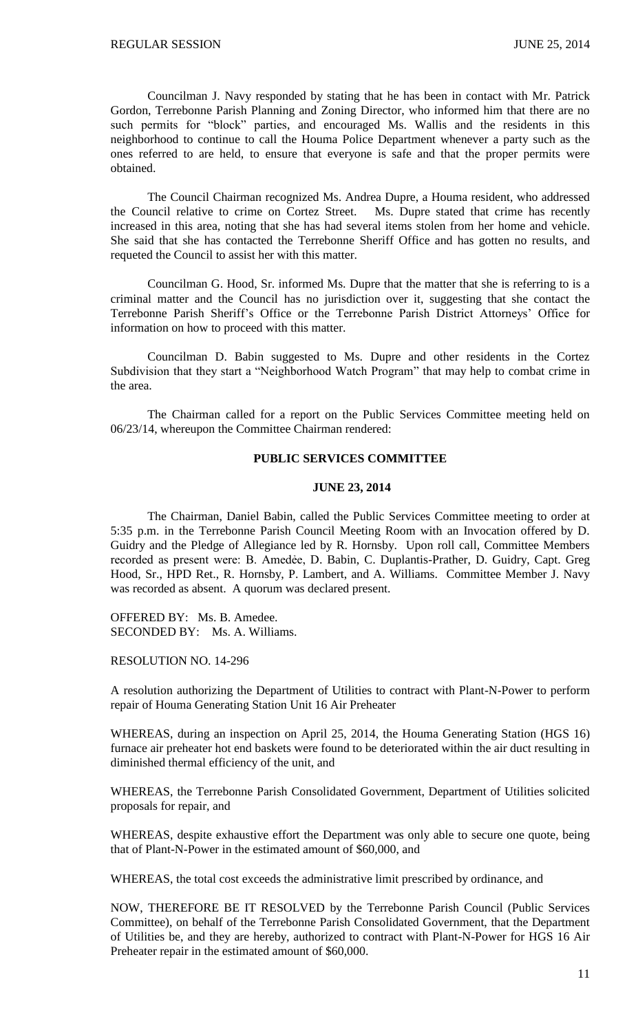Councilman J. Navy responded by stating that he has been in contact with Mr. Patrick Gordon, Terrebonne Parish Planning and Zoning Director, who informed him that there are no such permits for "block" parties, and encouraged Ms. Wallis and the residents in this neighborhood to continue to call the Houma Police Department whenever a party such as the ones referred to are held, to ensure that everyone is safe and that the proper permits were obtained.

The Council Chairman recognized Ms. Andrea Dupre, a Houma resident, who addressed the Council relative to crime on Cortez Street. Ms. Dupre stated that crime has recently increased in this area, noting that she has had several items stolen from her home and vehicle. She said that she has contacted the Terrebonne Sheriff Office and has gotten no results, and requeted the Council to assist her with this matter.

Councilman G. Hood, Sr. informed Ms. Dupre that the matter that she is referring to is a criminal matter and the Council has no jurisdiction over it, suggesting that she contact the Terrebonne Parish Sheriff's Office or the Terrebonne Parish District Attorneys' Office for information on how to proceed with this matter.

Councilman D. Babin suggested to Ms. Dupre and other residents in the Cortez Subdivision that they start a "Neighborhood Watch Program" that may help to combat crime in the area.

The Chairman called for a report on the Public Services Committee meeting held on 06/23/14, whereupon the Committee Chairman rendered:

### **PUBLIC SERVICES COMMITTEE**

### **JUNE 23, 2014**

The Chairman, Daniel Babin, called the Public Services Committee meeting to order at 5:35 p.m. in the Terrebonne Parish Council Meeting Room with an Invocation offered by D. Guidry and the Pledge of Allegiance led by R. Hornsby. Upon roll call, Committee Members recorded as present were: B. Amedée, D. Babin, C. Duplantis-Prather, D. Guidry, Capt. Greg Hood, Sr., HPD Ret., R. Hornsby, P. Lambert, and A. Williams. Committee Member J. Navy was recorded as absent. A quorum was declared present.

OFFERED BY: Ms. B. Amedee. SECONDED BY: Ms. A. Williams.

RESOLUTION NO. 14-296

A resolution authorizing the Department of Utilities to contract with Plant-N-Power to perform repair of Houma Generating Station Unit 16 Air Preheater

WHEREAS, during an inspection on April 25, 2014, the Houma Generating Station (HGS 16) furnace air preheater hot end baskets were found to be deteriorated within the air duct resulting in diminished thermal efficiency of the unit, and

WHEREAS, the Terrebonne Parish Consolidated Government, Department of Utilities solicited proposals for repair, and

WHEREAS, despite exhaustive effort the Department was only able to secure one quote, being that of Plant-N-Power in the estimated amount of \$60,000, and

WHEREAS, the total cost exceeds the administrative limit prescribed by ordinance, and

NOW, THEREFORE BE IT RESOLVED by the Terrebonne Parish Council (Public Services Committee), on behalf of the Terrebonne Parish Consolidated Government, that the Department of Utilities be, and they are hereby, authorized to contract with Plant-N-Power for HGS 16 Air Preheater repair in the estimated amount of \$60,000.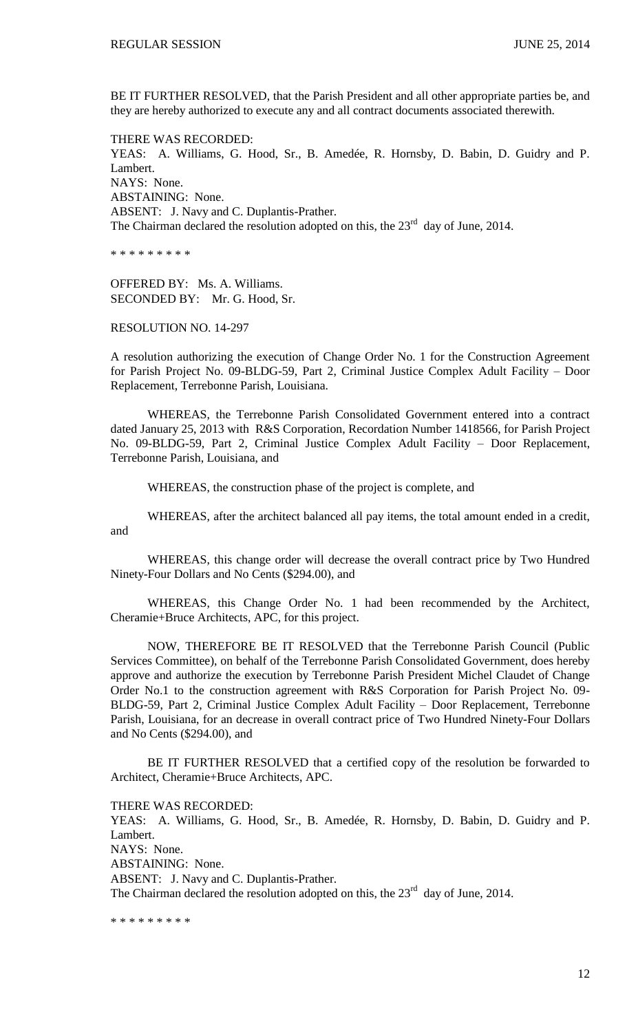BE IT FURTHER RESOLVED, that the Parish President and all other appropriate parties be, and they are hereby authorized to execute any and all contract documents associated therewith.

THERE WAS RECORDED: YEAS: A. Williams, G. Hood, Sr., B. Amedée, R. Hornsby, D. Babin, D. Guidry and P. Lambert. NAYS: None. ABSTAINING: None. ABSENT: J. Navy and C. Duplantis-Prather. The Chairman declared the resolution adopted on this, the  $23<sup>rd</sup>$  day of June, 2014.

\* \* \* \* \* \* \* \* \*

OFFERED BY: Ms. A. Williams. SECONDED BY: Mr. G. Hood, Sr.

### RESOLUTION NO. 14-297

A resolution authorizing the execution of Change Order No. 1 for the Construction Agreement for Parish Project No. 09-BLDG-59, Part 2, Criminal Justice Complex Adult Facility – Door Replacement, Terrebonne Parish, Louisiana.

WHEREAS, the Terrebonne Parish Consolidated Government entered into a contract dated January 25, 2013 with R&S Corporation, Recordation Number 1418566, for Parish Project No. 09-BLDG-59, Part 2, Criminal Justice Complex Adult Facility – Door Replacement, Terrebonne Parish, Louisiana, and

WHEREAS, the construction phase of the project is complete, and

WHEREAS, after the architect balanced all pay items, the total amount ended in a credit, and

WHEREAS, this change order will decrease the overall contract price by Two Hundred Ninety-Four Dollars and No Cents (\$294.00), and

WHEREAS, this Change Order No. 1 had been recommended by the Architect, Cheramie+Bruce Architects, APC, for this project.

NOW, THEREFORE BE IT RESOLVED that the Terrebonne Parish Council (Public Services Committee), on behalf of the Terrebonne Parish Consolidated Government, does hereby approve and authorize the execution by Terrebonne Parish President Michel Claudet of Change Order No.1 to the construction agreement with R&S Corporation for Parish Project No. 09- BLDG-59, Part 2, Criminal Justice Complex Adult Facility – Door Replacement, Terrebonne Parish, Louisiana, for an decrease in overall contract price of Two Hundred Ninety-Four Dollars and No Cents (\$294.00), and

BE IT FURTHER RESOLVED that a certified copy of the resolution be forwarded to Architect, Cheramie+Bruce Architects, APC.

THERE WAS RECORDED:

YEAS: A. Williams, G. Hood, Sr., B. Amedée, R. Hornsby, D. Babin, D. Guidry and P. Lambert. NAYS: None. ABSTAINING: None. ABSENT: J. Navy and C. Duplantis-Prather. The Chairman declared the resolution adopted on this, the  $23<sup>rd</sup>$  day of June, 2014.

\* \* \* \* \* \* \* \* \*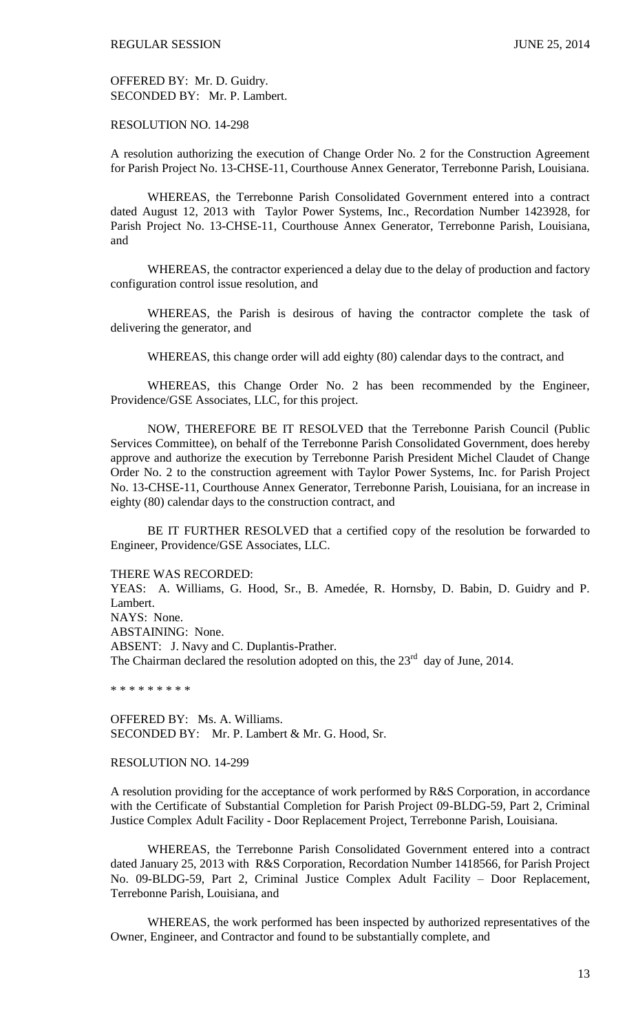OFFERED BY: Mr. D. Guidry. SECONDED BY: Mr. P. Lambert.

RESOLUTION NO. 14-298

A resolution authorizing the execution of Change Order No. 2 for the Construction Agreement for Parish Project No. 13-CHSE-11, Courthouse Annex Generator, Terrebonne Parish, Louisiana.

WHEREAS, the Terrebonne Parish Consolidated Government entered into a contract dated August 12, 2013 with Taylor Power Systems, Inc., Recordation Number 1423928, for Parish Project No. 13-CHSE-11, Courthouse Annex Generator, Terrebonne Parish, Louisiana, and

WHEREAS, the contractor experienced a delay due to the delay of production and factory configuration control issue resolution, and

WHEREAS, the Parish is desirous of having the contractor complete the task of delivering the generator, and

WHEREAS, this change order will add eighty (80) calendar days to the contract, and

WHEREAS, this Change Order No. 2 has been recommended by the Engineer, Providence/GSE Associates, LLC, for this project.

NOW, THEREFORE BE IT RESOLVED that the Terrebonne Parish Council (Public Services Committee), on behalf of the Terrebonne Parish Consolidated Government, does hereby approve and authorize the execution by Terrebonne Parish President Michel Claudet of Change Order No. 2 to the construction agreement with Taylor Power Systems, Inc. for Parish Project No. 13-CHSE-11, Courthouse Annex Generator, Terrebonne Parish, Louisiana, for an increase in eighty (80) calendar days to the construction contract, and

BE IT FURTHER RESOLVED that a certified copy of the resolution be forwarded to Engineer, Providence/GSE Associates, LLC.

THERE WAS RECORDED:

YEAS: A. Williams, G. Hood, Sr., B. Amedée, R. Hornsby, D. Babin, D. Guidry and P. Lambert. NAYS: None. ABSTAINING: None. ABSENT: J. Navy and C. Duplantis-Prather. The Chairman declared the resolution adopted on this, the  $23<sup>rd</sup>$  day of June, 2014.

\* \* \* \* \* \* \* \* \*

OFFERED BY: Ms. A. Williams. SECONDED BY: Mr. P. Lambert & Mr. G. Hood, Sr.

RESOLUTION NO. 14-299

A resolution providing for the acceptance of work performed by R&S Corporation, in accordance with the Certificate of Substantial Completion for Parish Project 09-BLDG-59, Part 2, Criminal Justice Complex Adult Facility - Door Replacement Project, Terrebonne Parish, Louisiana.

WHEREAS, the Terrebonne Parish Consolidated Government entered into a contract dated January 25, 2013 with R&S Corporation, Recordation Number 1418566, for Parish Project No. 09-BLDG-59, Part 2, Criminal Justice Complex Adult Facility – Door Replacement, Terrebonne Parish, Louisiana, and

WHEREAS, the work performed has been inspected by authorized representatives of the Owner, Engineer, and Contractor and found to be substantially complete, and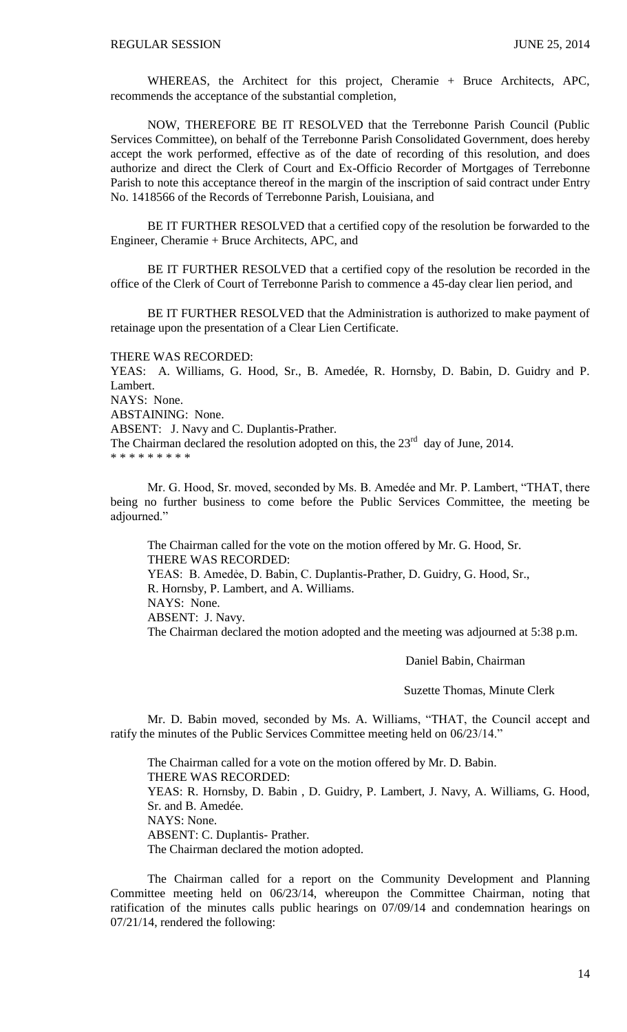WHEREAS, the Architect for this project, Cheramie + Bruce Architects, APC, recommends the acceptance of the substantial completion,

NOW, THEREFORE BE IT RESOLVED that the Terrebonne Parish Council (Public Services Committee), on behalf of the Terrebonne Parish Consolidated Government, does hereby accept the work performed, effective as of the date of recording of this resolution, and does authorize and direct the Clerk of Court and Ex-Officio Recorder of Mortgages of Terrebonne Parish to note this acceptance thereof in the margin of the inscription of said contract under Entry No. 1418566 of the Records of Terrebonne Parish, Louisiana, and

BE IT FURTHER RESOLVED that a certified copy of the resolution be forwarded to the Engineer, Cheramie + Bruce Architects, APC, and

BE IT FURTHER RESOLVED that a certified copy of the resolution be recorded in the office of the Clerk of Court of Terrebonne Parish to commence a 45-day clear lien period, and

BE IT FURTHER RESOLVED that the Administration is authorized to make payment of retainage upon the presentation of a Clear Lien Certificate.

THERE WAS RECORDED:

YEAS: A. Williams, G. Hood, Sr., B. Amedée, R. Hornsby, D. Babin, D. Guidry and P. Lambert. NAYS: None. ABSTAINING: None. ABSENT: J. Navy and C. Duplantis-Prather. The Chairman declared the resolution adopted on this, the  $23<sup>rd</sup>$  day of June, 2014. \* \* \* \* \* \* \* \* \*

Mr. G. Hood, Sr. moved, seconded by Ms. B. Amedée and Mr. P. Lambert, "THAT, there being no further business to come before the Public Services Committee, the meeting be adjourned."

The Chairman called for the vote on the motion offered by Mr. G. Hood, Sr. THERE WAS RECORDED: YEAS: B. Amedėe, D. Babin, C. Duplantis-Prather, D. Guidry, G. Hood, Sr., R. Hornsby, P. Lambert, and A. Williams. NAYS: None. ABSENT: J. Navy. The Chairman declared the motion adopted and the meeting was adjourned at 5:38 p.m.

Daniel Babin, Chairman

Suzette Thomas, Minute Clerk

Mr. D. Babin moved, seconded by Ms. A. Williams, "THAT, the Council accept and ratify the minutes of the Public Services Committee meeting held on 06/23/14."

The Chairman called for a vote on the motion offered by Mr. D. Babin. THERE WAS RECORDED: YEAS: R. Hornsby, D. Babin , D. Guidry, P. Lambert, J. Navy, A. Williams, G. Hood, Sr. and B. Amedée. NAYS: None. ABSENT: C. Duplantis- Prather. The Chairman declared the motion adopted.

The Chairman called for a report on the Community Development and Planning Committee meeting held on 06/23/14, whereupon the Committee Chairman, noting that ratification of the minutes calls public hearings on 07/09/14 and condemnation hearings on 07/21/14, rendered the following: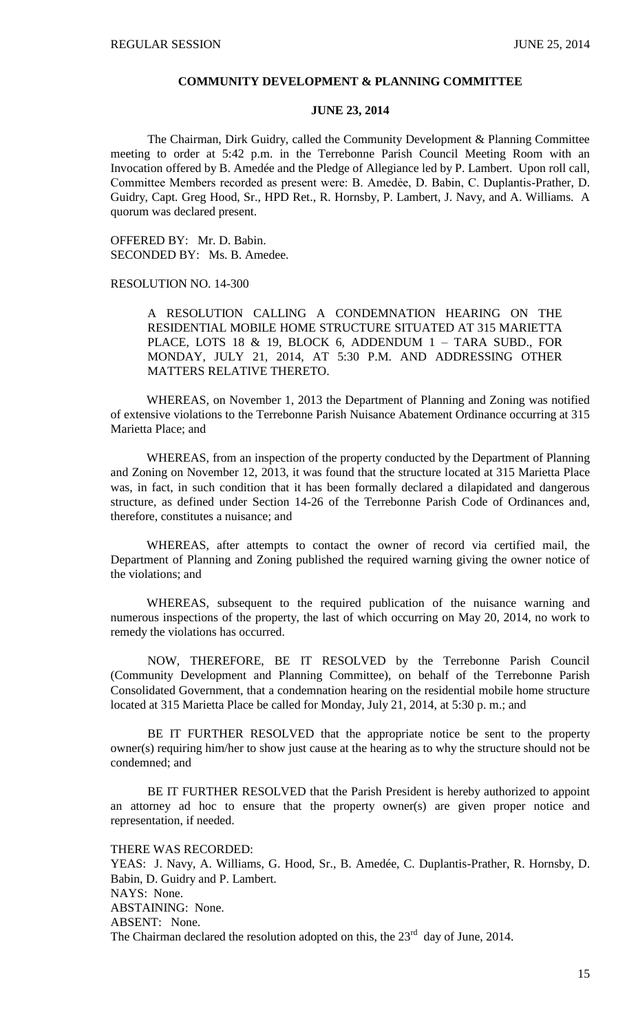### **COMMUNITY DEVELOPMENT & PLANNING COMMITTEE**

### **JUNE 23, 2014**

The Chairman, Dirk Guidry, called the Community Development & Planning Committee meeting to order at 5:42 p.m. in the Terrebonne Parish Council Meeting Room with an Invocation offered by B. Amedée and the Pledge of Allegiance led by P. Lambert. Upon roll call, Committee Members recorded as present were: B. Amedẻe, D. Babin, C. Duplantis-Prather, D. Guidry, Capt. Greg Hood, Sr., HPD Ret., R. Hornsby, P. Lambert, J. Navy, and A. Williams. A quorum was declared present.

OFFERED BY: Mr. D. Babin. SECONDED BY: Ms. B. Amedee.

## RESOLUTION NO. 14-300

A RESOLUTION CALLING A CONDEMNATION HEARING ON THE RESIDENTIAL MOBILE HOME STRUCTURE SITUATED AT 315 MARIETTA PLACE, LOTS 18 & 19, BLOCK 6, ADDENDUM 1 – TARA SUBD., FOR MONDAY, JULY 21, 2014, AT 5:30 P.M. AND ADDRESSING OTHER MATTERS RELATIVE THERETO.

WHEREAS, on November 1, 2013 the Department of Planning and Zoning was notified of extensive violations to the Terrebonne Parish Nuisance Abatement Ordinance occurring at 315 Marietta Place; and

WHEREAS, from an inspection of the property conducted by the Department of Planning and Zoning on November 12, 2013, it was found that the structure located at 315 Marietta Place was, in fact, in such condition that it has been formally declared a dilapidated and dangerous structure, as defined under Section 14-26 of the Terrebonne Parish Code of Ordinances and, therefore, constitutes a nuisance; and

WHEREAS, after attempts to contact the owner of record via certified mail, the Department of Planning and Zoning published the required warning giving the owner notice of the violations; and

WHEREAS, subsequent to the required publication of the nuisance warning and numerous inspections of the property, the last of which occurring on May 20, 2014, no work to remedy the violations has occurred.

NOW, THEREFORE, BE IT RESOLVED by the Terrebonne Parish Council (Community Development and Planning Committee), on behalf of the Terrebonne Parish Consolidated Government, that a condemnation hearing on the residential mobile home structure located at 315 Marietta Place be called for Monday, July 21, 2014, at 5:30 p. m.; and

BE IT FURTHER RESOLVED that the appropriate notice be sent to the property owner(s) requiring him/her to show just cause at the hearing as to why the structure should not be condemned; and

BE IT FURTHER RESOLVED that the Parish President is hereby authorized to appoint an attorney ad hoc to ensure that the property owner(s) are given proper notice and representation, if needed.

THERE WAS RECORDED:

YEAS: J. Navy, A. Williams, G. Hood, Sr., B. Amedée, C. Duplantis-Prather, R. Hornsby, D. Babin, D. Guidry and P. Lambert. NAYS: None. ABSTAINING: None. ABSENT: None. The Chairman declared the resolution adopted on this, the  $23<sup>rd</sup>$  day of June, 2014.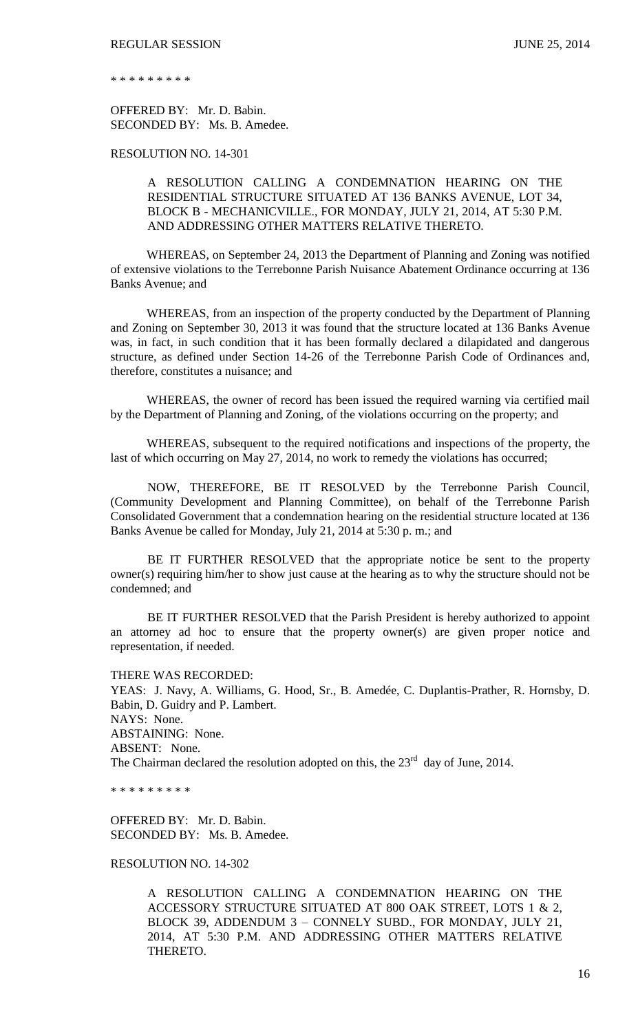\* \* \* \* \* \* \* \* \*

OFFERED BY: Mr. D. Babin. SECONDED BY: Ms. B. Amedee.

RESOLUTION NO. 14-301

A RESOLUTION CALLING A CONDEMNATION HEARING ON THE RESIDENTIAL STRUCTURE SITUATED AT 136 BANKS AVENUE, LOT 34, BLOCK B - MECHANICVILLE., FOR MONDAY, JULY 21, 2014, AT 5:30 P.M. AND ADDRESSING OTHER MATTERS RELATIVE THERETO.

WHEREAS, on September 24, 2013 the Department of Planning and Zoning was notified of extensive violations to the Terrebonne Parish Nuisance Abatement Ordinance occurring at 136 Banks Avenue; and

WHEREAS, from an inspection of the property conducted by the Department of Planning and Zoning on September 30, 2013 it was found that the structure located at 136 Banks Avenue was, in fact, in such condition that it has been formally declared a dilapidated and dangerous structure, as defined under Section 14-26 of the Terrebonne Parish Code of Ordinances and, therefore, constitutes a nuisance; and

WHEREAS, the owner of record has been issued the required warning via certified mail by the Department of Planning and Zoning, of the violations occurring on the property; and

WHEREAS, subsequent to the required notifications and inspections of the property, the last of which occurring on May 27, 2014, no work to remedy the violations has occurred;

NOW, THEREFORE, BE IT RESOLVED by the Terrebonne Parish Council, (Community Development and Planning Committee), on behalf of the Terrebonne Parish Consolidated Government that a condemnation hearing on the residential structure located at 136 Banks Avenue be called for Monday, July 21, 2014 at 5:30 p. m.; and

BE IT FURTHER RESOLVED that the appropriate notice be sent to the property owner(s) requiring him/her to show just cause at the hearing as to why the structure should not be condemned; and

BE IT FURTHER RESOLVED that the Parish President is hereby authorized to appoint an attorney ad hoc to ensure that the property owner(s) are given proper notice and representation, if needed.

THERE WAS RECORDED:

YEAS: J. Navy, A. Williams, G. Hood, Sr., B. Amedée, C. Duplantis-Prather, R. Hornsby, D. Babin, D. Guidry and P. Lambert. NAYS: None. ABSTAINING: None. ABSENT: None. The Chairman declared the resolution adopted on this, the  $23<sup>rd</sup>$  day of June, 2014.

\* \* \* \* \* \* \* \* \*

OFFERED BY: Mr. D. Babin. SECONDED BY: Ms. B. Amedee.

RESOLUTION NO. 14-302

A RESOLUTION CALLING A CONDEMNATION HEARING ON THE ACCESSORY STRUCTURE SITUATED AT 800 OAK STREET, LOTS 1 & 2, BLOCK 39, ADDENDUM 3 – CONNELY SUBD., FOR MONDAY, JULY 21, 2014, AT 5:30 P.M. AND ADDRESSING OTHER MATTERS RELATIVE THERETO.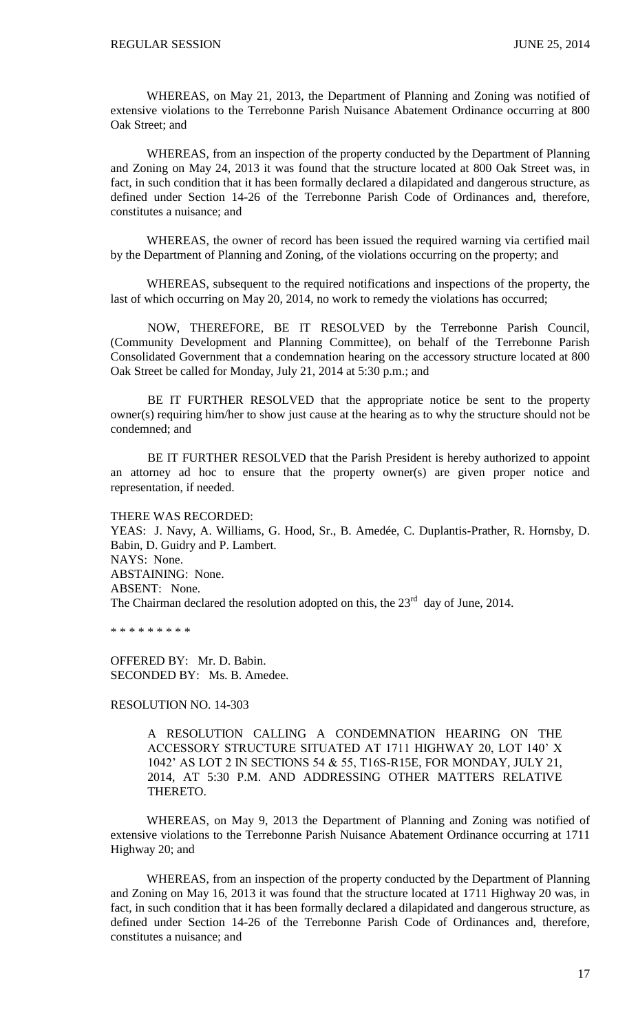WHEREAS, on May 21, 2013, the Department of Planning and Zoning was notified of extensive violations to the Terrebonne Parish Nuisance Abatement Ordinance occurring at 800 Oak Street; and

WHEREAS, from an inspection of the property conducted by the Department of Planning and Zoning on May 24, 2013 it was found that the structure located at 800 Oak Street was, in fact, in such condition that it has been formally declared a dilapidated and dangerous structure, as defined under Section 14-26 of the Terrebonne Parish Code of Ordinances and, therefore, constitutes a nuisance; and

WHEREAS, the owner of record has been issued the required warning via certified mail by the Department of Planning and Zoning, of the violations occurring on the property; and

WHEREAS, subsequent to the required notifications and inspections of the property, the last of which occurring on May 20, 2014, no work to remedy the violations has occurred;

NOW, THEREFORE, BE IT RESOLVED by the Terrebonne Parish Council, (Community Development and Planning Committee), on behalf of the Terrebonne Parish Consolidated Government that a condemnation hearing on the accessory structure located at 800 Oak Street be called for Monday, July 21, 2014 at 5:30 p.m.; and

BE IT FURTHER RESOLVED that the appropriate notice be sent to the property owner(s) requiring him/her to show just cause at the hearing as to why the structure should not be condemned; and

BE IT FURTHER RESOLVED that the Parish President is hereby authorized to appoint an attorney ad hoc to ensure that the property owner(s) are given proper notice and representation, if needed.

THERE WAS RECORDED: YEAS: J. Navy, A. Williams, G. Hood, Sr., B. Amedée, C. Duplantis-Prather, R. Hornsby, D. Babin, D. Guidry and P. Lambert. NAYS: None. ABSTAINING: None. ABSENT: None. The Chairman declared the resolution adopted on this, the  $23<sup>rd</sup>$  day of June, 2014.

\* \* \* \* \* \* \* \* \*

OFFERED BY: Mr. D. Babin. SECONDED BY: Ms. B. Amedee.

RESOLUTION NO. 14-303

A RESOLUTION CALLING A CONDEMNATION HEARING ON THE ACCESSORY STRUCTURE SITUATED AT 1711 HIGHWAY 20, LOT 140' X 1042' AS LOT 2 IN SECTIONS 54 & 55, T16S-R15E, FOR MONDAY, JULY 21, 2014, AT 5:30 P.M. AND ADDRESSING OTHER MATTERS RELATIVE THERETO.

WHEREAS, on May 9, 2013 the Department of Planning and Zoning was notified of extensive violations to the Terrebonne Parish Nuisance Abatement Ordinance occurring at 1711 Highway 20; and

WHEREAS, from an inspection of the property conducted by the Department of Planning and Zoning on May 16, 2013 it was found that the structure located at 1711 Highway 20 was, in fact, in such condition that it has been formally declared a dilapidated and dangerous structure, as defined under Section 14-26 of the Terrebonne Parish Code of Ordinances and, therefore, constitutes a nuisance; and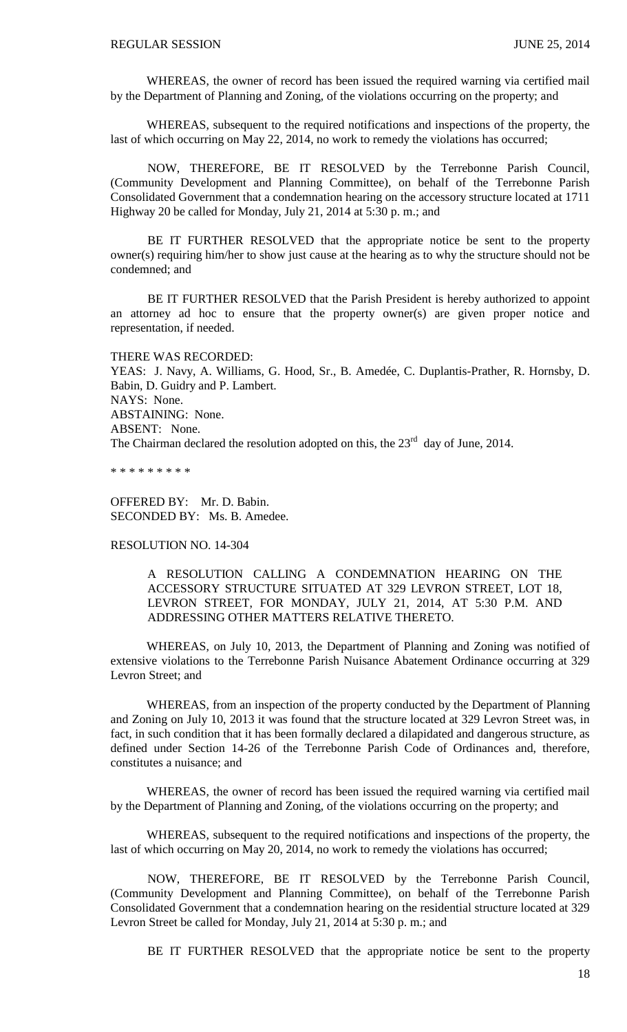WHEREAS, the owner of record has been issued the required warning via certified mail by the Department of Planning and Zoning, of the violations occurring on the property; and

WHEREAS, subsequent to the required notifications and inspections of the property, the last of which occurring on May 22, 2014, no work to remedy the violations has occurred;

NOW, THEREFORE, BE IT RESOLVED by the Terrebonne Parish Council, (Community Development and Planning Committee), on behalf of the Terrebonne Parish Consolidated Government that a condemnation hearing on the accessory structure located at 1711 Highway 20 be called for Monday, July 21, 2014 at 5:30 p. m.; and

BE IT FURTHER RESOLVED that the appropriate notice be sent to the property owner(s) requiring him/her to show just cause at the hearing as to why the structure should not be condemned; and

BE IT FURTHER RESOLVED that the Parish President is hereby authorized to appoint an attorney ad hoc to ensure that the property owner(s) are given proper notice and representation, if needed.

THERE WAS RECORDED: YEAS: J. Navy, A. Williams, G. Hood, Sr., B. Amedée, C. Duplantis-Prather, R. Hornsby, D. Babin, D. Guidry and P. Lambert. NAYS: None. ABSTAINING: None. ABSENT: None. The Chairman declared the resolution adopted on this, the  $23<sup>rd</sup>$  day of June, 2014.

\* \* \* \* \* \* \* \* \*

OFFERED BY: Mr. D. Babin. SECONDED BY: Ms. B. Amedee.

RESOLUTION NO. 14-304

A RESOLUTION CALLING A CONDEMNATION HEARING ON THE ACCESSORY STRUCTURE SITUATED AT 329 LEVRON STREET, LOT 18, LEVRON STREET, FOR MONDAY, JULY 21, 2014, AT 5:30 P.M. AND ADDRESSING OTHER MATTERS RELATIVE THERETO.

WHEREAS, on July 10, 2013, the Department of Planning and Zoning was notified of extensive violations to the Terrebonne Parish Nuisance Abatement Ordinance occurring at 329 Levron Street; and

WHEREAS, from an inspection of the property conducted by the Department of Planning and Zoning on July 10, 2013 it was found that the structure located at 329 Levron Street was, in fact, in such condition that it has been formally declared a dilapidated and dangerous structure, as defined under Section 14-26 of the Terrebonne Parish Code of Ordinances and, therefore, constitutes a nuisance; and

WHEREAS, the owner of record has been issued the required warning via certified mail by the Department of Planning and Zoning, of the violations occurring on the property; and

WHEREAS, subsequent to the required notifications and inspections of the property, the last of which occurring on May 20, 2014, no work to remedy the violations has occurred;

NOW, THEREFORE, BE IT RESOLVED by the Terrebonne Parish Council, (Community Development and Planning Committee), on behalf of the Terrebonne Parish Consolidated Government that a condemnation hearing on the residential structure located at 329 Levron Street be called for Monday, July 21, 2014 at 5:30 p. m.; and

BE IT FURTHER RESOLVED that the appropriate notice be sent to the property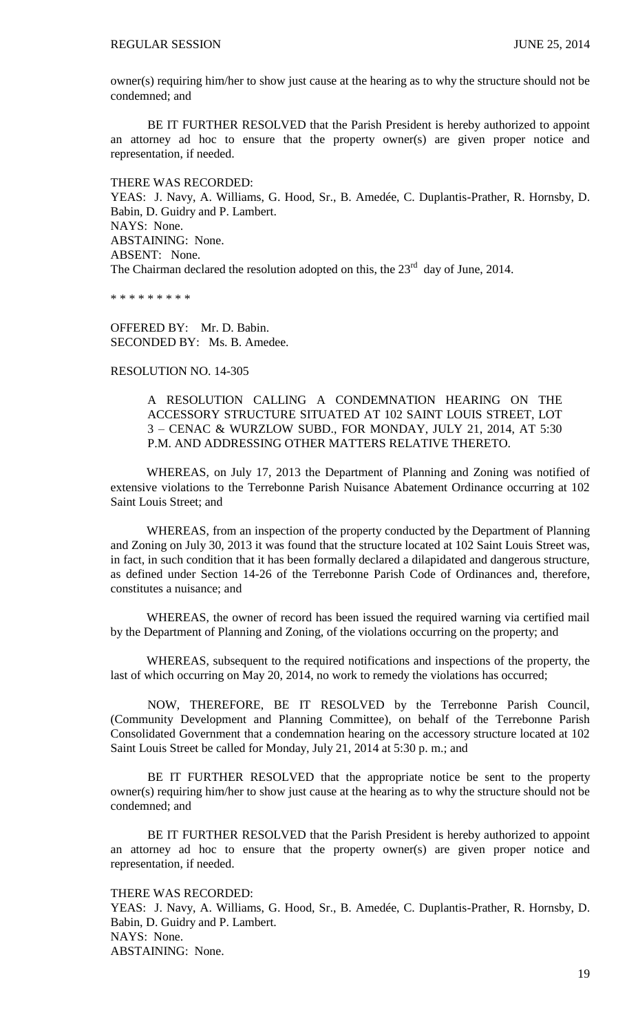owner(s) requiring him/her to show just cause at the hearing as to why the structure should not be condemned; and

BE IT FURTHER RESOLVED that the Parish President is hereby authorized to appoint an attorney ad hoc to ensure that the property owner(s) are given proper notice and representation, if needed.

THERE WAS RECORDED: YEAS: J. Navy, A. Williams, G. Hood, Sr., B. Amedée, C. Duplantis-Prather, R. Hornsby, D. Babin, D. Guidry and P. Lambert. NAYS: None. ABSTAINING: None. ABSENT: None. The Chairman declared the resolution adopted on this, the  $23<sup>rd</sup>$  day of June, 2014.

\* \* \* \* \* \* \* \*

OFFERED BY: Mr. D. Babin. SECONDED BY: Ms. B. Amedee.

### RESOLUTION NO. 14-305

A RESOLUTION CALLING A CONDEMNATION HEARING ON THE ACCESSORY STRUCTURE SITUATED AT 102 SAINT LOUIS STREET, LOT 3 – CENAC & WURZLOW SUBD., FOR MONDAY, JULY 21, 2014, AT 5:30 P.M. AND ADDRESSING OTHER MATTERS RELATIVE THERETO.

WHEREAS, on July 17, 2013 the Department of Planning and Zoning was notified of extensive violations to the Terrebonne Parish Nuisance Abatement Ordinance occurring at 102 Saint Louis Street; and

WHEREAS, from an inspection of the property conducted by the Department of Planning and Zoning on July 30, 2013 it was found that the structure located at 102 Saint Louis Street was, in fact, in such condition that it has been formally declared a dilapidated and dangerous structure, as defined under Section 14-26 of the Terrebonne Parish Code of Ordinances and, therefore, constitutes a nuisance; and

WHEREAS, the owner of record has been issued the required warning via certified mail by the Department of Planning and Zoning, of the violations occurring on the property; and

WHEREAS, subsequent to the required notifications and inspections of the property, the last of which occurring on May 20, 2014, no work to remedy the violations has occurred;

NOW, THEREFORE, BE IT RESOLVED by the Terrebonne Parish Council, (Community Development and Planning Committee), on behalf of the Terrebonne Parish Consolidated Government that a condemnation hearing on the accessory structure located at 102 Saint Louis Street be called for Monday, July 21, 2014 at 5:30 p. m.; and

BE IT FURTHER RESOLVED that the appropriate notice be sent to the property owner(s) requiring him/her to show just cause at the hearing as to why the structure should not be condemned; and

BE IT FURTHER RESOLVED that the Parish President is hereby authorized to appoint an attorney ad hoc to ensure that the property owner(s) are given proper notice and representation, if needed.

### THERE WAS RECORDED:

YEAS: J. Navy, A. Williams, G. Hood, Sr., B. Amedée, C. Duplantis-Prather, R. Hornsby, D. Babin, D. Guidry and P. Lambert. NAYS: None. ABSTAINING: None.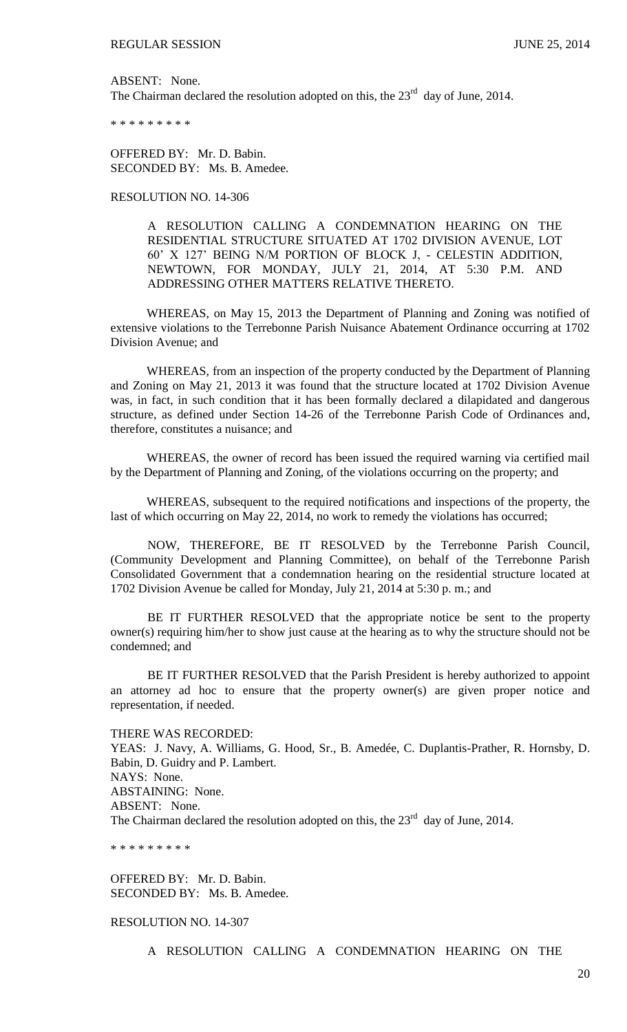ABSENT: None. The Chairman declared the resolution adopted on this, the  $23<sup>rd</sup>$  day of June, 2014.

\* \* \* \* \* \* \* \* \*

OFFERED BY: Mr. D. Babin. SECONDED BY: Ms. B. Amedee.

## RESOLUTION NO. 14-306

A RESOLUTION CALLING A CONDEMNATION HEARING ON THE RESIDENTIAL STRUCTURE SITUATED AT 1702 DIVISION AVENUE, LOT 60' X 127' BEING N/M PORTION OF BLOCK J, - CELESTIN ADDITION, NEWTOWN, FOR MONDAY, JULY 21, 2014, AT 5:30 P.M. AND ADDRESSING OTHER MATTERS RELATIVE THERETO.

WHEREAS, on May 15, 2013 the Department of Planning and Zoning was notified of extensive violations to the Terrebonne Parish Nuisance Abatement Ordinance occurring at 1702 Division Avenue; and

WHEREAS, from an inspection of the property conducted by the Department of Planning and Zoning on May 21, 2013 it was found that the structure located at 1702 Division Avenue was, in fact, in such condition that it has been formally declared a dilapidated and dangerous structure, as defined under Section 14-26 of the Terrebonne Parish Code of Ordinances and, therefore, constitutes a nuisance; and

WHEREAS, the owner of record has been issued the required warning via certified mail by the Department of Planning and Zoning, of the violations occurring on the property; and

WHEREAS, subsequent to the required notifications and inspections of the property, the last of which occurring on May 22, 2014, no work to remedy the violations has occurred;

NOW, THEREFORE, BE IT RESOLVED by the Terrebonne Parish Council, (Community Development and Planning Committee), on behalf of the Terrebonne Parish Consolidated Government that a condemnation hearing on the residential structure located at 1702 Division Avenue be called for Monday, July 21, 2014 at 5:30 p. m.; and

BE IT FURTHER RESOLVED that the appropriate notice be sent to the property owner(s) requiring him/her to show just cause at the hearing as to why the structure should not be condemned; and

BE IT FURTHER RESOLVED that the Parish President is hereby authorized to appoint an attorney ad hoc to ensure that the property owner(s) are given proper notice and representation, if needed.

THERE WAS RECORDED: YEAS: J. Navy, A. Williams, G. Hood, Sr., B. Amedée, C. Duplantis-Prather, R. Hornsby, D. Babin, D. Guidry and P. Lambert. NAYS: None. ABSTAINING: None. ABSENT: None. The Chairman declared the resolution adopted on this, the  $23<sup>rd</sup>$  day of June, 2014.

\* \* \* \* \* \* \* \* \*

OFFERED BY: Mr. D. Babin. SECONDED BY: Ms. B. Amedee.

RESOLUTION NO. 14-307

A RESOLUTION CALLING A CONDEMNATION HEARING ON THE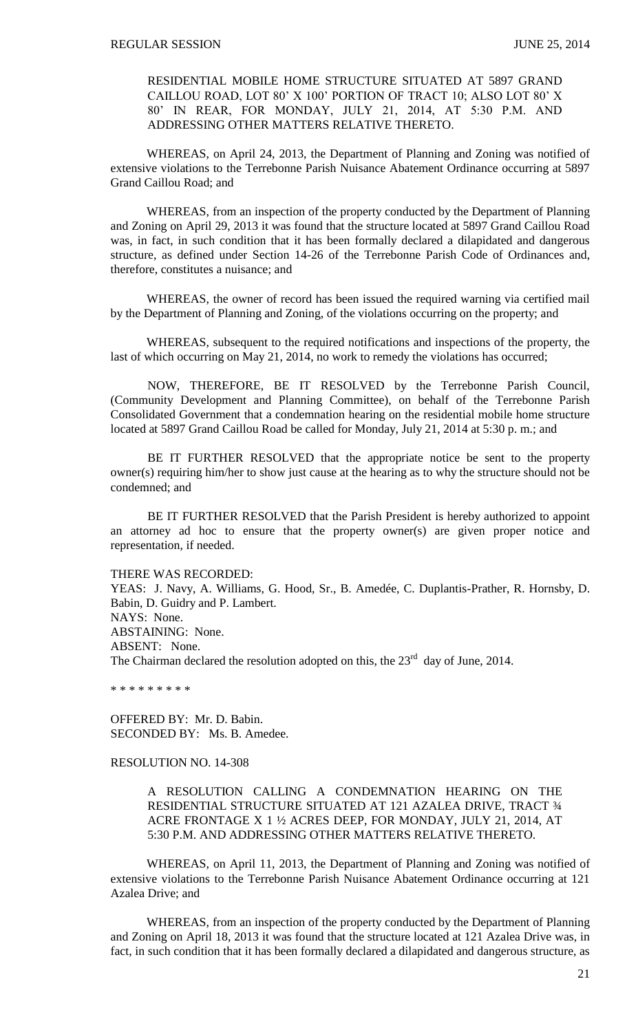RESIDENTIAL MOBILE HOME STRUCTURE SITUATED AT 5897 GRAND CAILLOU ROAD, LOT 80' X 100' PORTION OF TRACT 10; ALSO LOT 80' X 80' IN REAR, FOR MONDAY, JULY 21, 2014, AT 5:30 P.M. AND ADDRESSING OTHER MATTERS RELATIVE THERETO.

WHEREAS, on April 24, 2013, the Department of Planning and Zoning was notified of extensive violations to the Terrebonne Parish Nuisance Abatement Ordinance occurring at 5897 Grand Caillou Road; and

WHEREAS, from an inspection of the property conducted by the Department of Planning and Zoning on April 29, 2013 it was found that the structure located at 5897 Grand Caillou Road was, in fact, in such condition that it has been formally declared a dilapidated and dangerous structure, as defined under Section 14-26 of the Terrebonne Parish Code of Ordinances and, therefore, constitutes a nuisance; and

WHEREAS, the owner of record has been issued the required warning via certified mail by the Department of Planning and Zoning, of the violations occurring on the property; and

WHEREAS, subsequent to the required notifications and inspections of the property, the last of which occurring on May 21, 2014, no work to remedy the violations has occurred;

NOW, THEREFORE, BE IT RESOLVED by the Terrebonne Parish Council, (Community Development and Planning Committee), on behalf of the Terrebonne Parish Consolidated Government that a condemnation hearing on the residential mobile home structure located at 5897 Grand Caillou Road be called for Monday, July 21, 2014 at 5:30 p. m.; and

BE IT FURTHER RESOLVED that the appropriate notice be sent to the property owner(s) requiring him/her to show just cause at the hearing as to why the structure should not be condemned; and

BE IT FURTHER RESOLVED that the Parish President is hereby authorized to appoint an attorney ad hoc to ensure that the property owner(s) are given proper notice and representation, if needed.

#### THERE WAS RECORDED:

YEAS: J. Navy, A. Williams, G. Hood, Sr., B. Amedée, C. Duplantis-Prather, R. Hornsby, D. Babin, D. Guidry and P. Lambert. NAYS: None. ABSTAINING: None. ABSENT: None. The Chairman declared the resolution adopted on this, the  $23<sup>rd</sup>$  day of June, 2014.

\* \* \* \* \* \* \* \* \*

OFFERED BY: Mr. D. Babin. SECONDED BY: Ms. B. Amedee.

#### RESOLUTION NO. 14-308

A RESOLUTION CALLING A CONDEMNATION HEARING ON THE RESIDENTIAL STRUCTURE SITUATED AT 121 AZALEA DRIVE, TRACT ¾ ACRE FRONTAGE X 1 ½ ACRES DEEP, FOR MONDAY, JULY 21, 2014, AT 5:30 P.M. AND ADDRESSING OTHER MATTERS RELATIVE THERETO.

WHEREAS, on April 11, 2013, the Department of Planning and Zoning was notified of extensive violations to the Terrebonne Parish Nuisance Abatement Ordinance occurring at 121 Azalea Drive; and

WHEREAS, from an inspection of the property conducted by the Department of Planning and Zoning on April 18, 2013 it was found that the structure located at 121 Azalea Drive was, in fact, in such condition that it has been formally declared a dilapidated and dangerous structure, as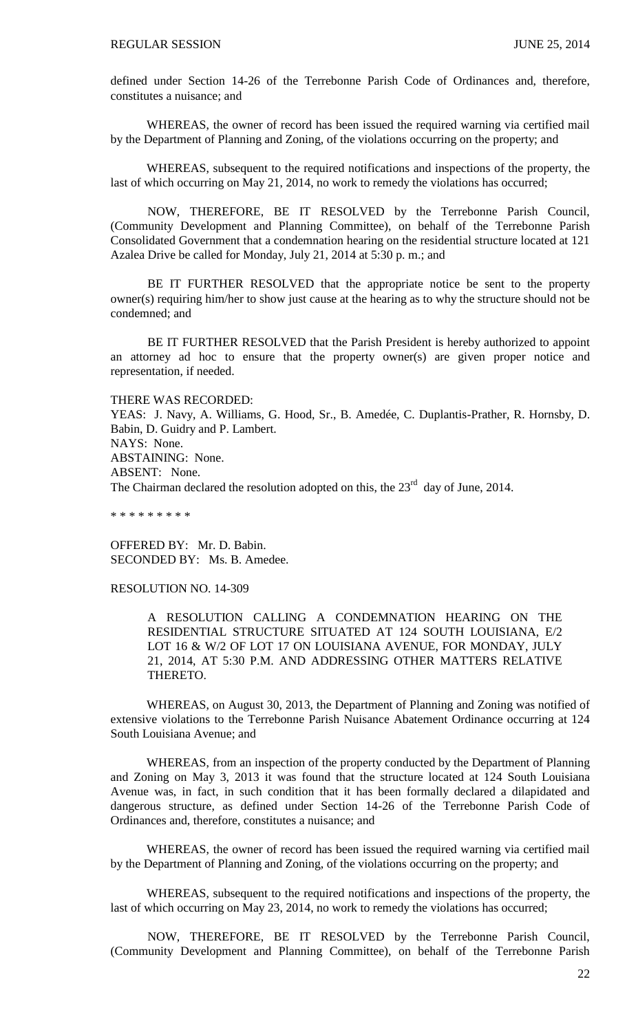defined under Section 14-26 of the Terrebonne Parish Code of Ordinances and, therefore, constitutes a nuisance; and

WHEREAS, the owner of record has been issued the required warning via certified mail by the Department of Planning and Zoning, of the violations occurring on the property; and

WHEREAS, subsequent to the required notifications and inspections of the property, the last of which occurring on May 21, 2014, no work to remedy the violations has occurred;

NOW, THEREFORE, BE IT RESOLVED by the Terrebonne Parish Council, (Community Development and Planning Committee), on behalf of the Terrebonne Parish Consolidated Government that a condemnation hearing on the residential structure located at 121 Azalea Drive be called for Monday, July 21, 2014 at 5:30 p. m.; and

BE IT FURTHER RESOLVED that the appropriate notice be sent to the property owner(s) requiring him/her to show just cause at the hearing as to why the structure should not be condemned; and

BE IT FURTHER RESOLVED that the Parish President is hereby authorized to appoint an attorney ad hoc to ensure that the property owner(s) are given proper notice and representation, if needed.

THERE WAS RECORDED:

YEAS: J. Navy, A. Williams, G. Hood, Sr., B. Amedée, C. Duplantis-Prather, R. Hornsby, D. Babin, D. Guidry and P. Lambert. NAYS: None. ABSTAINING: None. ABSENT: None. The Chairman declared the resolution adopted on this, the  $23<sup>rd</sup>$  day of June, 2014.

\* \* \* \* \* \* \* \* \*

OFFERED BY: Mr. D. Babin. SECONDED BY: Ms. B. Amedee.

RESOLUTION NO. 14-309

A RESOLUTION CALLING A CONDEMNATION HEARING ON THE RESIDENTIAL STRUCTURE SITUATED AT 124 SOUTH LOUISIANA, E/2 LOT 16 & W/2 OF LOT 17 ON LOUISIANA AVENUE, FOR MONDAY, JULY 21, 2014, AT 5:30 P.M. AND ADDRESSING OTHER MATTERS RELATIVE THERETO.

WHEREAS, on August 30, 2013, the Department of Planning and Zoning was notified of extensive violations to the Terrebonne Parish Nuisance Abatement Ordinance occurring at 124 South Louisiana Avenue; and

WHEREAS, from an inspection of the property conducted by the Department of Planning and Zoning on May 3, 2013 it was found that the structure located at 124 South Louisiana Avenue was, in fact, in such condition that it has been formally declared a dilapidated and dangerous structure, as defined under Section 14-26 of the Terrebonne Parish Code of Ordinances and, therefore, constitutes a nuisance; and

WHEREAS, the owner of record has been issued the required warning via certified mail by the Department of Planning and Zoning, of the violations occurring on the property; and

WHEREAS, subsequent to the required notifications and inspections of the property, the last of which occurring on May 23, 2014, no work to remedy the violations has occurred;

NOW, THEREFORE, BE IT RESOLVED by the Terrebonne Parish Council, (Community Development and Planning Committee), on behalf of the Terrebonne Parish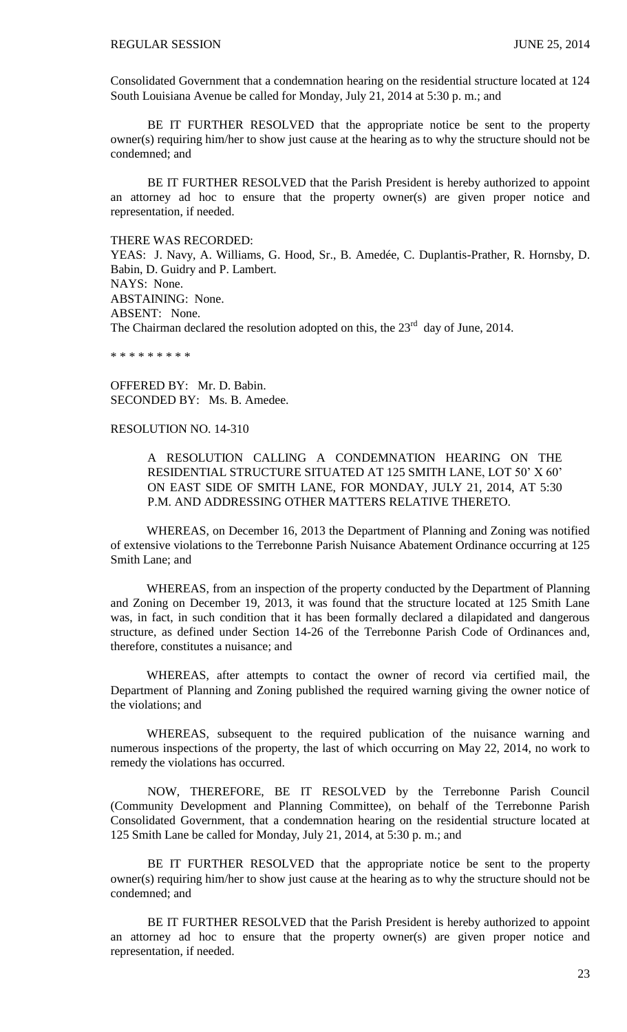Consolidated Government that a condemnation hearing on the residential structure located at 124 South Louisiana Avenue be called for Monday, July 21, 2014 at 5:30 p. m.; and

BE IT FURTHER RESOLVED that the appropriate notice be sent to the property owner(s) requiring him/her to show just cause at the hearing as to why the structure should not be condemned; and

BE IT FURTHER RESOLVED that the Parish President is hereby authorized to appoint an attorney ad hoc to ensure that the property owner(s) are given proper notice and representation, if needed.

#### THERE WAS RECORDED:

YEAS: J. Navy, A. Williams, G. Hood, Sr., B. Amedée, C. Duplantis-Prather, R. Hornsby, D. Babin, D. Guidry and P. Lambert. NAYS: None. ABSTAINING: None. ABSENT: None. The Chairman declared the resolution adopted on this, the  $23<sup>rd</sup>$  day of June, 2014.

\* \* \* \* \* \* \* \* \*

OFFERED BY: Mr. D. Babin. SECONDED BY: Ms. B. Amedee.

### RESOLUTION NO. 14-310

A RESOLUTION CALLING A CONDEMNATION HEARING ON THE RESIDENTIAL STRUCTURE SITUATED AT 125 SMITH LANE, LOT 50' X 60' ON EAST SIDE OF SMITH LANE, FOR MONDAY, JULY 21, 2014, AT 5:30 P.M. AND ADDRESSING OTHER MATTERS RELATIVE THERETO.

WHEREAS, on December 16, 2013 the Department of Planning and Zoning was notified of extensive violations to the Terrebonne Parish Nuisance Abatement Ordinance occurring at 125 Smith Lane; and

WHEREAS, from an inspection of the property conducted by the Department of Planning and Zoning on December 19, 2013, it was found that the structure located at 125 Smith Lane was, in fact, in such condition that it has been formally declared a dilapidated and dangerous structure, as defined under Section 14-26 of the Terrebonne Parish Code of Ordinances and, therefore, constitutes a nuisance; and

WHEREAS, after attempts to contact the owner of record via certified mail, the Department of Planning and Zoning published the required warning giving the owner notice of the violations; and

WHEREAS, subsequent to the required publication of the nuisance warning and numerous inspections of the property, the last of which occurring on May 22, 2014, no work to remedy the violations has occurred.

NOW, THEREFORE, BE IT RESOLVED by the Terrebonne Parish Council (Community Development and Planning Committee), on behalf of the Terrebonne Parish Consolidated Government, that a condemnation hearing on the residential structure located at 125 Smith Lane be called for Monday, July 21, 2014, at 5:30 p. m.; and

BE IT FURTHER RESOLVED that the appropriate notice be sent to the property owner(s) requiring him/her to show just cause at the hearing as to why the structure should not be condemned; and

BE IT FURTHER RESOLVED that the Parish President is hereby authorized to appoint an attorney ad hoc to ensure that the property owner(s) are given proper notice and representation, if needed.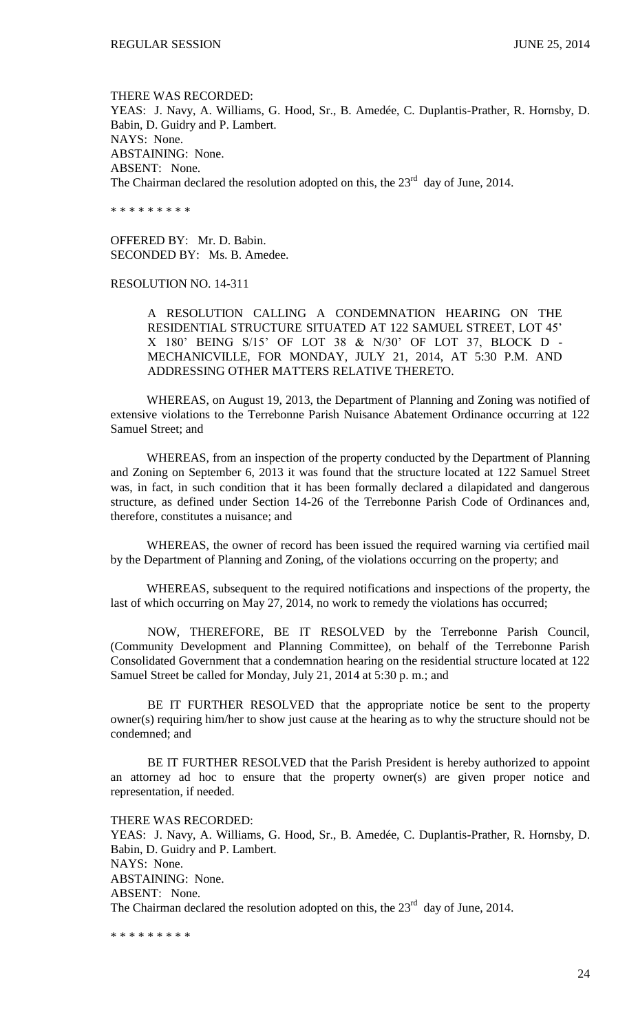THERE WAS RECORDED:

YEAS: J. Navy, A. Williams, G. Hood, Sr., B. Amedée, C. Duplantis-Prather, R. Hornsby, D. Babin, D. Guidry and P. Lambert. NAYS: None. ABSTAINING: None. ABSENT: None. The Chairman declared the resolution adopted on this, the  $23<sup>rd</sup>$  day of June, 2014.

\* \* \* \* \* \* \* \* \*

OFFERED BY: Mr. D. Babin. SECONDED BY: Ms. B. Amedee.

## RESOLUTION NO. 14-311

A RESOLUTION CALLING A CONDEMNATION HEARING ON THE RESIDENTIAL STRUCTURE SITUATED AT 122 SAMUEL STREET, LOT 45' X 180' BEING S/15' OF LOT 38 & N/30' OF LOT 37, BLOCK D - MECHANICVILLE, FOR MONDAY, JULY 21, 2014, AT 5:30 P.M. AND ADDRESSING OTHER MATTERS RELATIVE THERETO.

WHEREAS, on August 19, 2013, the Department of Planning and Zoning was notified of extensive violations to the Terrebonne Parish Nuisance Abatement Ordinance occurring at 122 Samuel Street; and

WHEREAS, from an inspection of the property conducted by the Department of Planning and Zoning on September 6, 2013 it was found that the structure located at 122 Samuel Street was, in fact, in such condition that it has been formally declared a dilapidated and dangerous structure, as defined under Section 14-26 of the Terrebonne Parish Code of Ordinances and, therefore, constitutes a nuisance; and

WHEREAS, the owner of record has been issued the required warning via certified mail by the Department of Planning and Zoning, of the violations occurring on the property; and

WHEREAS, subsequent to the required notifications and inspections of the property, the last of which occurring on May 27, 2014, no work to remedy the violations has occurred;

NOW, THEREFORE, BE IT RESOLVED by the Terrebonne Parish Council, (Community Development and Planning Committee), on behalf of the Terrebonne Parish Consolidated Government that a condemnation hearing on the residential structure located at 122 Samuel Street be called for Monday, July 21, 2014 at 5:30 p. m.; and

BE IT FURTHER RESOLVED that the appropriate notice be sent to the property owner(s) requiring him/her to show just cause at the hearing as to why the structure should not be condemned; and

BE IT FURTHER RESOLVED that the Parish President is hereby authorized to appoint an attorney ad hoc to ensure that the property owner(s) are given proper notice and representation, if needed.

THERE WAS RECORDED:

YEAS: J. Navy, A. Williams, G. Hood, Sr., B. Amedée, C. Duplantis-Prather, R. Hornsby, D. Babin, D. Guidry and P. Lambert. NAYS: None. ABSTAINING: None. ABSENT: None. The Chairman declared the resolution adopted on this, the  $23<sup>rd</sup>$  day of June, 2014.

\* \* \* \* \* \* \* \* \*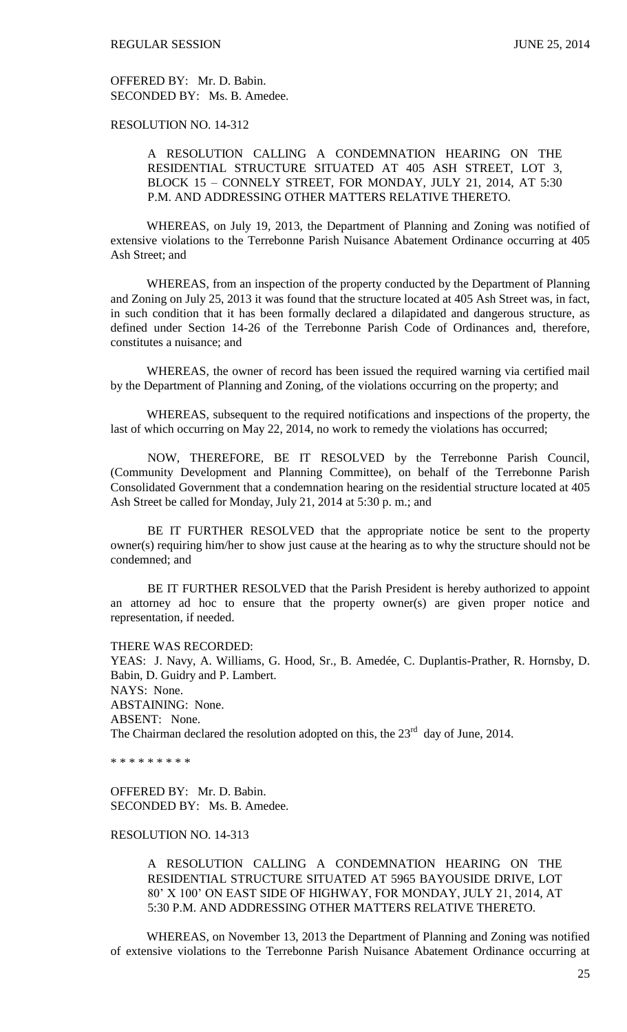OFFERED BY: Mr. D. Babin. SECONDED BY: Ms. B. Amedee.

## RESOLUTION NO. 14-312

## A RESOLUTION CALLING A CONDEMNATION HEARING ON THE RESIDENTIAL STRUCTURE SITUATED AT 405 ASH STREET, LOT 3, BLOCK 15 – CONNELY STREET, FOR MONDAY, JULY 21, 2014, AT 5:30 P.M. AND ADDRESSING OTHER MATTERS RELATIVE THERETO.

WHEREAS, on July 19, 2013, the Department of Planning and Zoning was notified of extensive violations to the Terrebonne Parish Nuisance Abatement Ordinance occurring at 405 Ash Street; and

WHEREAS, from an inspection of the property conducted by the Department of Planning and Zoning on July 25, 2013 it was found that the structure located at 405 Ash Street was, in fact, in such condition that it has been formally declared a dilapidated and dangerous structure, as defined under Section 14-26 of the Terrebonne Parish Code of Ordinances and, therefore, constitutes a nuisance; and

WHEREAS, the owner of record has been issued the required warning via certified mail by the Department of Planning and Zoning, of the violations occurring on the property; and

WHEREAS, subsequent to the required notifications and inspections of the property, the last of which occurring on May 22, 2014, no work to remedy the violations has occurred;

NOW, THEREFORE, BE IT RESOLVED by the Terrebonne Parish Council, (Community Development and Planning Committee), on behalf of the Terrebonne Parish Consolidated Government that a condemnation hearing on the residential structure located at 405 Ash Street be called for Monday, July 21, 2014 at 5:30 p. m.; and

BE IT FURTHER RESOLVED that the appropriate notice be sent to the property owner(s) requiring him/her to show just cause at the hearing as to why the structure should not be condemned; and

BE IT FURTHER RESOLVED that the Parish President is hereby authorized to appoint an attorney ad hoc to ensure that the property owner(s) are given proper notice and representation, if needed.

THERE WAS RECORDED: YEAS: J. Navy, A. Williams, G. Hood, Sr., B. Amedée, C. Duplantis-Prather, R. Hornsby, D. Babin, D. Guidry and P. Lambert. NAYS: None. ABSTAINING: None. ABSENT: None. The Chairman declared the resolution adopted on this, the  $23<sup>rd</sup>$  day of June, 2014.

\* \* \* \* \* \* \* \* \*

OFFERED BY: Mr. D. Babin. SECONDED BY: Ms. B. Amedee.

## RESOLUTION NO. 14-313

A RESOLUTION CALLING A CONDEMNATION HEARING ON THE RESIDENTIAL STRUCTURE SITUATED AT 5965 BAYOUSIDE DRIVE, LOT 80' X 100' ON EAST SIDE OF HIGHWAY, FOR MONDAY, JULY 21, 2014, AT 5:30 P.M. AND ADDRESSING OTHER MATTERS RELATIVE THERETO.

WHEREAS, on November 13, 2013 the Department of Planning and Zoning was notified of extensive violations to the Terrebonne Parish Nuisance Abatement Ordinance occurring at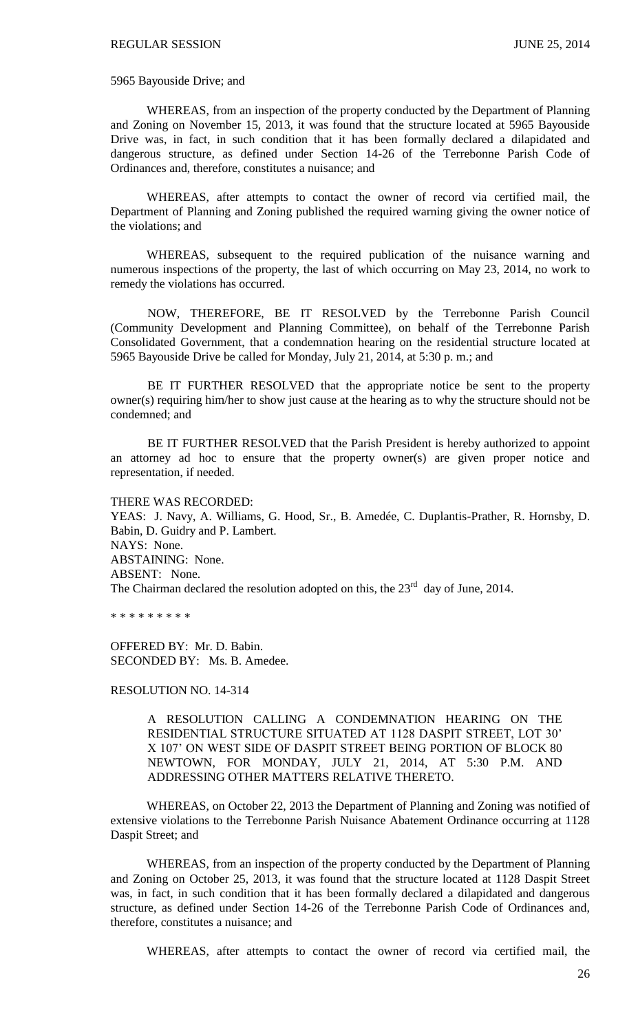5965 Bayouside Drive; and

WHEREAS, from an inspection of the property conducted by the Department of Planning and Zoning on November 15, 2013, it was found that the structure located at 5965 Bayouside Drive was, in fact, in such condition that it has been formally declared a dilapidated and dangerous structure, as defined under Section 14-26 of the Terrebonne Parish Code of Ordinances and, therefore, constitutes a nuisance; and

WHEREAS, after attempts to contact the owner of record via certified mail, the Department of Planning and Zoning published the required warning giving the owner notice of the violations; and

WHEREAS, subsequent to the required publication of the nuisance warning and numerous inspections of the property, the last of which occurring on May 23, 2014, no work to remedy the violations has occurred.

NOW, THEREFORE, BE IT RESOLVED by the Terrebonne Parish Council (Community Development and Planning Committee), on behalf of the Terrebonne Parish Consolidated Government, that a condemnation hearing on the residential structure located at 5965 Bayouside Drive be called for Monday, July 21, 2014, at 5:30 p. m.; and

BE IT FURTHER RESOLVED that the appropriate notice be sent to the property owner(s) requiring him/her to show just cause at the hearing as to why the structure should not be condemned; and

BE IT FURTHER RESOLVED that the Parish President is hereby authorized to appoint an attorney ad hoc to ensure that the property owner(s) are given proper notice and representation, if needed.

THERE WAS RECORDED:

YEAS: J. Navy, A. Williams, G. Hood, Sr., B. Amedée, C. Duplantis-Prather, R. Hornsby, D. Babin, D. Guidry and P. Lambert. NAYS: None. ABSTAINING: None. ABSENT: None. The Chairman declared the resolution adopted on this, the  $23<sup>rd</sup>$  day of June, 2014.

\* \* \* \* \* \* \* \* \*

OFFERED BY: Mr. D. Babin. SECONDED BY: Ms. B. Amedee.

RESOLUTION NO. 14-314

A RESOLUTION CALLING A CONDEMNATION HEARING ON THE RESIDENTIAL STRUCTURE SITUATED AT 1128 DASPIT STREET, LOT 30' X 107' ON WEST SIDE OF DASPIT STREET BEING PORTION OF BLOCK 80 NEWTOWN, FOR MONDAY, JULY 21, 2014, AT 5:30 P.M. AND ADDRESSING OTHER MATTERS RELATIVE THERETO.

WHEREAS, on October 22, 2013 the Department of Planning and Zoning was notified of extensive violations to the Terrebonne Parish Nuisance Abatement Ordinance occurring at 1128 Daspit Street; and

WHEREAS, from an inspection of the property conducted by the Department of Planning and Zoning on October 25, 2013, it was found that the structure located at 1128 Daspit Street was, in fact, in such condition that it has been formally declared a dilapidated and dangerous structure, as defined under Section 14-26 of the Terrebonne Parish Code of Ordinances and, therefore, constitutes a nuisance; and

WHEREAS, after attempts to contact the owner of record via certified mail, the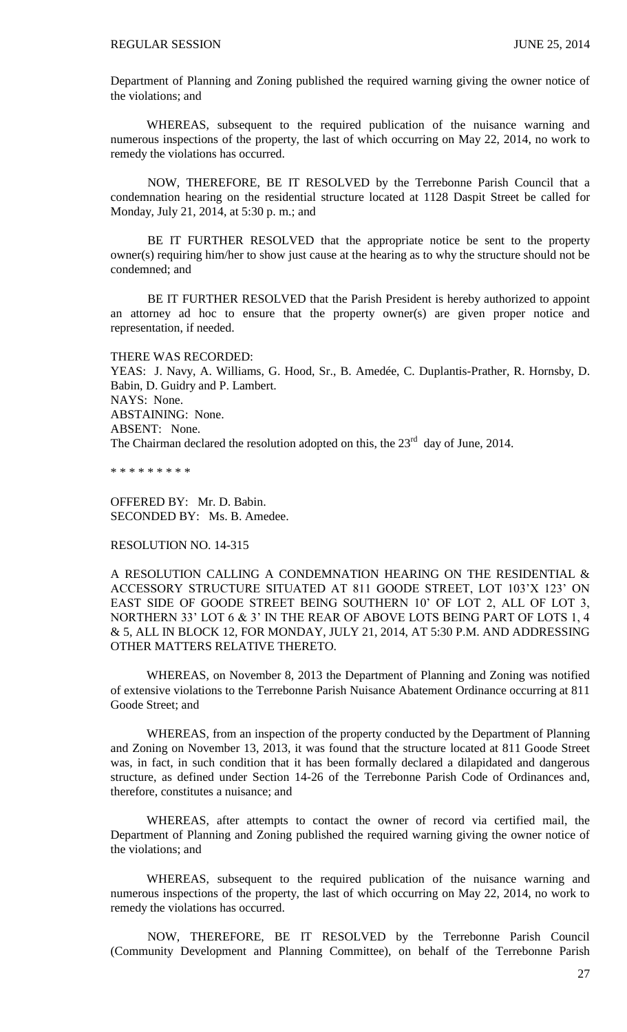Department of Planning and Zoning published the required warning giving the owner notice of the violations; and

WHEREAS, subsequent to the required publication of the nuisance warning and numerous inspections of the property, the last of which occurring on May 22, 2014, no work to remedy the violations has occurred.

NOW, THEREFORE, BE IT RESOLVED by the Terrebonne Parish Council that a condemnation hearing on the residential structure located at 1128 Daspit Street be called for Monday, July 21, 2014, at 5:30 p. m.; and

BE IT FURTHER RESOLVED that the appropriate notice be sent to the property owner(s) requiring him/her to show just cause at the hearing as to why the structure should not be condemned; and

BE IT FURTHER RESOLVED that the Parish President is hereby authorized to appoint an attorney ad hoc to ensure that the property owner(s) are given proper notice and representation, if needed.

THERE WAS RECORDED: YEAS: J. Navy, A. Williams, G. Hood, Sr., B. Amedée, C. Duplantis-Prather, R. Hornsby, D. Babin, D. Guidry and P. Lambert. NAYS: None. ABSTAINING: None. ABSENT: None. The Chairman declared the resolution adopted on this, the  $23<sup>rd</sup>$  day of June, 2014.

\* \* \* \* \* \* \* \* \*

OFFERED BY: Mr. D. Babin. SECONDED BY: Ms. B. Amedee.

RESOLUTION NO. 14-315

A RESOLUTION CALLING A CONDEMNATION HEARING ON THE RESIDENTIAL & ACCESSORY STRUCTURE SITUATED AT 811 GOODE STREET, LOT 103'X 123' ON EAST SIDE OF GOODE STREET BEING SOUTHERN 10' OF LOT 2, ALL OF LOT 3, NORTHERN 33' LOT 6 & 3' IN THE REAR OF ABOVE LOTS BEING PART OF LOTS 1, 4 & 5, ALL IN BLOCK 12, FOR MONDAY, JULY 21, 2014, AT 5:30 P.M. AND ADDRESSING OTHER MATTERS RELATIVE THERETO.

WHEREAS, on November 8, 2013 the Department of Planning and Zoning was notified of extensive violations to the Terrebonne Parish Nuisance Abatement Ordinance occurring at 811 Goode Street; and

WHEREAS, from an inspection of the property conducted by the Department of Planning and Zoning on November 13, 2013, it was found that the structure located at 811 Goode Street was, in fact, in such condition that it has been formally declared a dilapidated and dangerous structure, as defined under Section 14-26 of the Terrebonne Parish Code of Ordinances and, therefore, constitutes a nuisance; and

WHEREAS, after attempts to contact the owner of record via certified mail, the Department of Planning and Zoning published the required warning giving the owner notice of the violations; and

WHEREAS, subsequent to the required publication of the nuisance warning and numerous inspections of the property, the last of which occurring on May 22, 2014, no work to remedy the violations has occurred.

NOW, THEREFORE, BE IT RESOLVED by the Terrebonne Parish Council (Community Development and Planning Committee), on behalf of the Terrebonne Parish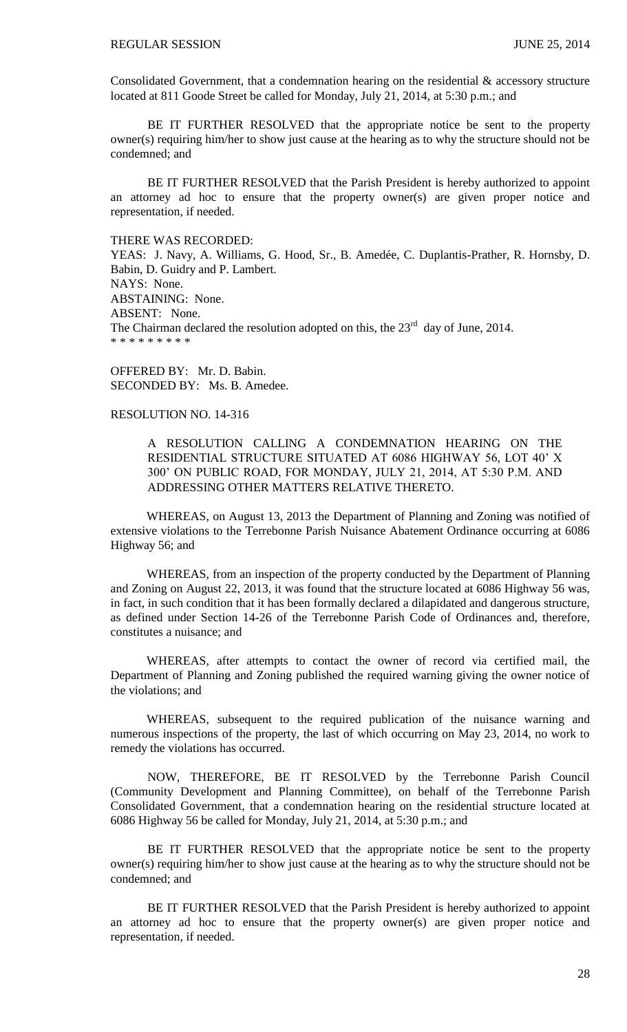Consolidated Government, that a condemnation hearing on the residential & accessory structure located at 811 Goode Street be called for Monday, July 21, 2014, at 5:30 p.m.; and

BE IT FURTHER RESOLVED that the appropriate notice be sent to the property owner(s) requiring him/her to show just cause at the hearing as to why the structure should not be condemned; and

BE IT FURTHER RESOLVED that the Parish President is hereby authorized to appoint an attorney ad hoc to ensure that the property owner(s) are given proper notice and representation, if needed.

#### THERE WAS RECORDED:

YEAS: J. Navy, A. Williams, G. Hood, Sr., B. Amedée, C. Duplantis-Prather, R. Hornsby, D. Babin, D. Guidry and P. Lambert. NAYS: None. ABSTAINING: None. ABSENT: None. The Chairman declared the resolution adopted on this, the  $23<sup>rd</sup>$  day of June, 2014. \* \* \* \* \* \* \* \* \*

OFFERED BY: Mr. D. Babin. SECONDED BY: Ms. B. Amedee.

### RESOLUTION NO. 14-316

A RESOLUTION CALLING A CONDEMNATION HEARING ON THE RESIDENTIAL STRUCTURE SITUATED AT 6086 HIGHWAY 56, LOT 40' X 300' ON PUBLIC ROAD, FOR MONDAY, JULY 21, 2014, AT 5:30 P.M. AND ADDRESSING OTHER MATTERS RELATIVE THERETO.

WHEREAS, on August 13, 2013 the Department of Planning and Zoning was notified of extensive violations to the Terrebonne Parish Nuisance Abatement Ordinance occurring at 6086 Highway 56; and

WHEREAS, from an inspection of the property conducted by the Department of Planning and Zoning on August 22, 2013, it was found that the structure located at 6086 Highway 56 was, in fact, in such condition that it has been formally declared a dilapidated and dangerous structure, as defined under Section 14-26 of the Terrebonne Parish Code of Ordinances and, therefore, constitutes a nuisance; and

WHEREAS, after attempts to contact the owner of record via certified mail, the Department of Planning and Zoning published the required warning giving the owner notice of the violations; and

WHEREAS, subsequent to the required publication of the nuisance warning and numerous inspections of the property, the last of which occurring on May 23, 2014, no work to remedy the violations has occurred.

NOW, THEREFORE, BE IT RESOLVED by the Terrebonne Parish Council (Community Development and Planning Committee), on behalf of the Terrebonne Parish Consolidated Government, that a condemnation hearing on the residential structure located at 6086 Highway 56 be called for Monday, July 21, 2014, at 5:30 p.m.; and

BE IT FURTHER RESOLVED that the appropriate notice be sent to the property owner(s) requiring him/her to show just cause at the hearing as to why the structure should not be condemned; and

BE IT FURTHER RESOLVED that the Parish President is hereby authorized to appoint an attorney ad hoc to ensure that the property owner(s) are given proper notice and representation, if needed.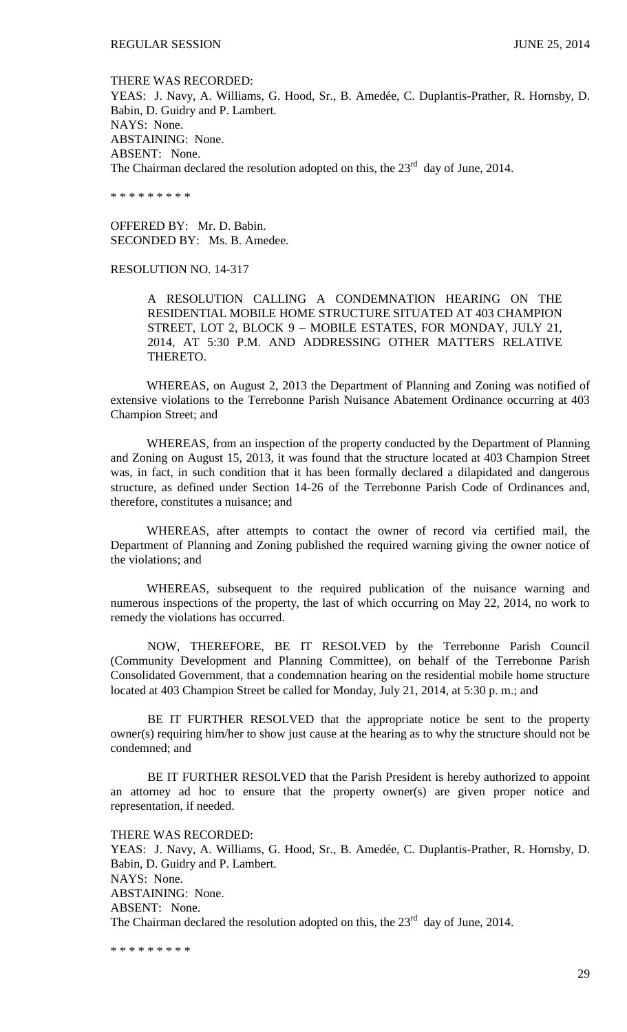#### THERE WAS RECORDED:

YEAS: J. Navy, A. Williams, G. Hood, Sr., B. Amedée, C. Duplantis-Prather, R. Hornsby, D. Babin, D. Guidry and P. Lambert. NAYS: None. ABSTAINING: None. ABSENT: None. The Chairman declared the resolution adopted on this, the  $23<sup>rd</sup>$  day of June, 2014.

\* \* \* \* \* \* \* \* \*

OFFERED BY: Mr. D. Babin. SECONDED BY: Ms. B. Amedee.

## RESOLUTION NO. 14-317

A RESOLUTION CALLING A CONDEMNATION HEARING ON THE RESIDENTIAL MOBILE HOME STRUCTURE SITUATED AT 403 CHAMPION STREET, LOT 2, BLOCK 9 – MOBILE ESTATES, FOR MONDAY, JULY 21, 2014, AT 5:30 P.M. AND ADDRESSING OTHER MATTERS RELATIVE THERETO.

WHEREAS, on August 2, 2013 the Department of Planning and Zoning was notified of extensive violations to the Terrebonne Parish Nuisance Abatement Ordinance occurring at 403 Champion Street; and

WHEREAS, from an inspection of the property conducted by the Department of Planning and Zoning on August 15, 2013, it was found that the structure located at 403 Champion Street was, in fact, in such condition that it has been formally declared a dilapidated and dangerous structure, as defined under Section 14-26 of the Terrebonne Parish Code of Ordinances and, therefore, constitutes a nuisance; and

WHEREAS, after attempts to contact the owner of record via certified mail, the Department of Planning and Zoning published the required warning giving the owner notice of the violations; and

WHEREAS, subsequent to the required publication of the nuisance warning and numerous inspections of the property, the last of which occurring on May 22, 2014, no work to remedy the violations has occurred.

NOW, THEREFORE, BE IT RESOLVED by the Terrebonne Parish Council (Community Development and Planning Committee), on behalf of the Terrebonne Parish Consolidated Government, that a condemnation hearing on the residential mobile home structure located at 403 Champion Street be called for Monday, July 21, 2014, at 5:30 p. m.; and

BE IT FURTHER RESOLVED that the appropriate notice be sent to the property owner(s) requiring him/her to show just cause at the hearing as to why the structure should not be condemned; and

BE IT FURTHER RESOLVED that the Parish President is hereby authorized to appoint an attorney ad hoc to ensure that the property owner(s) are given proper notice and representation, if needed.

THERE WAS RECORDED: YEAS: J. Navy, A. Williams, G. Hood, Sr., B. Amedée, C. Duplantis-Prather, R. Hornsby, D. Babin, D. Guidry and P. Lambert. NAYS: None. ABSTAINING: None. ABSENT: None. The Chairman declared the resolution adopted on this, the  $23<sup>rd</sup>$  day of June, 2014.

\* \* \* \* \* \* \* \* \*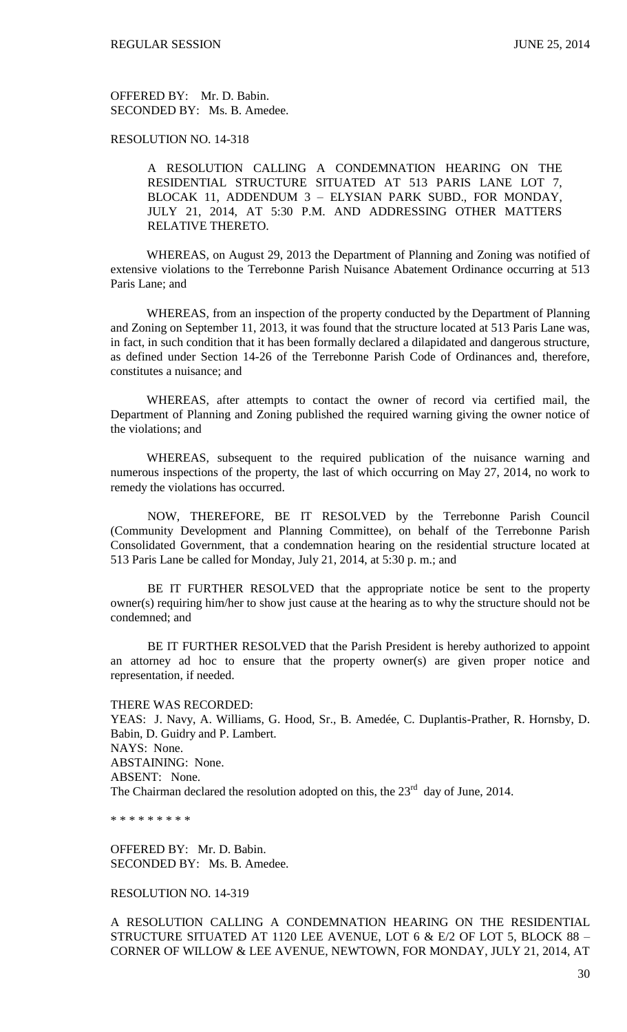OFFERED BY: Mr. D. Babin. SECONDED BY: Ms. B. Amedee.

## RESOLUTION NO. 14-318

A RESOLUTION CALLING A CONDEMNATION HEARING ON THE RESIDENTIAL STRUCTURE SITUATED AT 513 PARIS LANE LOT 7, BLOCAK 11, ADDENDUM 3 – ELYSIAN PARK SUBD., FOR MONDAY, JULY 21, 2014, AT 5:30 P.M. AND ADDRESSING OTHER MATTERS RELATIVE THERETO.

WHEREAS, on August 29, 2013 the Department of Planning and Zoning was notified of extensive violations to the Terrebonne Parish Nuisance Abatement Ordinance occurring at 513 Paris Lane; and

WHEREAS, from an inspection of the property conducted by the Department of Planning and Zoning on September 11, 2013, it was found that the structure located at 513 Paris Lane was, in fact, in such condition that it has been formally declared a dilapidated and dangerous structure, as defined under Section 14-26 of the Terrebonne Parish Code of Ordinances and, therefore, constitutes a nuisance; and

WHEREAS, after attempts to contact the owner of record via certified mail, the Department of Planning and Zoning published the required warning giving the owner notice of the violations; and

WHEREAS, subsequent to the required publication of the nuisance warning and numerous inspections of the property, the last of which occurring on May 27, 2014, no work to remedy the violations has occurred.

NOW, THEREFORE, BE IT RESOLVED by the Terrebonne Parish Council (Community Development and Planning Committee), on behalf of the Terrebonne Parish Consolidated Government, that a condemnation hearing on the residential structure located at 513 Paris Lane be called for Monday, July 21, 2014, at 5:30 p. m.; and

BE IT FURTHER RESOLVED that the appropriate notice be sent to the property owner(s) requiring him/her to show just cause at the hearing as to why the structure should not be condemned; and

BE IT FURTHER RESOLVED that the Parish President is hereby authorized to appoint an attorney ad hoc to ensure that the property owner(s) are given proper notice and representation, if needed.

THERE WAS RECORDED: YEAS: J. Navy, A. Williams, G. Hood, Sr., B. Amedée, C. Duplantis-Prather, R. Hornsby, D. Babin, D. Guidry and P. Lambert. NAYS: None. ABSTAINING: None. ABSENT: None. The Chairman declared the resolution adopted on this, the  $23<sup>rd</sup>$  day of June, 2014.

\* \* \* \* \* \* \* \* \*

OFFERED BY: Mr. D. Babin. SECONDED BY: Ms. B. Amedee.

### RESOLUTION NO. 14-319

A RESOLUTION CALLING A CONDEMNATION HEARING ON THE RESIDENTIAL STRUCTURE SITUATED AT 1120 LEE AVENUE, LOT 6 & E/2 OF LOT 5, BLOCK 88 – CORNER OF WILLOW & LEE AVENUE, NEWTOWN, FOR MONDAY, JULY 21, 2014, AT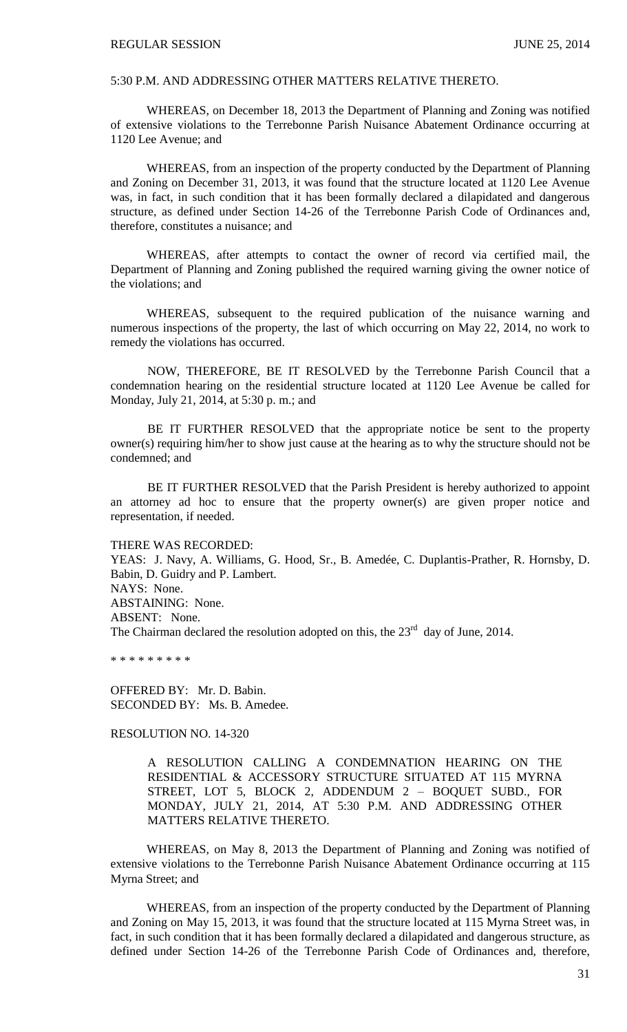## 5:30 P.M. AND ADDRESSING OTHER MATTERS RELATIVE THERETO.

WHEREAS, on December 18, 2013 the Department of Planning and Zoning was notified of extensive violations to the Terrebonne Parish Nuisance Abatement Ordinance occurring at 1120 Lee Avenue; and

WHEREAS, from an inspection of the property conducted by the Department of Planning and Zoning on December 31, 2013, it was found that the structure located at 1120 Lee Avenue was, in fact, in such condition that it has been formally declared a dilapidated and dangerous structure, as defined under Section 14-26 of the Terrebonne Parish Code of Ordinances and, therefore, constitutes a nuisance; and

WHEREAS, after attempts to contact the owner of record via certified mail, the Department of Planning and Zoning published the required warning giving the owner notice of the violations; and

WHEREAS, subsequent to the required publication of the nuisance warning and numerous inspections of the property, the last of which occurring on May 22, 2014, no work to remedy the violations has occurred.

NOW, THEREFORE, BE IT RESOLVED by the Terrebonne Parish Council that a condemnation hearing on the residential structure located at 1120 Lee Avenue be called for Monday, July 21, 2014, at 5:30 p. m.; and

BE IT FURTHER RESOLVED that the appropriate notice be sent to the property owner(s) requiring him/her to show just cause at the hearing as to why the structure should not be condemned; and

BE IT FURTHER RESOLVED that the Parish President is hereby authorized to appoint an attorney ad hoc to ensure that the property owner(s) are given proper notice and representation, if needed.

#### THERE WAS RECORDED:

YEAS: J. Navy, A. Williams, G. Hood, Sr., B. Amedée, C. Duplantis-Prather, R. Hornsby, D. Babin, D. Guidry and P. Lambert. NAYS: None. ABSTAINING: None. ABSENT: None. The Chairman declared the resolution adopted on this, the  $23<sup>rd</sup>$  day of June, 2014.

\* \* \* \* \* \* \* \* \*

OFFERED BY: Mr. D. Babin. SECONDED BY: Ms. B. Amedee.

RESOLUTION NO. 14-320

A RESOLUTION CALLING A CONDEMNATION HEARING ON THE RESIDENTIAL & ACCESSORY STRUCTURE SITUATED AT 115 MYRNA STREET, LOT 5, BLOCK 2, ADDENDUM 2 – BOQUET SUBD., FOR MONDAY, JULY 21, 2014, AT 5:30 P.M. AND ADDRESSING OTHER MATTERS RELATIVE THERETO.

WHEREAS, on May 8, 2013 the Department of Planning and Zoning was notified of extensive violations to the Terrebonne Parish Nuisance Abatement Ordinance occurring at 115 Myrna Street; and

WHEREAS, from an inspection of the property conducted by the Department of Planning and Zoning on May 15, 2013, it was found that the structure located at 115 Myrna Street was, in fact, in such condition that it has been formally declared a dilapidated and dangerous structure, as defined under Section 14-26 of the Terrebonne Parish Code of Ordinances and, therefore,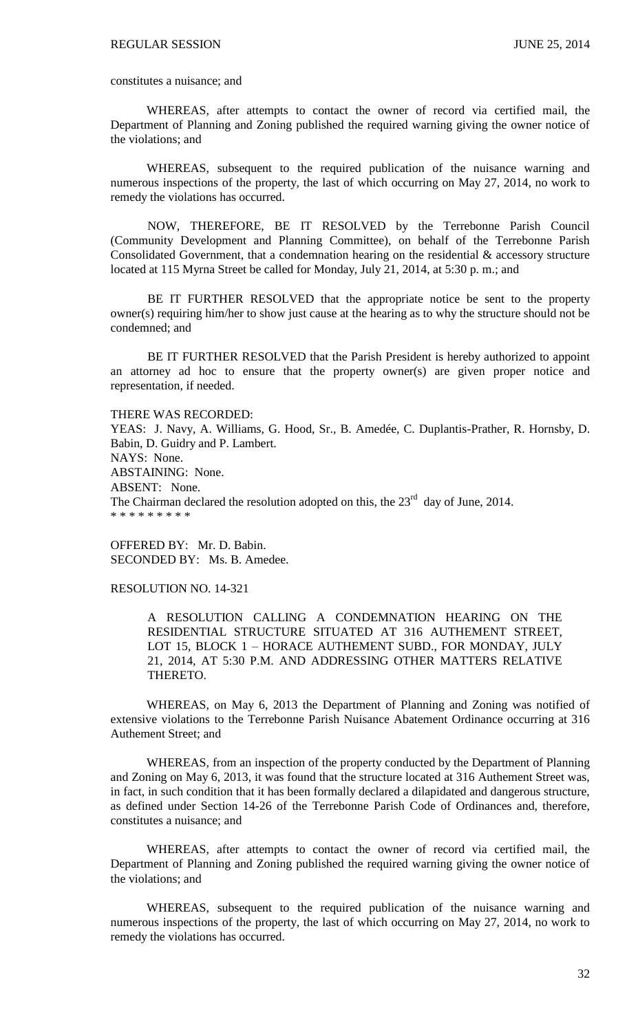constitutes a nuisance; and

WHEREAS, after attempts to contact the owner of record via certified mail, the Department of Planning and Zoning published the required warning giving the owner notice of the violations; and

WHEREAS, subsequent to the required publication of the nuisance warning and numerous inspections of the property, the last of which occurring on May 27, 2014, no work to remedy the violations has occurred.

NOW, THEREFORE, BE IT RESOLVED by the Terrebonne Parish Council (Community Development and Planning Committee), on behalf of the Terrebonne Parish Consolidated Government, that a condemnation hearing on the residential & accessory structure located at 115 Myrna Street be called for Monday, July 21, 2014, at 5:30 p. m.; and

BE IT FURTHER RESOLVED that the appropriate notice be sent to the property owner(s) requiring him/her to show just cause at the hearing as to why the structure should not be condemned; and

BE IT FURTHER RESOLVED that the Parish President is hereby authorized to appoint an attorney ad hoc to ensure that the property owner(s) are given proper notice and representation, if needed.

#### THERE WAS RECORDED:

YEAS: J. Navy, A. Williams, G. Hood, Sr., B. Amedée, C. Duplantis-Prather, R. Hornsby, D. Babin, D. Guidry and P. Lambert. NAYS: None. ABSTAINING: None. ABSENT: None. The Chairman declared the resolution adopted on this, the  $23<sup>rd</sup>$  day of June, 2014. \* \* \* \* \* \* \* \* \*

OFFERED BY: Mr. D. Babin. SECONDED BY: Ms. B. Amedee.

### RESOLUTION NO. 14-321

A RESOLUTION CALLING A CONDEMNATION HEARING ON THE RESIDENTIAL STRUCTURE SITUATED AT 316 AUTHEMENT STREET, LOT 15, BLOCK 1 – HORACE AUTHEMENT SUBD., FOR MONDAY, JULY 21, 2014, AT 5:30 P.M. AND ADDRESSING OTHER MATTERS RELATIVE THERETO.

WHEREAS, on May 6, 2013 the Department of Planning and Zoning was notified of extensive violations to the Terrebonne Parish Nuisance Abatement Ordinance occurring at 316 Authement Street; and

WHEREAS, from an inspection of the property conducted by the Department of Planning and Zoning on May 6, 2013, it was found that the structure located at 316 Authement Street was, in fact, in such condition that it has been formally declared a dilapidated and dangerous structure, as defined under Section 14-26 of the Terrebonne Parish Code of Ordinances and, therefore, constitutes a nuisance; and

WHEREAS, after attempts to contact the owner of record via certified mail, the Department of Planning and Zoning published the required warning giving the owner notice of the violations; and

WHEREAS, subsequent to the required publication of the nuisance warning and numerous inspections of the property, the last of which occurring on May 27, 2014, no work to remedy the violations has occurred.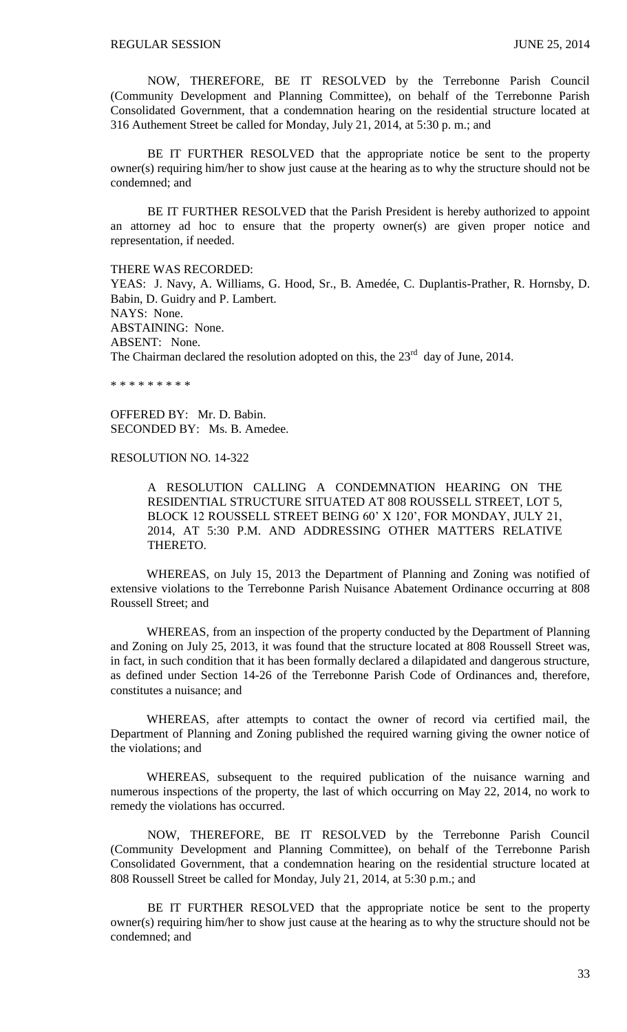NOW, THEREFORE, BE IT RESOLVED by the Terrebonne Parish Council (Community Development and Planning Committee), on behalf of the Terrebonne Parish Consolidated Government, that a condemnation hearing on the residential structure located at 316 Authement Street be called for Monday, July 21, 2014, at 5:30 p. m.; and

BE IT FURTHER RESOLVED that the appropriate notice be sent to the property owner(s) requiring him/her to show just cause at the hearing as to why the structure should not be condemned; and

BE IT FURTHER RESOLVED that the Parish President is hereby authorized to appoint an attorney ad hoc to ensure that the property owner(s) are given proper notice and representation, if needed.

THERE WAS RECORDED: YEAS: J. Navy, A. Williams, G. Hood, Sr., B. Amedée, C. Duplantis-Prather, R. Hornsby, D. Babin, D. Guidry and P. Lambert. NAYS: None. ABSTAINING: None. ABSENT: None. The Chairman declared the resolution adopted on this, the  $23<sup>rd</sup>$  day of June, 2014.

\* \* \* \* \* \* \* \* \*

OFFERED BY: Mr. D. Babin. SECONDED BY: Ms. B. Amedee.

### RESOLUTION NO. 14-322

A RESOLUTION CALLING A CONDEMNATION HEARING ON THE RESIDENTIAL STRUCTURE SITUATED AT 808 ROUSSELL STREET, LOT 5, BLOCK 12 ROUSSELL STREET BEING 60' X 120', FOR MONDAY, JULY 21, 2014, AT 5:30 P.M. AND ADDRESSING OTHER MATTERS RELATIVE THERETO.

WHEREAS, on July 15, 2013 the Department of Planning and Zoning was notified of extensive violations to the Terrebonne Parish Nuisance Abatement Ordinance occurring at 808 Roussell Street; and

WHEREAS, from an inspection of the property conducted by the Department of Planning and Zoning on July 25, 2013, it was found that the structure located at 808 Roussell Street was, in fact, in such condition that it has been formally declared a dilapidated and dangerous structure, as defined under Section 14-26 of the Terrebonne Parish Code of Ordinances and, therefore, constitutes a nuisance; and

WHEREAS, after attempts to contact the owner of record via certified mail, the Department of Planning and Zoning published the required warning giving the owner notice of the violations; and

WHEREAS, subsequent to the required publication of the nuisance warning and numerous inspections of the property, the last of which occurring on May 22, 2014, no work to remedy the violations has occurred.

NOW, THEREFORE, BE IT RESOLVED by the Terrebonne Parish Council (Community Development and Planning Committee), on behalf of the Terrebonne Parish Consolidated Government, that a condemnation hearing on the residential structure located at 808 Roussell Street be called for Monday, July 21, 2014, at 5:30 p.m.; and

BE IT FURTHER RESOLVED that the appropriate notice be sent to the property owner(s) requiring him/her to show just cause at the hearing as to why the structure should not be condemned; and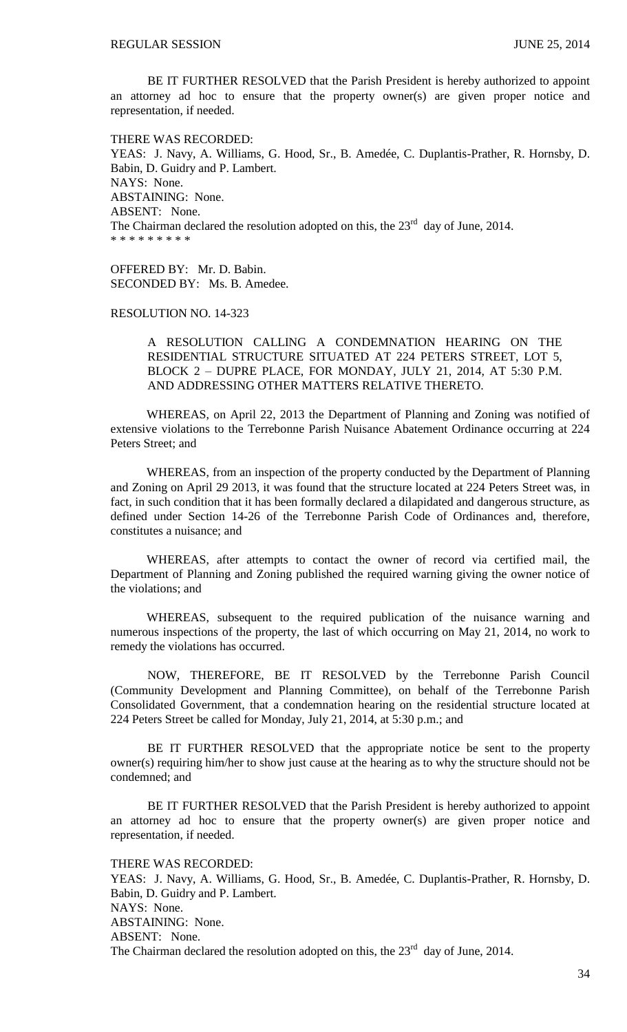BE IT FURTHER RESOLVED that the Parish President is hereby authorized to appoint an attorney ad hoc to ensure that the property owner(s) are given proper notice and representation, if needed.

THERE WAS RECORDED: YEAS: J. Navy, A. Williams, G. Hood, Sr., B. Amedée, C. Duplantis-Prather, R. Hornsby, D. Babin, D. Guidry and P. Lambert. NAYS: None. ABSTAINING: None. ABSENT: None. The Chairman declared the resolution adopted on this, the  $23<sup>rd</sup>$  day of June, 2014. \* \* \* \* \* \* \* \* \*

OFFERED BY: Mr. D. Babin. SECONDED BY: Ms. B. Amedee.

### RESOLUTION NO. 14-323

A RESOLUTION CALLING A CONDEMNATION HEARING ON THE RESIDENTIAL STRUCTURE SITUATED AT 224 PETERS STREET, LOT 5, BLOCK 2 – DUPRE PLACE, FOR MONDAY, JULY 21, 2014, AT 5:30 P.M. AND ADDRESSING OTHER MATTERS RELATIVE THERETO.

WHEREAS, on April 22, 2013 the Department of Planning and Zoning was notified of extensive violations to the Terrebonne Parish Nuisance Abatement Ordinance occurring at 224 Peters Street; and

WHEREAS, from an inspection of the property conducted by the Department of Planning and Zoning on April 29 2013, it was found that the structure located at 224 Peters Street was, in fact, in such condition that it has been formally declared a dilapidated and dangerous structure, as defined under Section 14-26 of the Terrebonne Parish Code of Ordinances and, therefore, constitutes a nuisance; and

WHEREAS, after attempts to contact the owner of record via certified mail, the Department of Planning and Zoning published the required warning giving the owner notice of the violations; and

WHEREAS, subsequent to the required publication of the nuisance warning and numerous inspections of the property, the last of which occurring on May 21, 2014, no work to remedy the violations has occurred.

NOW, THEREFORE, BE IT RESOLVED by the Terrebonne Parish Council (Community Development and Planning Committee), on behalf of the Terrebonne Parish Consolidated Government, that a condemnation hearing on the residential structure located at 224 Peters Street be called for Monday, July 21, 2014, at 5:30 p.m.; and

BE IT FURTHER RESOLVED that the appropriate notice be sent to the property owner(s) requiring him/her to show just cause at the hearing as to why the structure should not be condemned; and

BE IT FURTHER RESOLVED that the Parish President is hereby authorized to appoint an attorney ad hoc to ensure that the property owner(s) are given proper notice and representation, if needed.

THERE WAS RECORDED: YEAS: J. Navy, A. Williams, G. Hood, Sr., B. Amedée, C. Duplantis-Prather, R. Hornsby, D. Babin, D. Guidry and P. Lambert. NAYS: None. ABSTAINING: None. ABSENT: None. The Chairman declared the resolution adopted on this, the  $23<sup>rd</sup>$  day of June, 2014.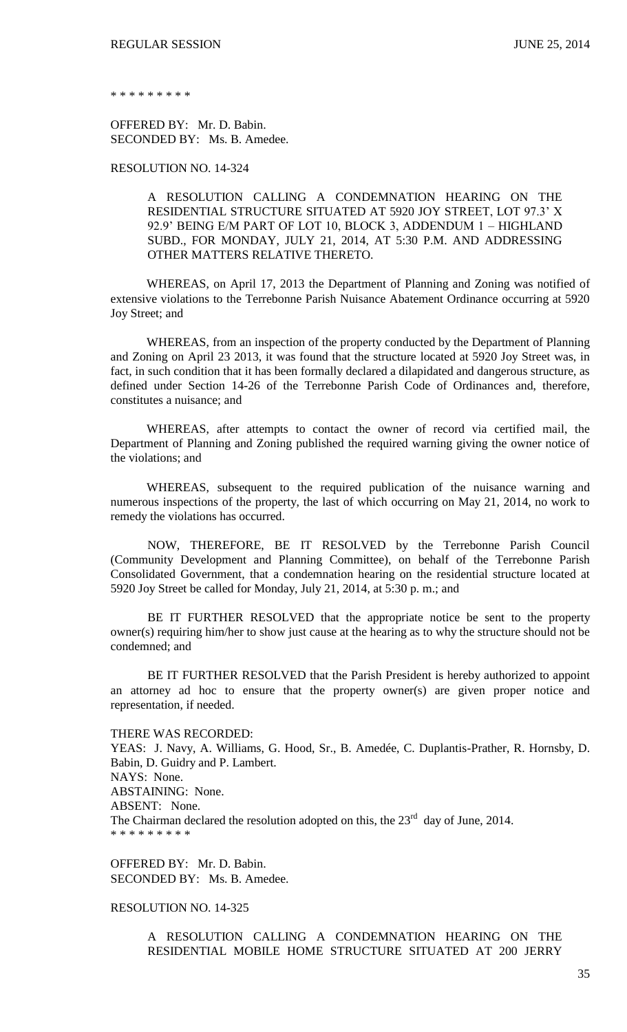\* \* \* \* \* \* \* \* \*

OFFERED BY: Mr. D. Babin. SECONDED BY: Ms. B. Amedee.

RESOLUTION NO. 14-324

A RESOLUTION CALLING A CONDEMNATION HEARING ON THE RESIDENTIAL STRUCTURE SITUATED AT 5920 JOY STREET, LOT 97.3' X 92.9' BEING E/M PART OF LOT 10, BLOCK 3, ADDENDUM 1 – HIGHLAND SUBD., FOR MONDAY, JULY 21, 2014, AT 5:30 P.M. AND ADDRESSING OTHER MATTERS RELATIVE THERETO.

WHEREAS, on April 17, 2013 the Department of Planning and Zoning was notified of extensive violations to the Terrebonne Parish Nuisance Abatement Ordinance occurring at 5920 Joy Street; and

WHEREAS, from an inspection of the property conducted by the Department of Planning and Zoning on April 23 2013, it was found that the structure located at 5920 Joy Street was, in fact, in such condition that it has been formally declared a dilapidated and dangerous structure, as defined under Section 14-26 of the Terrebonne Parish Code of Ordinances and, therefore, constitutes a nuisance; and

WHEREAS, after attempts to contact the owner of record via certified mail, the Department of Planning and Zoning published the required warning giving the owner notice of the violations; and

WHEREAS, subsequent to the required publication of the nuisance warning and numerous inspections of the property, the last of which occurring on May 21, 2014, no work to remedy the violations has occurred.

NOW, THEREFORE, BE IT RESOLVED by the Terrebonne Parish Council (Community Development and Planning Committee), on behalf of the Terrebonne Parish Consolidated Government, that a condemnation hearing on the residential structure located at 5920 Joy Street be called for Monday, July 21, 2014, at 5:30 p. m.; and

BE IT FURTHER RESOLVED that the appropriate notice be sent to the property owner(s) requiring him/her to show just cause at the hearing as to why the structure should not be condemned; and

BE IT FURTHER RESOLVED that the Parish President is hereby authorized to appoint an attorney ad hoc to ensure that the property owner(s) are given proper notice and representation, if needed.

THERE WAS RECORDED: YEAS: J. Navy, A. Williams, G. Hood, Sr., B. Amedée, C. Duplantis-Prather, R. Hornsby, D. Babin, D. Guidry and P. Lambert. NAYS: None. ABSTAINING: None. ABSENT: None. The Chairman declared the resolution adopted on this, the  $23<sup>rd</sup>$  day of June, 2014. \* \* \* \* \* \* \* \* \*

OFFERED BY: Mr. D. Babin. SECONDED BY: Ms. B. Amedee.

RESOLUTION NO. 14-325

A RESOLUTION CALLING A CONDEMNATION HEARING ON THE RESIDENTIAL MOBILE HOME STRUCTURE SITUATED AT 200 JERRY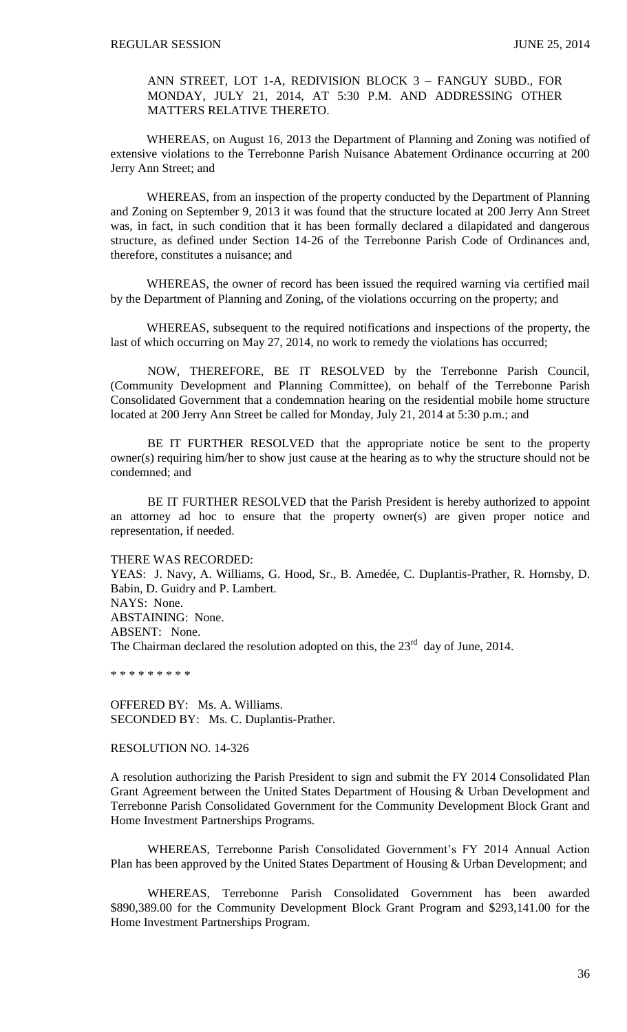ANN STREET, LOT 1-A, REDIVISION BLOCK 3 – FANGUY SUBD., FOR MONDAY, JULY 21, 2014, AT 5:30 P.M. AND ADDRESSING OTHER MATTERS RELATIVE THERETO.

WHEREAS, on August 16, 2013 the Department of Planning and Zoning was notified of extensive violations to the Terrebonne Parish Nuisance Abatement Ordinance occurring at 200 Jerry Ann Street; and

WHEREAS, from an inspection of the property conducted by the Department of Planning and Zoning on September 9, 2013 it was found that the structure located at 200 Jerry Ann Street was, in fact, in such condition that it has been formally declared a dilapidated and dangerous structure, as defined under Section 14-26 of the Terrebonne Parish Code of Ordinances and, therefore, constitutes a nuisance; and

WHEREAS, the owner of record has been issued the required warning via certified mail by the Department of Planning and Zoning, of the violations occurring on the property; and

WHEREAS, subsequent to the required notifications and inspections of the property, the last of which occurring on May 27, 2014, no work to remedy the violations has occurred;

NOW, THEREFORE, BE IT RESOLVED by the Terrebonne Parish Council, (Community Development and Planning Committee), on behalf of the Terrebonne Parish Consolidated Government that a condemnation hearing on the residential mobile home structure located at 200 Jerry Ann Street be called for Monday, July 21, 2014 at 5:30 p.m.; and

BE IT FURTHER RESOLVED that the appropriate notice be sent to the property owner(s) requiring him/her to show just cause at the hearing as to why the structure should not be condemned; and

BE IT FURTHER RESOLVED that the Parish President is hereby authorized to appoint an attorney ad hoc to ensure that the property owner(s) are given proper notice and representation, if needed.

THERE WAS RECORDED:

YEAS: J. Navy, A. Williams, G. Hood, Sr., B. Amedée, C. Duplantis-Prather, R. Hornsby, D. Babin, D. Guidry and P. Lambert. NAYS: None. ABSTAINING: None. ABSENT: None. The Chairman declared the resolution adopted on this, the  $23<sup>rd</sup>$  day of June, 2014.

\* \* \* \* \* \* \* \* \*

OFFERED BY: Ms. A. Williams. SECONDED BY: Ms. C. Duplantis-Prather.

RESOLUTION NO. 14-326

A resolution authorizing the Parish President to sign and submit the FY 2014 Consolidated Plan Grant Agreement between the United States Department of Housing & Urban Development and Terrebonne Parish Consolidated Government for the Community Development Block Grant and Home Investment Partnerships Programs.

WHEREAS, Terrebonne Parish Consolidated Government's FY 2014 Annual Action Plan has been approved by the United States Department of Housing & Urban Development; and

WHEREAS, Terrebonne Parish Consolidated Government has been awarded \$890,389.00 for the Community Development Block Grant Program and \$293,141.00 for the Home Investment Partnerships Program.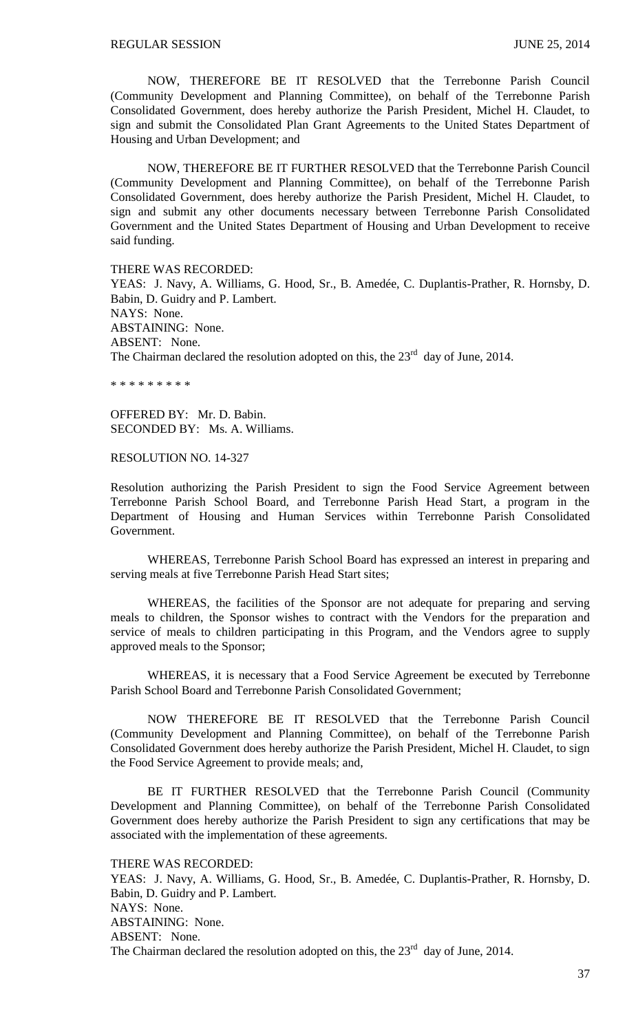NOW, THEREFORE BE IT RESOLVED that the Terrebonne Parish Council (Community Development and Planning Committee), on behalf of the Terrebonne Parish Consolidated Government, does hereby authorize the Parish President, Michel H. Claudet, to sign and submit the Consolidated Plan Grant Agreements to the United States Department of Housing and Urban Development; and

NOW, THEREFORE BE IT FURTHER RESOLVED that the Terrebonne Parish Council (Community Development and Planning Committee), on behalf of the Terrebonne Parish Consolidated Government, does hereby authorize the Parish President, Michel H. Claudet, to sign and submit any other documents necessary between Terrebonne Parish Consolidated Government and the United States Department of Housing and Urban Development to receive said funding.

THERE WAS RECORDED: YEAS: J. Navy, A. Williams, G. Hood, Sr., B. Amedée, C. Duplantis-Prather, R. Hornsby, D. Babin, D. Guidry and P. Lambert. NAYS: None. ABSTAINING: None. ABSENT: None. The Chairman declared the resolution adopted on this, the  $23<sup>rd</sup>$  day of June, 2014.

\* \* \* \* \* \* \* \* \*

OFFERED BY: Mr. D. Babin. SECONDED BY: Ms. A. Williams.

### RESOLUTION NO. 14-327

Resolution authorizing the Parish President to sign the Food Service Agreement between Terrebonne Parish School Board, and Terrebonne Parish Head Start, a program in the Department of Housing and Human Services within Terrebonne Parish Consolidated Government.

WHEREAS, Terrebonne Parish School Board has expressed an interest in preparing and serving meals at five Terrebonne Parish Head Start sites;

WHEREAS, the facilities of the Sponsor are not adequate for preparing and serving meals to children, the Sponsor wishes to contract with the Vendors for the preparation and service of meals to children participating in this Program, and the Vendors agree to supply approved meals to the Sponsor;

WHEREAS, it is necessary that a Food Service Agreement be executed by Terrebonne Parish School Board and Terrebonne Parish Consolidated Government;

NOW THEREFORE BE IT RESOLVED that the Terrebonne Parish Council (Community Development and Planning Committee), on behalf of the Terrebonne Parish Consolidated Government does hereby authorize the Parish President, Michel H. Claudet, to sign the Food Service Agreement to provide meals; and,

BE IT FURTHER RESOLVED that the Terrebonne Parish Council (Community Development and Planning Committee), on behalf of the Terrebonne Parish Consolidated Government does hereby authorize the Parish President to sign any certifications that may be associated with the implementation of these agreements.

THERE WAS RECORDED: YEAS: J. Navy, A. Williams, G. Hood, Sr., B. Amedée, C. Duplantis-Prather, R. Hornsby, D. Babin, D. Guidry and P. Lambert. NAYS: None. ABSTAINING: None. ABSENT: None. The Chairman declared the resolution adopted on this, the  $23<sup>rd</sup>$  day of June, 2014.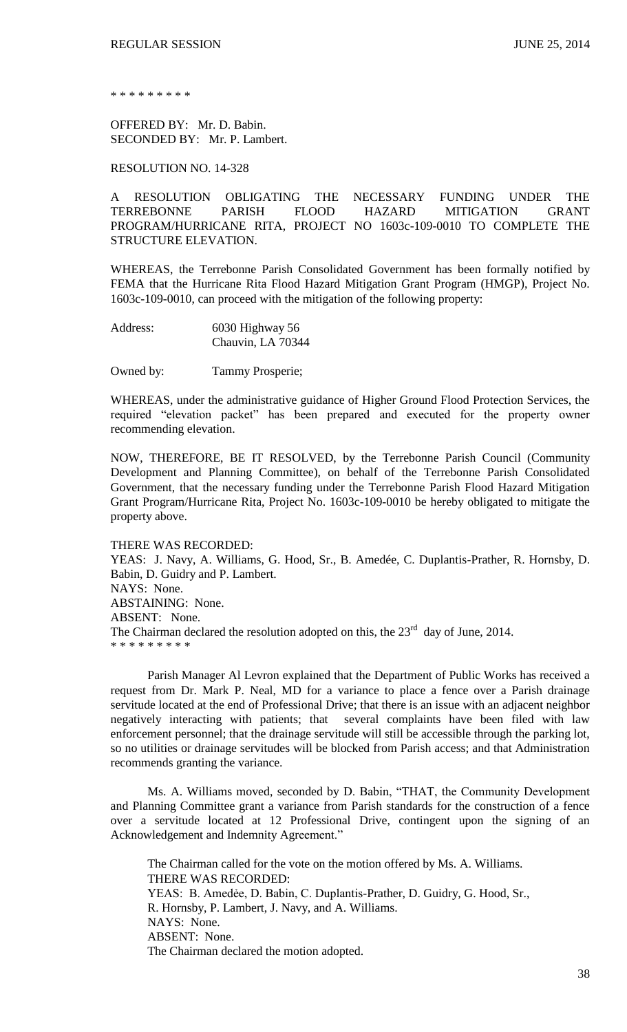\* \* \* \* \* \* \* \* \*

OFFERED BY: Mr. D. Babin. SECONDED BY: Mr. P. Lambert.

RESOLUTION NO. 14-328

A RESOLUTION OBLIGATING THE NECESSARY FUNDING UNDER THE TERREBONNE PARISH FLOOD HAZARD MITIGATION GRANT PROGRAM/HURRICANE RITA, PROJECT NO 1603c-109-0010 TO COMPLETE THE STRUCTURE ELEVATION.

WHEREAS, the Terrebonne Parish Consolidated Government has been formally notified by FEMA that the Hurricane Rita Flood Hazard Mitigation Grant Program (HMGP), Project No. 1603c-109-0010, can proceed with the mitigation of the following property:

Address: 6030 Highway 56 Chauvin, LA 70344

Owned by: Tammy Prosperie;

WHEREAS, under the administrative guidance of Higher Ground Flood Protection Services, the required "elevation packet" has been prepared and executed for the property owner recommending elevation.

NOW, THEREFORE, BE IT RESOLVED, by the Terrebonne Parish Council (Community Development and Planning Committee), on behalf of the Terrebonne Parish Consolidated Government, that the necessary funding under the Terrebonne Parish Flood Hazard Mitigation Grant Program/Hurricane Rita, Project No. 1603c-109-0010 be hereby obligated to mitigate the property above.

THERE WAS RECORDED:

YEAS: J. Navy, A. Williams, G. Hood, Sr., B. Amedée, C. Duplantis-Prather, R. Hornsby, D. Babin, D. Guidry and P. Lambert. NAYS: None. ABSTAINING: None. ABSENT: None. The Chairman declared the resolution adopted on this, the  $23<sup>rd</sup>$  day of June, 2014. \* \* \* \* \* \* \* \* \*

Parish Manager Al Levron explained that the Department of Public Works has received a request from Dr. Mark P. Neal, MD for a variance to place a fence over a Parish drainage servitude located at the end of Professional Drive; that there is an issue with an adjacent neighbor negatively interacting with patients; that several complaints have been filed with law enforcement personnel; that the drainage servitude will still be accessible through the parking lot, so no utilities or drainage servitudes will be blocked from Parish access; and that Administration recommends granting the variance.

Ms. A. Williams moved, seconded by D. Babin, "THAT, the Community Development and Planning Committee grant a variance from Parish standards for the construction of a fence over a servitude located at 12 Professional Drive, contingent upon the signing of an Acknowledgement and Indemnity Agreement."

The Chairman called for the vote on the motion offered by Ms. A. Williams. THERE WAS RECORDED: YEAS: B. Amedėe, D. Babin, C. Duplantis-Prather, D. Guidry, G. Hood, Sr., R. Hornsby, P. Lambert, J. Navy, and A. Williams. NAYS: None. ABSENT: None. The Chairman declared the motion adopted.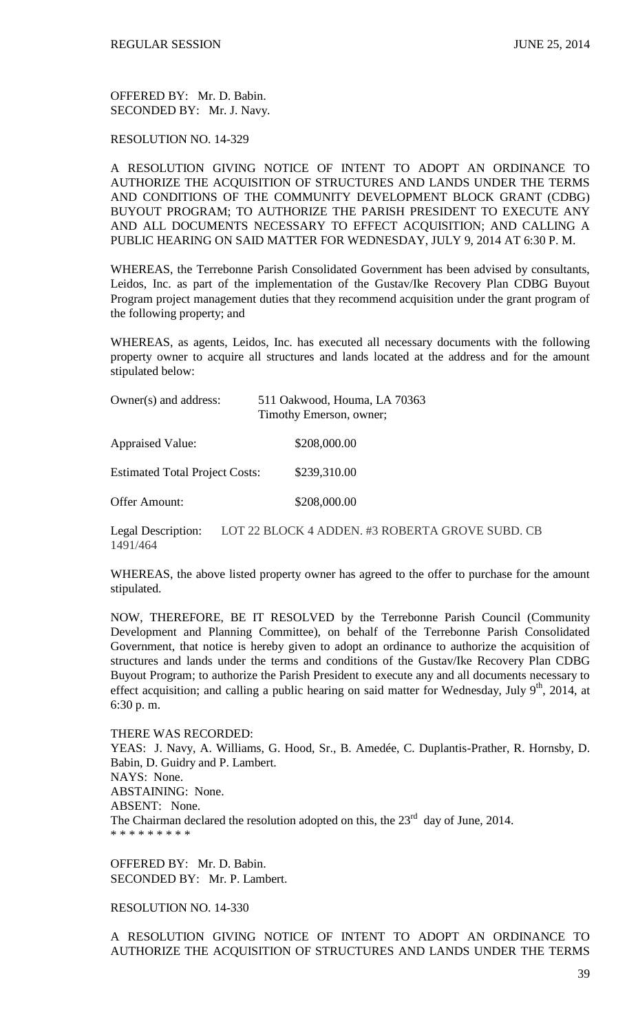OFFERED BY: Mr. D. Babin. SECONDED BY: Mr. J. Navy.

RESOLUTION NO. 14-329

A RESOLUTION GIVING NOTICE OF INTENT TO ADOPT AN ORDINANCE TO AUTHORIZE THE ACQUISITION OF STRUCTURES AND LANDS UNDER THE TERMS AND CONDITIONS OF THE COMMUNITY DEVELOPMENT BLOCK GRANT (CDBG) BUYOUT PROGRAM; TO AUTHORIZE THE PARISH PRESIDENT TO EXECUTE ANY AND ALL DOCUMENTS NECESSARY TO EFFECT ACQUISITION; AND CALLING A PUBLIC HEARING ON SAID MATTER FOR WEDNESDAY, JULY 9, 2014 AT 6:30 P. M.

WHEREAS, the Terrebonne Parish Consolidated Government has been advised by consultants, Leidos, Inc. as part of the implementation of the Gustav/Ike Recovery Plan CDBG Buyout Program project management duties that they recommend acquisition under the grant program of the following property; and

WHEREAS, as agents, Leidos, Inc. has executed all necessary documents with the following property owner to acquire all structures and lands located at the address and for the amount stipulated below:

| Owner(s) and address:                 | 511 Oakwood, Houma, LA 70363<br>Timothy Emerson, owner; |
|---------------------------------------|---------------------------------------------------------|
| <b>Appraised Value:</b>               | \$208,000.00                                            |
| <b>Estimated Total Project Costs:</b> | \$239,310.00                                            |
| <b>Offer Amount:</b>                  | \$208,000.00                                            |
|                                       |                                                         |

Legal Description: LOT 22 BLOCK 4 ADDEN. #3 ROBERTA GROVE SUBD. CB 1491/464

WHEREAS, the above listed property owner has agreed to the offer to purchase for the amount stipulated.

NOW, THEREFORE, BE IT RESOLVED by the Terrebonne Parish Council (Community Development and Planning Committee), on behalf of the Terrebonne Parish Consolidated Government, that notice is hereby given to adopt an ordinance to authorize the acquisition of structures and lands under the terms and conditions of the Gustav/Ike Recovery Plan CDBG Buyout Program; to authorize the Parish President to execute any and all documents necessary to effect acquisition; and calling a public hearing on said matter for Wednesday, July  $9<sup>th</sup>$ , 2014, at 6:30 p. m.

THERE WAS RECORDED: YEAS: J. Navy, A. Williams, G. Hood, Sr., B. Amedée, C. Duplantis-Prather, R. Hornsby, D. Babin, D. Guidry and P. Lambert. NAYS: None. ABSTAINING: None. ABSENT: None. The Chairman declared the resolution adopted on this, the  $23<sup>rd</sup>$  day of June, 2014. \* \* \* \* \* \* \* \* \*

OFFERED BY: Mr. D. Babin. SECONDED BY: Mr. P. Lambert.

RESOLUTION NO. 14-330

A RESOLUTION GIVING NOTICE OF INTENT TO ADOPT AN ORDINANCE TO AUTHORIZE THE ACQUISITION OF STRUCTURES AND LANDS UNDER THE TERMS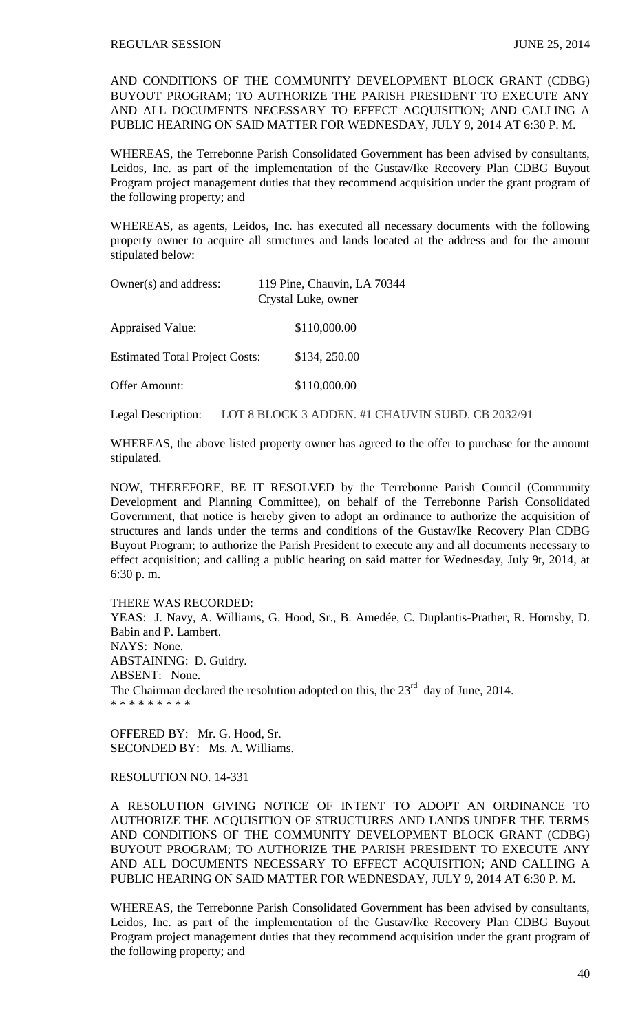AND CONDITIONS OF THE COMMUNITY DEVELOPMENT BLOCK GRANT (CDBG) BUYOUT PROGRAM; TO AUTHORIZE THE PARISH PRESIDENT TO EXECUTE ANY AND ALL DOCUMENTS NECESSARY TO EFFECT ACQUISITION; AND CALLING A PUBLIC HEARING ON SAID MATTER FOR WEDNESDAY, JULY 9, 2014 AT 6:30 P. M.

WHEREAS, the Terrebonne Parish Consolidated Government has been advised by consultants, Leidos, Inc. as part of the implementation of the Gustav/Ike Recovery Plan CDBG Buyout Program project management duties that they recommend acquisition under the grant program of the following property; and

WHEREAS, as agents, Leidos, Inc. has executed all necessary documents with the following property owner to acquire all structures and lands located at the address and for the amount stipulated below:

| Owner(s) and address:                 | 119 Pine, Chauvin, LA 70344<br>Crystal Luke, owner |
|---------------------------------------|----------------------------------------------------|
| <b>Appraised Value:</b>               | \$110,000.00                                       |
| <b>Estimated Total Project Costs:</b> | \$134, 250.00                                      |
| Offer Amount:                         | \$110,000.00                                       |

Legal Description: LOT 8 BLOCK 3 ADDEN. #1 CHAUVIN SUBD. CB 2032/91

WHEREAS, the above listed property owner has agreed to the offer to purchase for the amount stipulated.

NOW, THEREFORE, BE IT RESOLVED by the Terrebonne Parish Council (Community Development and Planning Committee), on behalf of the Terrebonne Parish Consolidated Government, that notice is hereby given to adopt an ordinance to authorize the acquisition of structures and lands under the terms and conditions of the Gustav/Ike Recovery Plan CDBG Buyout Program; to authorize the Parish President to execute any and all documents necessary to effect acquisition; and calling a public hearing on said matter for Wednesday, July 9t, 2014, at 6:30 p. m.

THERE WAS RECORDED: YEAS: J. Navy, A. Williams, G. Hood, Sr., B. Amedée, C. Duplantis-Prather, R. Hornsby, D. Babin and P. Lambert. NAYS: None. ABSTAINING: D. Guidry. ABSENT: None. The Chairman declared the resolution adopted on this, the  $23<sup>rd</sup>$  day of June, 2014. \* \* \* \* \* \* \* \* \*

OFFERED BY: Mr. G. Hood, Sr. SECONDED BY: Ms. A. Williams.

RESOLUTION NO. 14-331

A RESOLUTION GIVING NOTICE OF INTENT TO ADOPT AN ORDINANCE TO AUTHORIZE THE ACQUISITION OF STRUCTURES AND LANDS UNDER THE TERMS AND CONDITIONS OF THE COMMUNITY DEVELOPMENT BLOCK GRANT (CDBG) BUYOUT PROGRAM; TO AUTHORIZE THE PARISH PRESIDENT TO EXECUTE ANY AND ALL DOCUMENTS NECESSARY TO EFFECT ACQUISITION; AND CALLING A PUBLIC HEARING ON SAID MATTER FOR WEDNESDAY, JULY 9, 2014 AT 6:30 P. M.

WHEREAS, the Terrebonne Parish Consolidated Government has been advised by consultants, Leidos, Inc. as part of the implementation of the Gustav/Ike Recovery Plan CDBG Buyout Program project management duties that they recommend acquisition under the grant program of the following property; and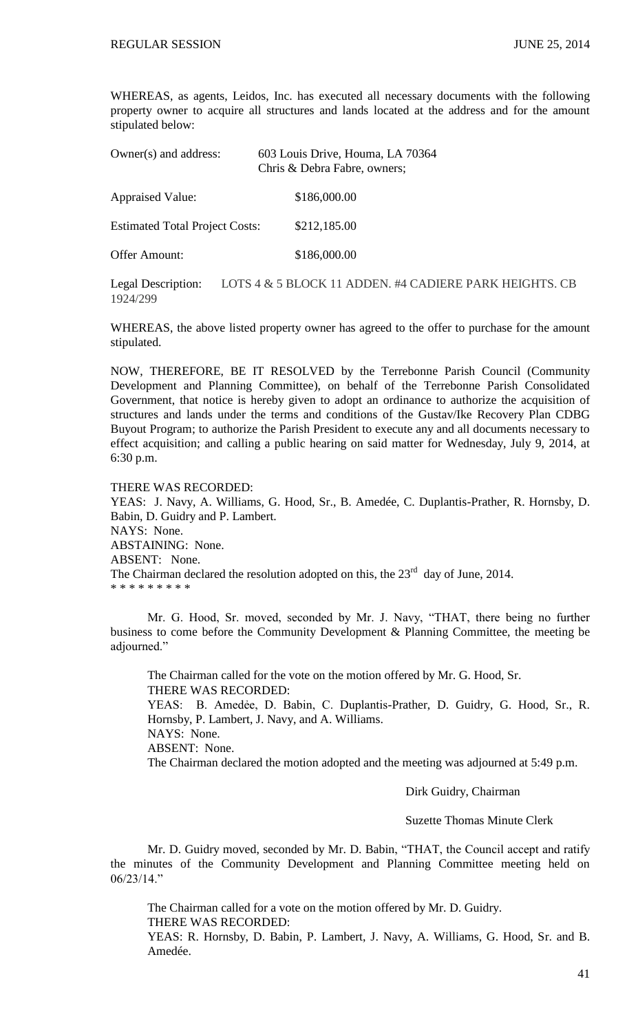WHEREAS, as agents, Leidos, Inc. has executed all necessary documents with the following property owner to acquire all structures and lands located at the address and for the amount stipulated below:

| Owner(s) and address:                 | 603 Louis Drive, Houma, LA 70364<br>Chris & Debra Fabre, owners; |
|---------------------------------------|------------------------------------------------------------------|
| <b>Appraised Value:</b>               | \$186,000.00                                                     |
| <b>Estimated Total Project Costs:</b> | \$212,185.00                                                     |
| <b>Offer Amount:</b>                  | \$186,000.00                                                     |
| <b>Legal Description:</b><br>1924/299 | LOTS 4 & 5 BLOCK 11 ADDEN. #4 CADIERE PARK HEIGHTS. CB           |

WHEREAS, the above listed property owner has agreed to the offer to purchase for the amount stipulated.

NOW, THEREFORE, BE IT RESOLVED by the Terrebonne Parish Council (Community Development and Planning Committee), on behalf of the Terrebonne Parish Consolidated Government, that notice is hereby given to adopt an ordinance to authorize the acquisition of structures and lands under the terms and conditions of the Gustav/Ike Recovery Plan CDBG Buyout Program; to authorize the Parish President to execute any and all documents necessary to effect acquisition; and calling a public hearing on said matter for Wednesday, July 9, 2014, at 6:30 p.m.

THERE WAS RECORDED:

YEAS: J. Navy, A. Williams, G. Hood, Sr., B. Amedée, C. Duplantis-Prather, R. Hornsby, D. Babin, D. Guidry and P. Lambert. NAYS: None. ABSTAINING: None. ABSENT: None. The Chairman declared the resolution adopted on this, the  $23<sup>rd</sup>$  day of June, 2014. \* \* \* \* \* \* \* \* \*

Mr. G. Hood, Sr. moved, seconded by Mr. J. Navy, "THAT, there being no further business to come before the Community Development & Planning Committee, the meeting be adjourned."

The Chairman called for the vote on the motion offered by Mr. G. Hood, Sr. THERE WAS RECORDED: YEAS: B. Amedẻe, D. Babin, C. Duplantis-Prather, D. Guidry, G. Hood, Sr., R. Hornsby, P. Lambert, J. Navy, and A. Williams. NAYS: None. ABSENT: None. The Chairman declared the motion adopted and the meeting was adjourned at 5:49 p.m.

Dirk Guidry, Chairman

Suzette Thomas Minute Clerk

Mr. D. Guidry moved, seconded by Mr. D. Babin, "THAT, the Council accept and ratify the minutes of the Community Development and Planning Committee meeting held on 06/23/14."

The Chairman called for a vote on the motion offered by Mr. D. Guidry. THERE WAS RECORDED:

YEAS: R. Hornsby, D. Babin, P. Lambert, J. Navy, A. Williams, G. Hood, Sr. and B. Amedée.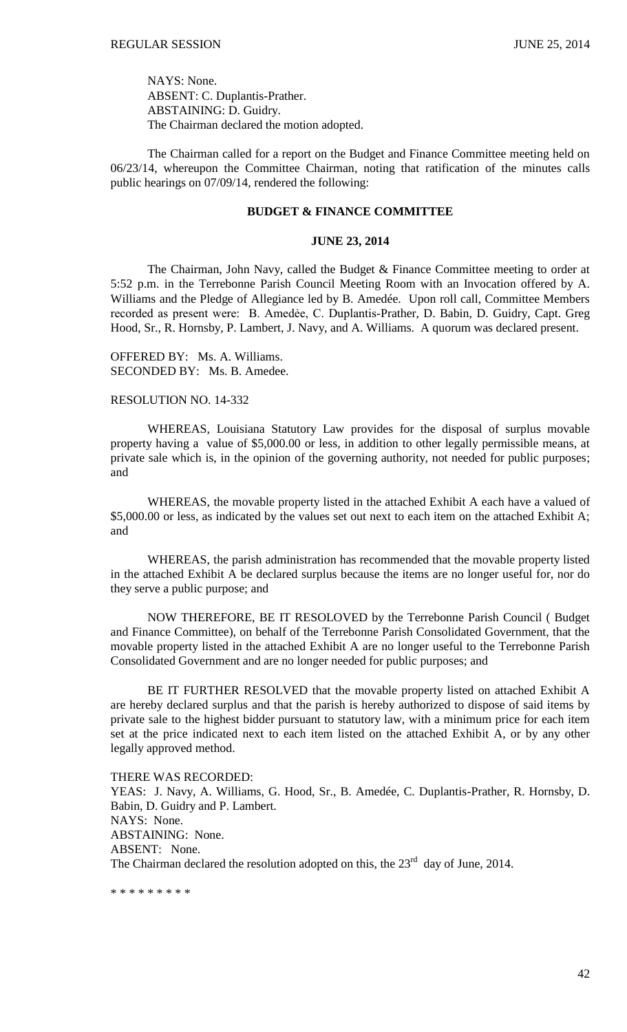NAYS: None. ABSENT: C. Duplantis-Prather. ABSTAINING: D. Guidry. The Chairman declared the motion adopted.

The Chairman called for a report on the Budget and Finance Committee meeting held on 06/23/14, whereupon the Committee Chairman, noting that ratification of the minutes calls public hearings on 07/09/14, rendered the following:

## **BUDGET & FINANCE COMMITTEE**

### **JUNE 23, 2014**

The Chairman, John Navy, called the Budget & Finance Committee meeting to order at 5:52 p.m. in the Terrebonne Parish Council Meeting Room with an Invocation offered by A. Williams and the Pledge of Allegiance led by B. Amedée. Upon roll call, Committee Members recorded as present were: B. Amedẻe, C. Duplantis-Prather, D. Babin, D. Guidry, Capt. Greg Hood, Sr., R. Hornsby, P. Lambert, J. Navy, and A. Williams. A quorum was declared present.

OFFERED BY: Ms. A. Williams. SECONDED BY: Ms. B. Amedee.

## RESOLUTION NO. 14-332

WHEREAS, Louisiana Statutory Law provides for the disposal of surplus movable property having a value of \$5,000.00 or less, in addition to other legally permissible means, at private sale which is, in the opinion of the governing authority, not needed for public purposes; and

WHEREAS, the movable property listed in the attached Exhibit A each have a valued of \$5,000.00 or less, as indicated by the values set out next to each item on the attached Exhibit A; and

WHEREAS, the parish administration has recommended that the movable property listed in the attached Exhibit A be declared surplus because the items are no longer useful for, nor do they serve a public purpose; and

NOW THEREFORE, BE IT RESOLOVED by the Terrebonne Parish Council ( Budget and Finance Committee), on behalf of the Terrebonne Parish Consolidated Government, that the movable property listed in the attached Exhibit A are no longer useful to the Terrebonne Parish Consolidated Government and are no longer needed for public purposes; and

BE IT FURTHER RESOLVED that the movable property listed on attached Exhibit A are hereby declared surplus and that the parish is hereby authorized to dispose of said items by private sale to the highest bidder pursuant to statutory law, with a minimum price for each item set at the price indicated next to each item listed on the attached Exhibit A, or by any other legally approved method.

THERE WAS RECORDED: YEAS: J. Navy, A. Williams, G. Hood, Sr., B. Amedée, C. Duplantis-Prather, R. Hornsby, D. Babin, D. Guidry and P. Lambert. NAYS: None. ABSTAINING: None. ABSENT: None. The Chairman declared the resolution adopted on this, the  $23<sup>rd</sup>$  day of June, 2014.

\* \* \* \* \* \* \* \* \*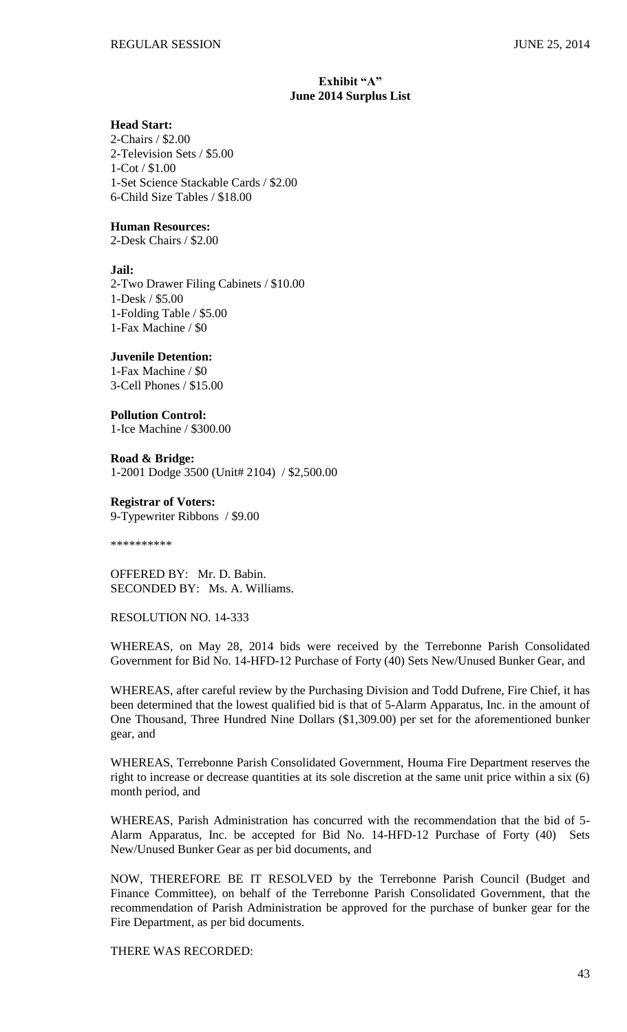### Exhibit "A" **June 2014 Surplus List**

# **Head Start:**

2-Chairs / \$2.00 2-Television Sets / \$5.00 1-Cot / \$1.00 1-Set Science Stackable Cards / \$2.00 6-Child Size Tables / \$18.00

### **Human Resources:**

2-Desk Chairs / \$2.00

### **Jail:**

2-Two Drawer Filing Cabinets / \$10.00 1-Desk / \$5.00 1-Folding Table / \$5.00 1-Fax Machine / \$0

# **Juvenile Detention:**

1-Fax Machine / \$0 3-Cell Phones / \$15.00

**Pollution Control:** 1-Ice Machine / \$300.00

**Road & Bridge:** 1-2001 Dodge 3500 (Unit# 2104) / \$2,500.00

#### **Registrar of Voters:** 9-Typewriter Ribbons / \$9.00

\*\*\*\*\*\*\*\*\*\*

OFFERED BY: Mr. D. Babin. SECONDED BY: Ms. A. Williams.

## RESOLUTION NO. 14-333

WHEREAS, on May 28, 2014 bids were received by the Terrebonne Parish Consolidated Government for Bid No. 14-HFD-12 Purchase of Forty (40) Sets New/Unused Bunker Gear, and

WHEREAS, after careful review by the Purchasing Division and Todd Dufrene, Fire Chief, it has been determined that the lowest qualified bid is that of 5-Alarm Apparatus, Inc. in the amount of One Thousand, Three Hundred Nine Dollars (\$1,309.00) per set for the aforementioned bunker gear, and

WHEREAS, Terrebonne Parish Consolidated Government, Houma Fire Department reserves the right to increase or decrease quantities at its sole discretion at the same unit price within a six (6) month period, and

WHEREAS, Parish Administration has concurred with the recommendation that the bid of 5- Alarm Apparatus, Inc. be accepted for Bid No. 14-HFD-12 Purchase of Forty (40) Sets New/Unused Bunker Gear as per bid documents, and

NOW, THEREFORE BE IT RESOLVED by the Terrebonne Parish Council (Budget and Finance Committee), on behalf of the Terrebonne Parish Consolidated Government, that the recommendation of Parish Administration be approved for the purchase of bunker gear for the Fire Department, as per bid documents.

THERE WAS RECORDED: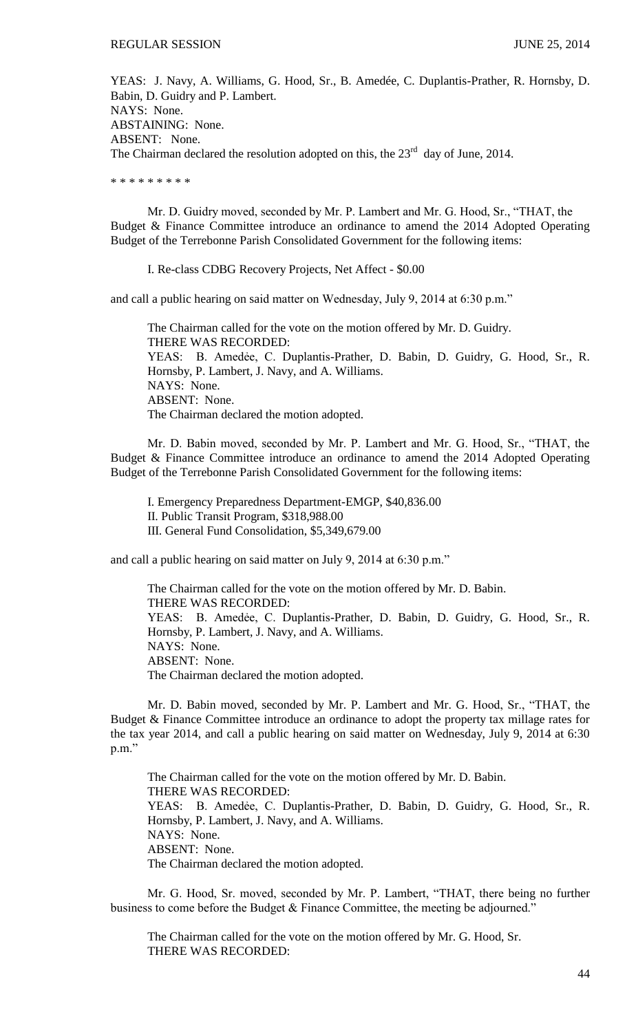YEAS: J. Navy, A. Williams, G. Hood, Sr., B. Amedée, C. Duplantis-Prather, R. Hornsby, D. Babin, D. Guidry and P. Lambert. NAYS: None. ABSTAINING: None. ABSENT: None. The Chairman declared the resolution adopted on this, the  $23<sup>rd</sup>$  day of June, 2014.

\* \* \* \* \* \* \* \* \*

Mr. D. Guidry moved, seconded by Mr. P. Lambert and Mr. G. Hood, Sr., "THAT, the Budget & Finance Committee introduce an ordinance to amend the 2014 Adopted Operating Budget of the Terrebonne Parish Consolidated Government for the following items:

I. Re-class CDBG Recovery Projects, Net Affect - \$0.00

and call a public hearing on said matter on Wednesday, July 9, 2014 at 6:30 p.m."

The Chairman called for the vote on the motion offered by Mr. D. Guidry. THERE WAS RECORDED: YEAS: B. Amedẻe, C. Duplantis-Prather, D. Babin, D. Guidry, G. Hood, Sr., R. Hornsby, P. Lambert, J. Navy, and A. Williams. NAYS: None. ABSENT: None. The Chairman declared the motion adopted.

Mr. D. Babin moved, seconded by Mr. P. Lambert and Mr. G. Hood, Sr., "THAT, the Budget & Finance Committee introduce an ordinance to amend the 2014 Adopted Operating Budget of the Terrebonne Parish Consolidated Government for the following items:

I. Emergency Preparedness Department-EMGP, \$40,836.00 II. Public Transit Program, \$318,988.00 III. General Fund Consolidation, \$5,349,679.00

and call a public hearing on said matter on July 9, 2014 at 6:30 p.m."

The Chairman called for the vote on the motion offered by Mr. D. Babin. THERE WAS RECORDED: YEAS: B. Amedẻe, C. Duplantis-Prather, D. Babin, D. Guidry, G. Hood, Sr., R. Hornsby, P. Lambert, J. Navy, and A. Williams. NAYS: None. ABSENT: None. The Chairman declared the motion adopted.

Mr. D. Babin moved, seconded by Mr. P. Lambert and Mr. G. Hood, Sr., "THAT, the Budget & Finance Committee introduce an ordinance to adopt the property tax millage rates for the tax year 2014, and call a public hearing on said matter on Wednesday, July 9, 2014 at 6:30 p.m."

The Chairman called for the vote on the motion offered by Mr. D. Babin. THERE WAS RECORDED: YEAS: B. Amedẻe, C. Duplantis-Prather, D. Babin, D. Guidry, G. Hood, Sr., R. Hornsby, P. Lambert, J. Navy, and A. Williams. NAYS: None. ABSENT: None. The Chairman declared the motion adopted.

Mr. G. Hood, Sr. moved, seconded by Mr. P. Lambert, "THAT, there being no further business to come before the Budget & Finance Committee, the meeting be adjourned."

The Chairman called for the vote on the motion offered by Mr. G. Hood, Sr. THERE WAS RECORDED: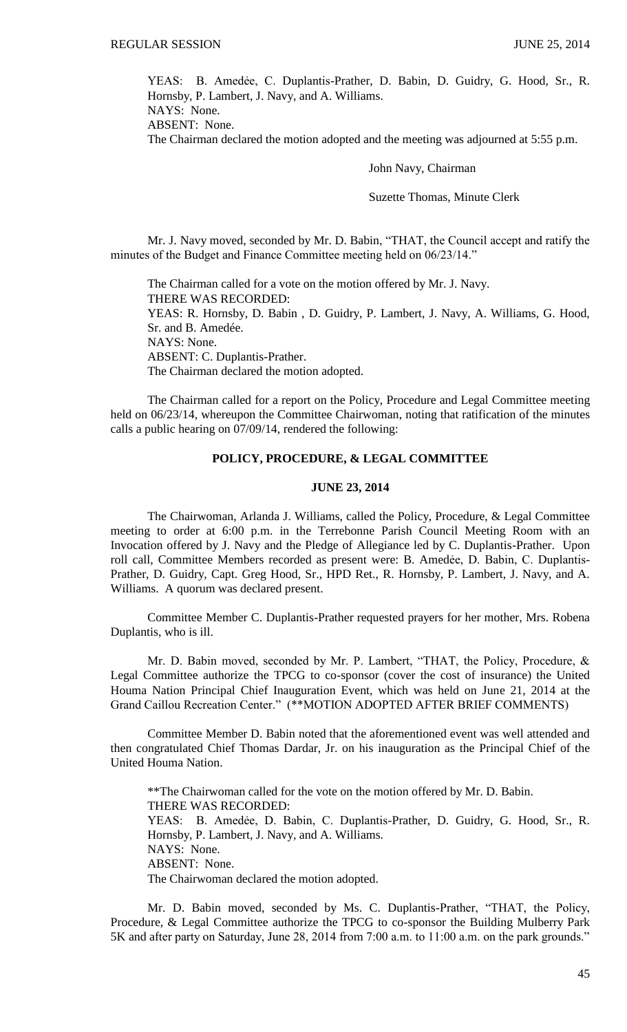YEAS: B. Amedẻe, C. Duplantis-Prather, D. Babin, D. Guidry, G. Hood, Sr., R. Hornsby, P. Lambert, J. Navy, and A. Williams. NAYS: None.

ABSENT: None.

The Chairman declared the motion adopted and the meeting was adjourned at 5:55 p.m.

John Navy, Chairman

Suzette Thomas, Minute Clerk

Mr. J. Navy moved, seconded by Mr. D. Babin, "THAT, the Council accept and ratify the minutes of the Budget and Finance Committee meeting held on 06/23/14."

The Chairman called for a vote on the motion offered by Mr. J. Navy. THERE WAS RECORDED: YEAS: R. Hornsby, D. Babin , D. Guidry, P. Lambert, J. Navy, A. Williams, G. Hood, Sr. and B. Amedée. NAYS: None. ABSENT: C. Duplantis-Prather. The Chairman declared the motion adopted.

The Chairman called for a report on the Policy, Procedure and Legal Committee meeting held on 06/23/14, whereupon the Committee Chairwoman, noting that ratification of the minutes calls a public hearing on 07/09/14, rendered the following:

### **POLICY, PROCEDURE, & LEGAL COMMITTEE**

### **JUNE 23, 2014**

The Chairwoman, Arlanda J. Williams, called the Policy, Procedure, & Legal Committee meeting to order at 6:00 p.m. in the Terrebonne Parish Council Meeting Room with an Invocation offered by J. Navy and the Pledge of Allegiance led by C. Duplantis-Prather. Upon roll call, Committee Members recorded as present were: B. Amedẻe, D. Babin, C. Duplantis-Prather, D. Guidry, Capt. Greg Hood, Sr., HPD Ret., R. Hornsby, P. Lambert, J. Navy, and A. Williams. A quorum was declared present.

Committee Member C. Duplantis-Prather requested prayers for her mother, Mrs. Robena Duplantis, who is ill.

Mr. D. Babin moved, seconded by Mr. P. Lambert, "THAT, the Policy, Procedure, & Legal Committee authorize the TPCG to co-sponsor (cover the cost of insurance) the United Houma Nation Principal Chief Inauguration Event, which was held on June 21, 2014 at the Grand Caillou Recreation Center." (\*\*MOTION ADOPTED AFTER BRIEF COMMENTS)

Committee Member D. Babin noted that the aforementioned event was well attended and then congratulated Chief Thomas Dardar, Jr. on his inauguration as the Principal Chief of the United Houma Nation.

\*\*The Chairwoman called for the vote on the motion offered by Mr. D. Babin. THERE WAS RECORDED: YEAS: B. Amedẻe, D. Babin, C. Duplantis-Prather, D. Guidry, G. Hood, Sr., R. Hornsby, P. Lambert, J. Navy, and A. Williams. NAYS: None. ABSENT: None. The Chairwoman declared the motion adopted.

Mr. D. Babin moved, seconded by Ms. C. Duplantis-Prather, "THAT, the Policy, Procedure, & Legal Committee authorize the TPCG to co-sponsor the Building Mulberry Park 5K and after party on Saturday, June 28, 2014 from 7:00 a.m. to 11:00 a.m. on the park grounds."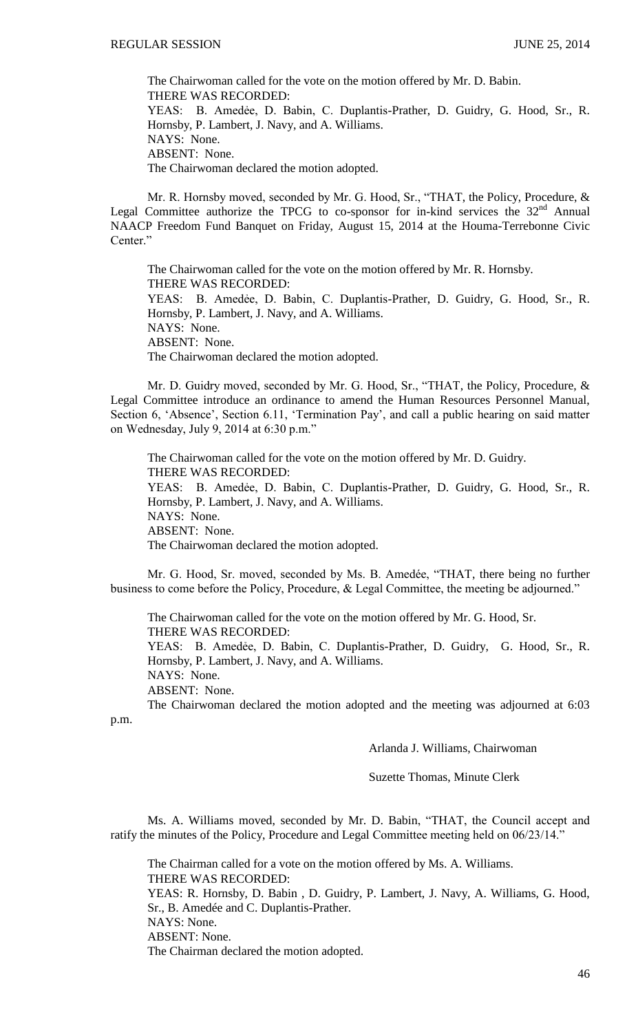The Chairwoman called for the vote on the motion offered by Mr. D. Babin. THERE WAS RECORDED: YEAS: B. Amedẻe, D. Babin, C. Duplantis-Prather, D. Guidry, G. Hood, Sr., R. Hornsby, P. Lambert, J. Navy, and A. Williams. NAYS: None. ABSENT: None. The Chairwoman declared the motion adopted.

Mr. R. Hornsby moved, seconded by Mr. G. Hood, Sr., "THAT, the Policy, Procedure, & Legal Committee authorize the TPCG to co-sponsor for in-kind services the  $32<sup>nd</sup>$  Annual NAACP Freedom Fund Banquet on Friday, August 15, 2014 at the Houma-Terrebonne Civic Center."

The Chairwoman called for the vote on the motion offered by Mr. R. Hornsby. THERE WAS RECORDED: YEAS: B. Amedẻe, D. Babin, C. Duplantis-Prather, D. Guidry, G. Hood, Sr., R. Hornsby, P. Lambert, J. Navy, and A. Williams. NAYS: None. ABSENT: None. The Chairwoman declared the motion adopted.

Mr. D. Guidry moved, seconded by Mr. G. Hood, Sr., "THAT, the Policy, Procedure, & Legal Committee introduce an ordinance to amend the Human Resources Personnel Manual, Section 6, 'Absence', Section 6.11, 'Termination Pay', and call a public hearing on said matter on Wednesday, July 9, 2014 at 6:30 p.m."

The Chairwoman called for the vote on the motion offered by Mr. D. Guidry. THERE WAS RECORDED: YEAS: B. Amedẻe, D. Babin, C. Duplantis-Prather, D. Guidry, G. Hood, Sr., R. Hornsby, P. Lambert, J. Navy, and A. Williams. NAYS: None. ABSENT: None. The Chairwoman declared the motion adopted.

Mr. G. Hood, Sr. moved, seconded by Ms. B. Amedée, "THAT, there being no further business to come before the Policy, Procedure, & Legal Committee, the meeting be adjourned."

The Chairwoman called for the vote on the motion offered by Mr. G. Hood, Sr. THERE WAS RECORDED: YEAS: B. Amedẻe, D. Babin, C. Duplantis-Prather, D. Guidry, G. Hood, Sr., R. Hornsby, P. Lambert, J. Navy, and A. Williams. NAYS: None. ABSENT: None. The Chairwoman declared the motion adopted and the meeting was adjourned at 6:03

p.m.

#### Arlanda J. Williams, Chairwoman

Suzette Thomas, Minute Clerk

Ms. A. Williams moved, seconded by Mr. D. Babin, "THAT, the Council accept and ratify the minutes of the Policy, Procedure and Legal Committee meeting held on 06/23/14."

The Chairman called for a vote on the motion offered by Ms. A. Williams. THERE WAS RECORDED: YEAS: R. Hornsby, D. Babin , D. Guidry, P. Lambert, J. Navy, A. Williams, G. Hood, Sr., B. Amedée and C. Duplantis-Prather. NAYS: None. ABSENT: None. The Chairman declared the motion adopted.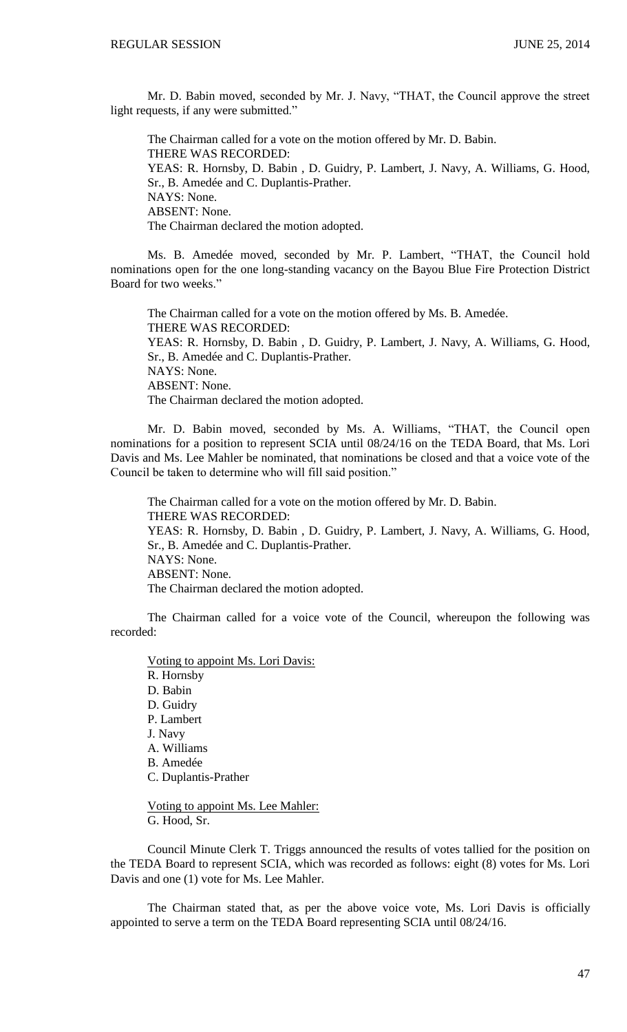Mr. D. Babin moved, seconded by Mr. J. Navy, "THAT, the Council approve the street light requests, if any were submitted."

The Chairman called for a vote on the motion offered by Mr. D. Babin. THERE WAS RECORDED: YEAS: R. Hornsby, D. Babin , D. Guidry, P. Lambert, J. Navy, A. Williams, G. Hood, Sr., B. Amedée and C. Duplantis-Prather. NAYS: None. ABSENT: None. The Chairman declared the motion adopted.

Ms. B. Amedée moved, seconded by Mr. P. Lambert, "THAT, the Council hold nominations open for the one long-standing vacancy on the Bayou Blue Fire Protection District Board for two weeks."

The Chairman called for a vote on the motion offered by Ms. B. Amedée. THERE WAS RECORDED: YEAS: R. Hornsby, D. Babin , D. Guidry, P. Lambert, J. Navy, A. Williams, G. Hood, Sr., B. Amedée and C. Duplantis-Prather. NAYS: None. ABSENT: None. The Chairman declared the motion adopted.

Mr. D. Babin moved, seconded by Ms. A. Williams, "THAT, the Council open nominations for a position to represent SCIA until 08/24/16 on the TEDA Board, that Ms. Lori Davis and Ms. Lee Mahler be nominated, that nominations be closed and that a voice vote of the Council be taken to determine who will fill said position."

The Chairman called for a vote on the motion offered by Mr. D. Babin. THERE WAS RECORDED: YEAS: R. Hornsby, D. Babin , D. Guidry, P. Lambert, J. Navy, A. Williams, G. Hood, Sr., B. Amedée and C. Duplantis-Prather. NAYS: None. ABSENT: None. The Chairman declared the motion adopted.

The Chairman called for a voice vote of the Council, whereupon the following was recorded:

Voting to appoint Ms. Lori Davis: R. Hornsby D. Babin D. Guidry P. Lambert J. Navy A. Williams B. Amedée C. Duplantis-Prather

Voting to appoint Ms. Lee Mahler: G. Hood, Sr.

Council Minute Clerk T. Triggs announced the results of votes tallied for the position on the TEDA Board to represent SCIA, which was recorded as follows: eight (8) votes for Ms. Lori Davis and one (1) vote for Ms. Lee Mahler.

The Chairman stated that, as per the above voice vote, Ms. Lori Davis is officially appointed to serve a term on the TEDA Board representing SCIA until 08/24/16.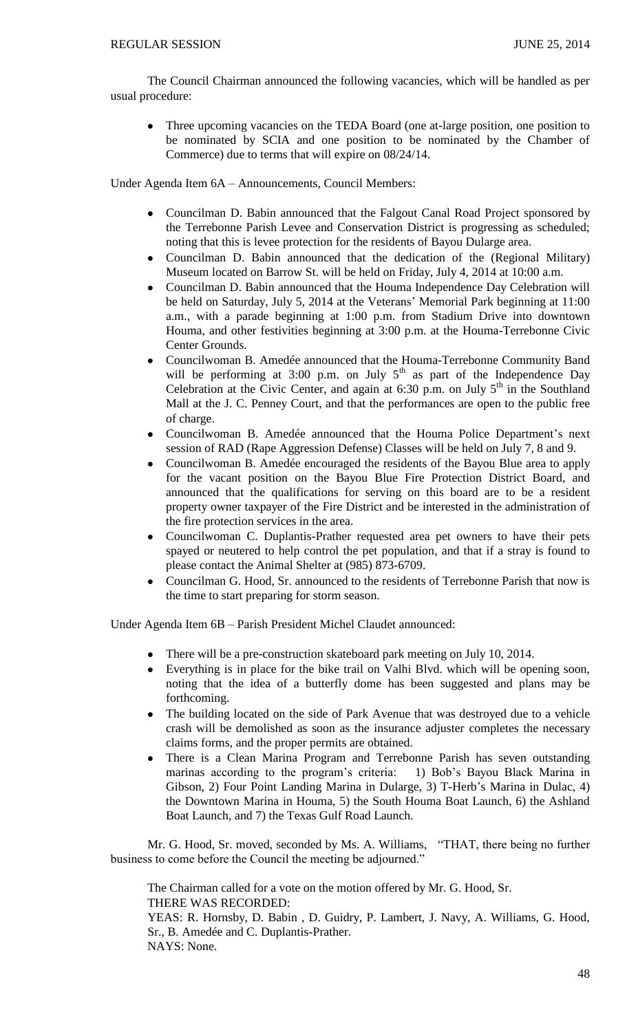The Council Chairman announced the following vacancies, which will be handled as per usual procedure:

Three upcoming vacancies on the TEDA Board (one at-large position, one position to be nominated by SCIA and one position to be nominated by the Chamber of Commerce) due to terms that will expire on 08/24/14.

Under Agenda Item 6A – Announcements, Council Members:

- Councilman D. Babin announced that the Falgout Canal Road Project sponsored by the Terrebonne Parish Levee and Conservation District is progressing as scheduled; noting that this is levee protection for the residents of Bayou Dularge area.
- Councilman D. Babin announced that the dedication of the (Regional Military) Museum located on Barrow St. will be held on Friday, July 4, 2014 at 10:00 a.m.
- Councilman D. Babin announced that the Houma Independence Day Celebration will be held on Saturday, July 5, 2014 at the Veterans' Memorial Park beginning at 11:00 a.m., with a parade beginning at 1:00 p.m. from Stadium Drive into downtown Houma, and other festivities beginning at 3:00 p.m. at the Houma-Terrebonne Civic Center Grounds.
- Councilwoman B. Amedée announced that the Houma-Terrebonne Community Band will be performing at 3:00 p.m. on July  $5<sup>th</sup>$  as part of the Independence Day Celebration at the Civic Center, and again at  $6:30$  p.m. on July  $5<sup>th</sup>$  in the Southland Mall at the J. C. Penney Court, and that the performances are open to the public free of charge.
- Councilwoman B. Amedée announced that the Houma Police Department's next session of RAD (Rape Aggression Defense) Classes will be held on July 7, 8 and 9.
- Councilwoman B. Amedée encouraged the residents of the Bayou Blue area to apply for the vacant position on the Bayou Blue Fire Protection District Board, and announced that the qualifications for serving on this board are to be a resident property owner taxpayer of the Fire District and be interested in the administration of the fire protection services in the area.
- Councilwoman C. Duplantis-Prather requested area pet owners to have their pets spayed or neutered to help control the pet population, and that if a stray is found to please contact the Animal Shelter at (985) 873-6709.
- Councilman G. Hood, Sr. announced to the residents of Terrebonne Parish that now is the time to start preparing for storm season.

Under Agenda Item 6B – Parish President Michel Claudet announced:

- There will be a pre-construction skateboard park meeting on July 10, 2014.
- Everything is in place for the bike trail on Valhi Blvd. which will be opening soon,  $\bullet$ noting that the idea of a butterfly dome has been suggested and plans may be forthcoming.
- The building located on the side of Park Avenue that was destroyed due to a vehicle crash will be demolished as soon as the insurance adjuster completes the necessary claims forms, and the proper permits are obtained.
- There is a Clean Marina Program and Terrebonne Parish has seven outstanding marinas according to the program's criteria: 1) Bob's Bayou Black Marina in Gibson, 2) Four Point Landing Marina in Dularge, 3) T-Herb's Marina in Dulac, 4) the Downtown Marina in Houma, 5) the South Houma Boat Launch, 6) the Ashland Boat Launch, and 7) the Texas Gulf Road Launch.

Mr. G. Hood, Sr. moved, seconded by Ms. A. Williams, "THAT, there being no further business to come before the Council the meeting be adjourned."

The Chairman called for a vote on the motion offered by Mr. G. Hood, Sr. THERE WAS RECORDED:

YEAS: R. Hornsby, D. Babin , D. Guidry, P. Lambert, J. Navy, A. Williams, G. Hood, Sr., B. Amedée and C. Duplantis-Prather. NAYS: None.